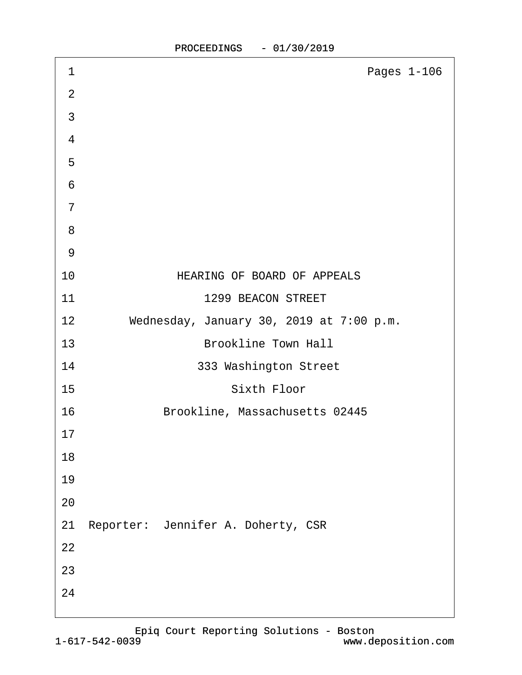| 1               | Pages 1-106                              |
|-----------------|------------------------------------------|
| $\overline{2}$  |                                          |
| 3               |                                          |
| $\overline{4}$  |                                          |
| 5               |                                          |
| $6\phantom{1}6$ |                                          |
| $\overline{7}$  |                                          |
| 8               |                                          |
| 9               |                                          |
| 10              | <b>HEARING OF BOARD OF APPEALS</b>       |
| 11              | 1299 BEACON STREET                       |
| 12              | Wednesday, January 30, 2019 at 7:00 p.m. |
| 13              | <b>Brookline Town Hall</b>               |
| 14              | 333 Washington Street                    |
| 15              | <b>Sixth Floor</b>                       |
| 16              | Brookline, Massachusetts 02445           |
| 17              |                                          |
| 18              |                                          |
| 19              |                                          |
| 20              |                                          |
|                 | 21 Reporter: Jennifer A. Doherty, CSR    |
| 22              |                                          |
| 23              |                                          |
| 24              |                                          |
|                 |                                          |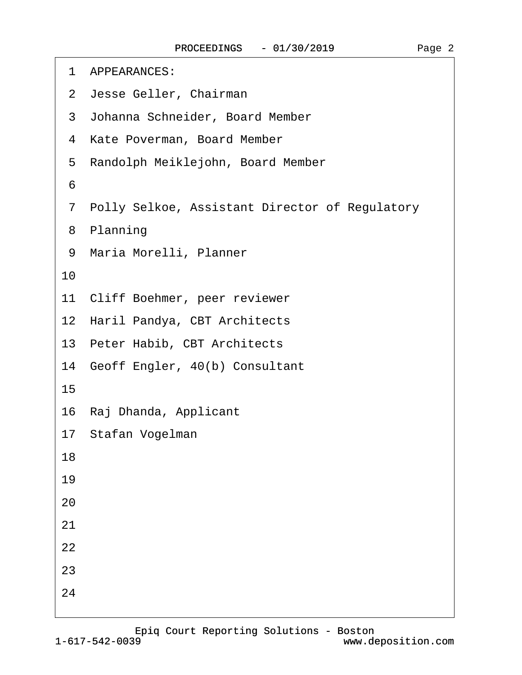| 1 APPEARANCES:                                   |  |
|--------------------------------------------------|--|
| 2 Jesse Geller, Chairman                         |  |
| 3 Johanna Schneider, Board Member                |  |
| 4 Kate Poverman, Board Member                    |  |
| 5 Randolph Meiklejohn, Board Member              |  |
| 6                                                |  |
| 7 Polly Selkoe, Assistant Director of Regulatory |  |
| 8 Planning                                       |  |
| 9 Maria Morelli, Planner                         |  |
| 10                                               |  |
| Cliff Boehmer, peer reviewer<br>11               |  |
| 12 Haril Pandya, CBT Architects                  |  |
| 13 Peter Habib, CBT Architects                   |  |
| 14 Geoff Engler, 40(b) Consultant                |  |
| 15                                               |  |
| 16 Raj Dhanda, Applicant                         |  |
| 17 Stafan Vogelman                               |  |
| 18                                               |  |
| 19                                               |  |
| 20                                               |  |
| 21                                               |  |
| 22                                               |  |
| 23                                               |  |
| 24                                               |  |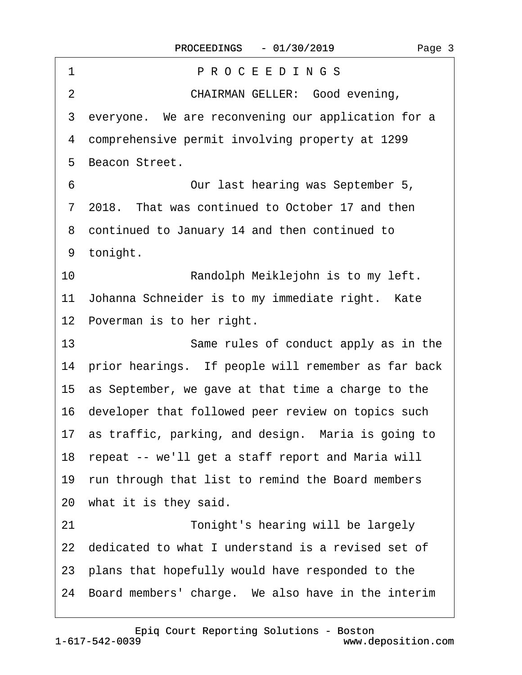| PROCEEDINGS<br>1                                       |
|--------------------------------------------------------|
| <b>CHAIRMAN GELLER: Good evening,</b><br>2             |
| 3 everyone. We are reconvening our application for a   |
| 4 comprehensive permit involving property at 1299      |
| 5 Beacon Street.                                       |
| 6<br>Our last hearing was September 5,                 |
| 7 2018. That was continued to October 17 and then      |
| 8 continued to January 14 and then continued to        |
| 9 tonight.                                             |
| 10<br>Randolph Meiklejohn is to my left.               |
| 11 Johanna Schneider is to my immediate right. Kate    |
| 12 Poverman is to her right.                           |
| 13<br>Same rules of conduct apply as in the            |
| 14 prior hearings. If people will remember as far back |
| 15 as September, we gave at that time a charge to the  |
| 16 developer that followed peer review on topics such  |
| 17 as traffic, parking, and design. Maria is going to  |
| 18 repeat -- we'll get a staff report and Maria will   |
| 19 run through that list to remind the Board members   |
| 20 what it is they said.                               |
| 21<br>Tonight's hearing will be largely                |
| 22 dedicated to what I understand is a revised set of  |
| 23 plans that hopefully would have responded to the    |
| 24 Board members' charge. We also have in the interim  |
|                                                        |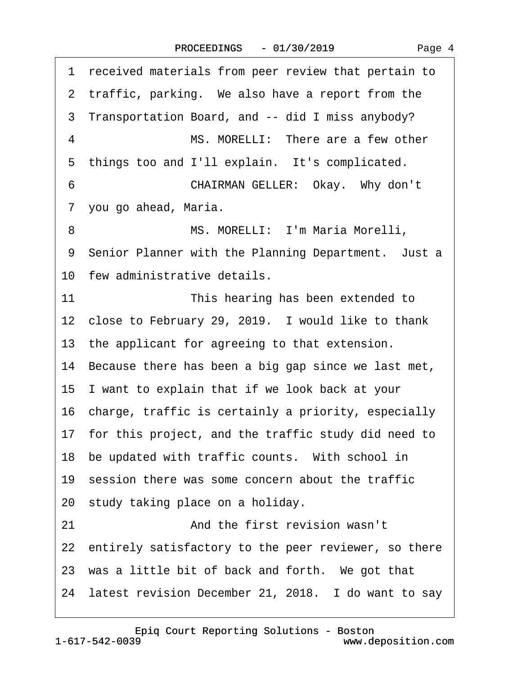·1· received materials from peer review that pertain to 2 traffic, parking. We also have a report from the ·3· Transportation Board, and -- did I miss anybody? 4 MS. MORELLI: There are a few other 5 things too and I'll explain. It's complicated. 6 **CHAIRMAN GELLER: Okay. Why don't** 7 you go ahead, Maria. 8 MS. MORELLI: I'm Maria Morelli, 9 Senior Planner with the Planning Department. Just a 10 few administrative details. 11 **In is hearing has been extended to** 12 close to February 29, 2019. I would like to thank 13 the applicant for agreeing to that extension. 14 Because there has been a big gap since we last met, 15· I want to explain that if we look back at your 16· charge, traffic is certainly a priority, especially 17 for this project, and the traffic study did need to 18 be updated with traffic counts. With school in 19· session there was some concern about the traffic 20 study taking place on a holiday. 21 • 21 **And the first revision wasn't** 22 entirely satisfactory to the peer reviewer, so there 23 was a little bit of back and forth. We got that 24 latest revision December 21, 2018. I do want to say

[Epiq Court Reporting Solutions - Boston](http://www.deposition.com)

Page 4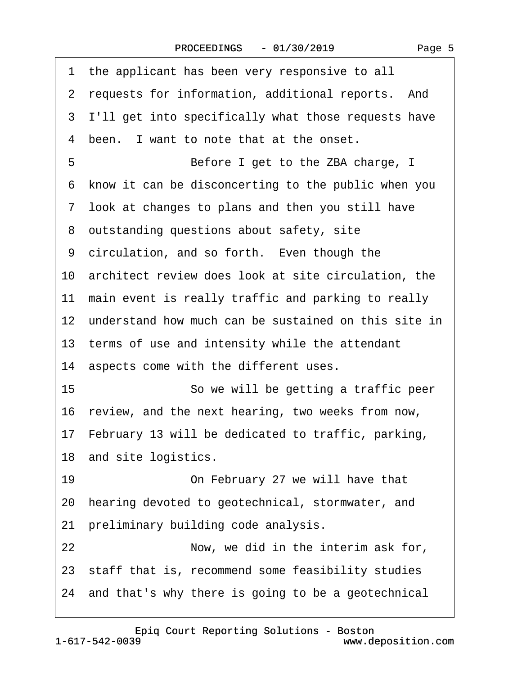| 1 the applicant has been very responsive to all         |
|---------------------------------------------------------|
| 2 requests for information, additional reports. And     |
| 3 I'll get into specifically what those requests have   |
| 4 been. I want to note that at the onset.               |
| 5<br>Before I get to the ZBA charge, I                  |
| 6 know it can be disconcerting to the public when you   |
| 7 look at changes to plans and then you still have      |
| 8 outstanding questions about safety, site              |
| 9 circulation, and so forth. Even though the            |
| 10 architect review does look at site circulation, the  |
| 11 main event is really traffic and parking to really   |
| 12 understand how much can be sustained on this site in |
| 13 terms of use and intensity while the attendant       |
| 14 aspects come with the different uses.                |
| 15<br>So we will be getting a traffic peer              |
| 16 review, and the next hearing, two weeks from now,    |
| 17 February 13 will be dedicated to traffic, parking,   |
| 18 and site logistics.                                  |
| 19<br>On February 27 we will have that                  |
| 20 hearing devoted to geotechnical, stormwater, and     |
| 21 preliminary building code analysis.                  |
| 22<br>Now, we did in the interim ask for,               |
| 23 staff that is, recommend some feasibility studies    |
| 24 and that's why there is going to be a geotechnical   |

[Epiq Court Reporting Solutions - Boston](http://www.deposition.com)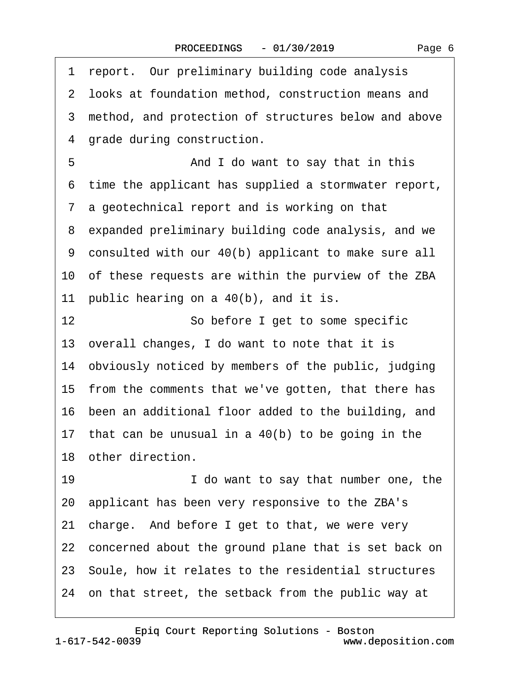1 report. Our preliminary building code analysis

|    | 2 looks at foundation method, construction means and    |
|----|---------------------------------------------------------|
|    | 3 method, and protection of structures below and above  |
|    | 4 grade during construction.                            |
| 5  | And I do want to say that in this                       |
|    | 6 time the applicant has supplied a stormwater report,  |
|    | 7 a geotechnical report and is working on that          |
|    | 8 expanded preliminary building code analysis, and we   |
|    | 9 consulted with our 40(b) applicant to make sure all   |
|    | 10 of these requests are within the purview of the ZBA  |
|    | 11 public hearing on a 40(b), and it is.                |
| 12 | So before I get to some specific                        |
|    | 13 overall changes, I do want to note that it is        |
|    | 14 obviously noticed by members of the public, judging  |
|    | 15 from the comments that we've gotten, that there has  |
|    | 16 been an additional floor added to the building, and  |
|    | 17 that can be unusual in a 40(b) to be going in the    |
|    | 18 other direction.                                     |
| 19 | I do want to say that number one, the                   |
|    | 20 applicant has been very responsive to the ZBA's      |
|    | 21 charge. And before I get to that, we were very       |
|    | 22 concerned about the ground plane that is set back on |
|    | 23 Soule, how it relates to the residential structures  |
|    | 24 on that street, the setback from the public way at   |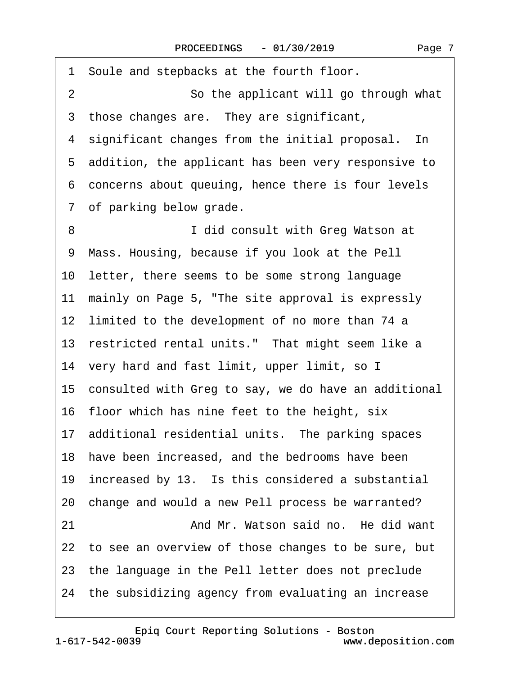| 1 Soule and stepbacks at the fourth floor.              |
|---------------------------------------------------------|
| $\overline{2}$<br>So the applicant will go through what |
| 3 those changes are. They are significant,              |
| 4 significant changes from the initial proposal. In     |
| 5 addition, the applicant has been very responsive to   |
| 6 concerns about queuing, hence there is four levels    |
| 7 of parking below grade.                               |
| 8<br>I did consult with Greg Watson at                  |
| 9 Mass. Housing, because if you look at the Pell        |
| 10 letter, there seems to be some strong language       |
| 11 mainly on Page 5, "The site approval is expressly    |
| 12 limited to the development of no more than 74 a      |
| 13 restricted rental units." That might seem like a     |
| 14 very hard and fast limit, upper limit, so I          |
| 15 consulted with Greg to say, we do have an additional |
| 16 floor which has nine feet to the height, six         |
| 17 additional residential units. The parking spaces     |
| 18 have been increased, and the bedrooms have been      |
| 19 increased by 13. Is this considered a substantial    |
| 20 change and would a new Pell process be warranted?    |
| And Mr. Watson said no. He did want<br>21               |
| 22 to see an overview of those changes to be sure, but  |
| 23 the language in the Pell letter does not preclude    |
| 24 the subsidizing agency from evaluating an increase   |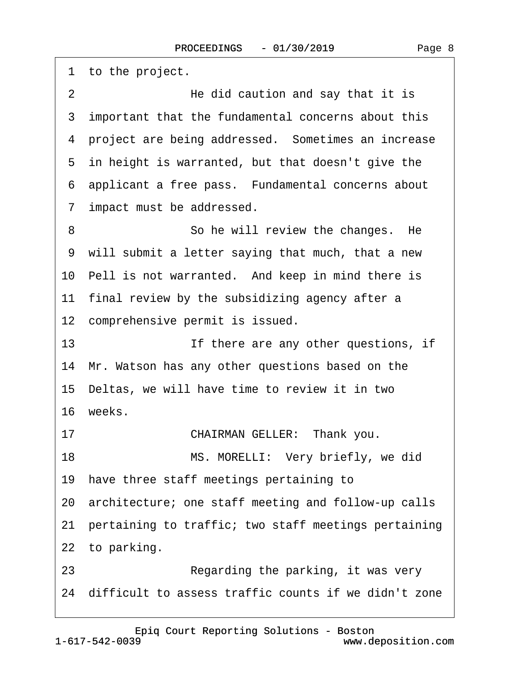|    | 1 to the project.                                       |
|----|---------------------------------------------------------|
| 2  | He did caution and say that it is                       |
|    | 3 important that the fundamental concerns about this    |
|    | 4 project are being addressed. Sometimes an increase    |
|    | 5 in height is warranted, but that doesn't give the     |
|    | 6 applicant a free pass. Fundamental concerns about     |
|    | 7 impact must be addressed.                             |
| 8  | So he will review the changes. He                       |
|    | 9 will submit a letter saying that much, that a new     |
|    | 10 Pell is not warranted. And keep in mind there is     |
|    | 11 final review by the subsidizing agency after a       |
|    | 12 comprehensive permit is issued.                      |
| 13 | If there are any other questions, if                    |
|    | 14 Mr. Watson has any other questions based on the      |
|    | 15 Deltas, we will have time to review it in two        |
|    | 16 weeks.                                               |
| 17 | CHAIRMAN GELLER: Thank you.                             |
| 18 | MS. MORELLI: Very briefly, we did                       |
|    | 19 have three staff meetings pertaining to              |
|    | 20 architecture; one staff meeting and follow-up calls  |
|    | 21 pertaining to traffic; two staff meetings pertaining |
|    | 22 to parking.                                          |
| 23 | Regarding the parking, it was very                      |
|    | 24 difficult to assess traffic counts if we didn't zone |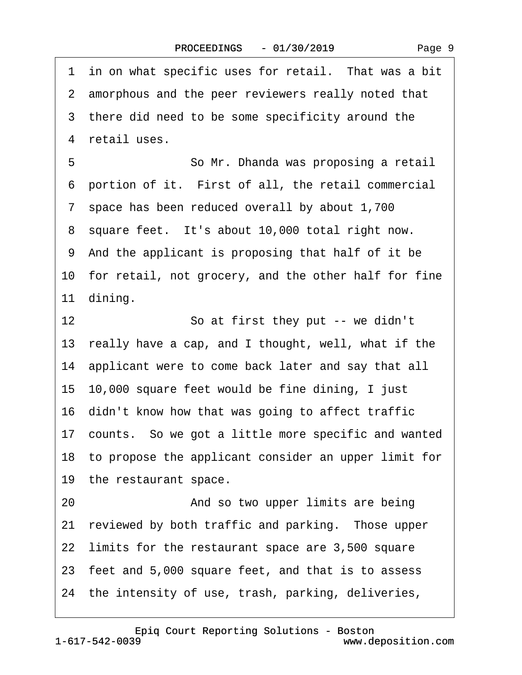1 in on what specific uses for retail. That was a bit 2 amorphous and the peer reviewers really noted that 3 there did need to be some specificity around the 4 retail uses. 5 **· · · · · · So Mr. Dhanda was proposing a retail** 6 portion of it. First of all, the retail commercial ·7· space has been reduced overall by about 1,700 8 square feet. It's about 10,000 total right now. ·9· And the applicant is proposing that half of it be 10 for retail, not grocery, and the other half for fine 11 dining. 12 **So at first they put -- we didn't** 13 really have a cap, and I thought, well, what if the 14· applicant were to come back later and say that all 15· 10,000 square feet would be fine dining, I just 16· didn't know how that was going to affect traffic 17 counts. So we got a little more specific and wanted 18· to propose the applicant consider an upper limit for 19 the restaurant space. 20 **• 20** And so two upper limits are being 21 reviewed by both traffic and parking. Those upper 22 limits for the restaurant space are 3,500 square 23· feet and 5,000 square feet, and that is to assess 24 the intensity of use, trash, parking, deliveries,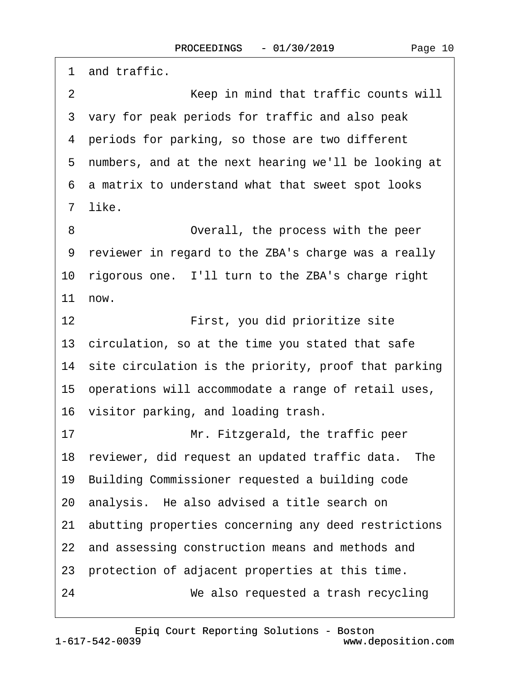1 and traffic.

·2· · · · · · · · ·Keep in mind that traffic counts will ·3· vary for peak periods for traffic and also peak 4 periods for parking, so those are two different 5 numbers, and at the next hearing we'll be looking at ·6· a matrix to understand what that sweet spot looks ·7· like. 8 **• • • • • • Overall, the process with the peer** ·9· reviewer in regard to the ZBA's charge was a really 10 rigorous one. I'll turn to the ZBA's charge right  $11$  now. 12 **• • First, you did prioritize site** 13· circulation, so at the time you stated that safe 14 site circulation is the priority, proof that parking 15· operations will accommodate a range of retail uses, 16· visitor parking, and loading trash. 17 **In the Mr. Fitzgerald, the traffic peer** 18 reviewer, did request an updated traffic data. The 19· Building Commissioner requested a building code 20 analysis. He also advised a title search on 21· abutting properties concerning any deed restrictions 22 and assessing construction means and methods and 23· protection of adjacent properties at this time. 24· · · · · · · · ·We also requested a trash recycling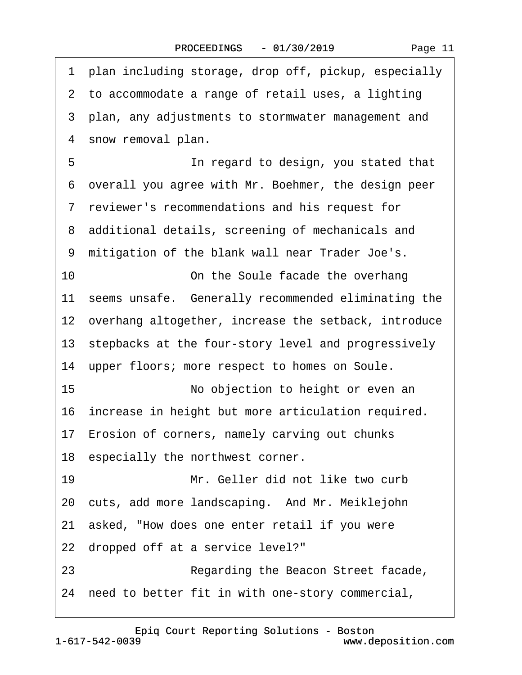| Page 11 |  |
|---------|--|
|---------|--|

| 1 plan including storage, drop off, pickup, especially  |
|---------------------------------------------------------|
| 2 to accommodate a range of retail uses, a lighting     |
| 3 plan, any adjustments to stormwater management and    |
| 4 snow removal plan.                                    |
| 5<br>In regard to design, you stated that               |
| 6 overall you agree with Mr. Boehmer, the design peer   |
| 7 reviewer's recommendations and his request for        |
| 8 additional details, screening of mechanicals and      |
| 9 mitigation of the blank wall near Trader Joe's.       |
| 10<br>On the Soule facade the overhang                  |
| 11 seems unsafe. Generally recommended eliminating the  |
| 12 overhang altogether, increase the setback, introduce |
| 13 stepbacks at the four-story level and progressively  |
| 14 upper floors; more respect to homes on Soule.        |
| 15<br>No objection to height or even an                 |
| 16 increase in height but more articulation required.   |
| 17 Erosion of corners, namely carving out chunks        |
| 18 especially the northwest corner.                     |
| Mr. Geller did not like two curb<br>19                  |
| 20 cuts, add more landscaping. And Mr. Meiklejohn       |
| 21 asked, "How does one enter retail if you were        |
| 22 dropped off at a service level?"                     |
| Regarding the Beacon Street facade,<br>23               |
| 24 need to better fit in with one-story commercial,     |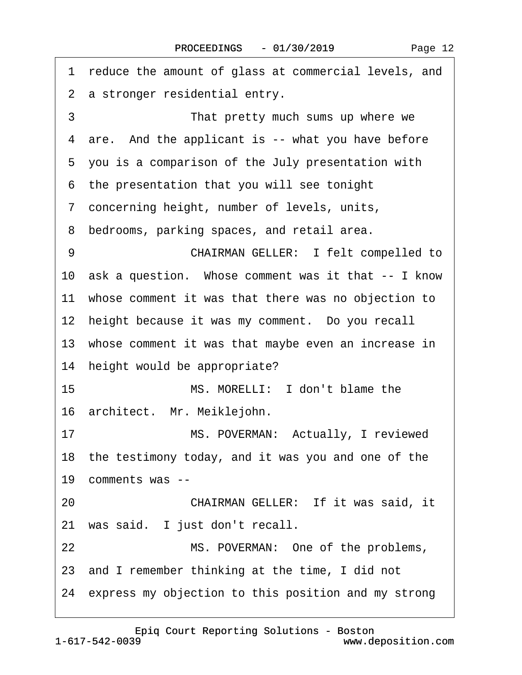| 1 reduce the amount of glass at commercial levels, and |
|--------------------------------------------------------|
| 2 a stronger residential entry.                        |
| 3<br>That pretty much sums up where we                 |
| 4 are. And the applicant is -- what you have before    |
| 5 you is a comparison of the July presentation with    |
| 6 the presentation that you will see tonight           |
| 7 concerning height, number of levels, units,          |
| 8 bedrooms, parking spaces, and retail area.           |
| <b>CHAIRMAN GELLER: I felt compelled to</b><br>9       |
| 10 ask a question. Whose comment was it that -- I know |
| 11 whose comment it was that there was no objection to |
| 12 height because it was my comment. Do you recall     |
| 13 whose comment it was that maybe even an increase in |
| 14 height would be appropriate?                        |
| 15<br>MS. MORELLI: I don't blame the                   |
| 16 architect. Mr. Meiklejohn.                          |
| MS. POVERMAN: Actually, I reviewed<br>17               |
| 18 the testimony today, and it was you and one of the  |
| 19 comments was --                                     |
| CHAIRMAN GELLER: If it was said, it<br>20              |
| 21 was said. I just don't recall.                      |
| 22<br>MS. POVERMAN: One of the problems,               |
| 23 and I remember thinking at the time, I did not      |
| 24 express my objection to this position and my strong |

[Epiq Court Reporting Solutions - Boston](http://www.deposition.com)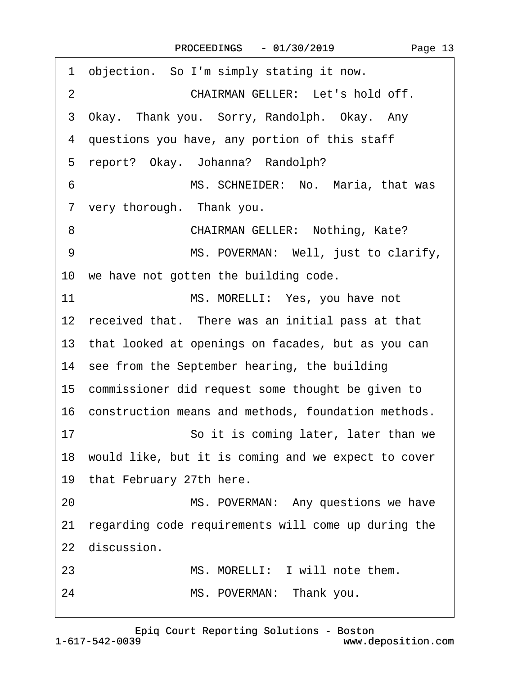| objection. So I'm simply stating it now.<br>1          |
|--------------------------------------------------------|
| CHAIRMAN GELLER: Let's hold off.<br>$\overline{2}$     |
| 3 Okay. Thank you. Sorry, Randolph. Okay. Any          |
| 4 questions you have, any portion of this staff        |
| 5 report? Okay. Johanna? Randolph?                     |
| MS. SCHNEIDER: No. Maria, that was<br>6                |
| 7 very thorough. Thank you.                            |
| <b>CHAIRMAN GELLER: Nothing, Kate?</b><br>8            |
| MS. POVERMAN: Well, just to clarify,<br>9              |
| 10 we have not gotten the building code.               |
| 11<br>MS. MORELLI: Yes, you have not                   |
| 12 received that. There was an initial pass at that    |
| 13 that looked at openings on facades, but as you can  |
| 14 see from the September hearing, the building        |
| 15 commissioner did request some thought be given to   |
| 16 construction means and methods, foundation methods. |
| So it is coming later, later than we<br>17             |
| 18 would like, but it is coming and we expect to cover |
| 19 that February 27th here.                            |
| MS. POVERMAN: Any questions we have<br>20              |
| 21 regarding code requirements will come up during the |
| 22 discussion.                                         |
| MS. MORELLI: I will note them.<br>23                   |
| MS. POVERMAN: Thank you.<br>24                         |
|                                                        |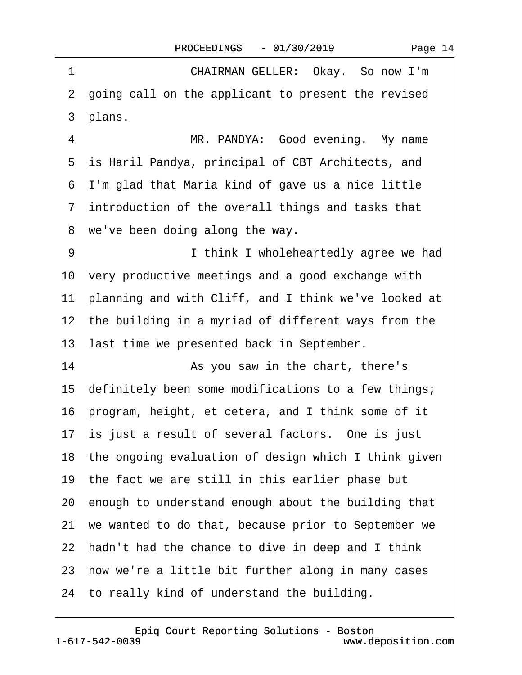| 1  | CHAIRMAN GELLER: Okay. So now I'm                       |
|----|---------------------------------------------------------|
|    | 2 going call on the applicant to present the revised    |
|    | 3 plans.                                                |
| 4  | MR. PANDYA: Good evening. My name                       |
|    | 5 is Haril Pandya, principal of CBT Architects, and     |
|    | 6 I'm glad that Maria kind of gave us a nice little     |
|    | 7 introduction of the overall things and tasks that     |
|    | 8 we've been doing along the way.                       |
| 9  | I think I wholeheartedly agree we had                   |
|    | 10 very productive meetings and a good exchange with    |
|    | 11 planning and with Cliff, and I think we've looked at |
|    | 12 the building in a myriad of different ways from the  |
|    | 13 last time we presented back in September.            |
| 14 | As you saw in the chart, there's                        |
|    | 15 definitely been some modifications to a few things;  |
|    | 16 program, height, et cetera, and I think some of it   |
|    | 17 is just a result of several factors. One is just     |
|    | 18 the ongoing evaluation of design which I think given |
|    | 19 the fact we are still in this earlier phase but      |
|    | 20 enough to understand enough about the building that  |
|    | 21 we wanted to do that, because prior to September we  |
|    | 22 hadn't had the chance to dive in deep and I think    |
|    | 23 now we're a little bit further along in many cases   |
|    | 24 to really kind of understand the building.           |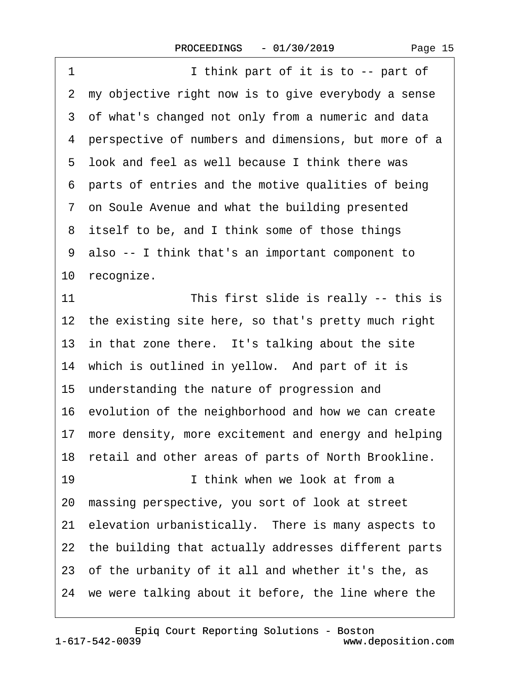| 1<br>I think part of it is to -- part of                |
|---------------------------------------------------------|
| 2 my objective right now is to give everybody a sense   |
| 3 of what's changed not only from a numeric and data    |
| 4 perspective of numbers and dimensions, but more of a  |
| 5 look and feel as well because I think there was       |
| 6 parts of entries and the motive qualities of being    |
| 7 on Soule Avenue and what the building presented       |
| 8 itself to be, and I think some of those things        |
| 9 also -- I think that's an important component to      |
| 10 recognize.                                           |
| 11<br>This first slide is really -- this is             |
| 12 the existing site here, so that's pretty much right  |
| 13 in that zone there. It's talking about the site      |
| 14 which is outlined in yellow. And part of it is       |
| 15 understanding the nature of progression and          |
| 16 evolution of the neighborhood and how we can create  |
| 17 more density, more excitement and energy and helping |
| 18 retail and other areas of parts of North Brookline.  |
| I think when we look at from a<br>19                    |
| 20 massing perspective, you sort of look at street      |
| 21 elevation urbanistically. There is many aspects to   |
| 22 the building that actually addresses different parts |
| 23 of the urbanity of it all and whether it's the, as   |
| 24 we were talking about it before, the line where the  |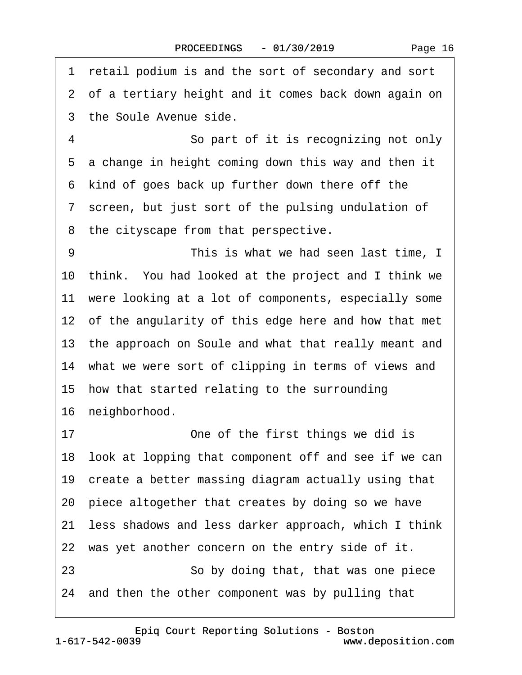1 retail podium is and the sort of secondary and sort 2 of a tertiary height and it comes back down again on 3 the Soule Avenue side. 4 **· · · · · · · So part of it is recognizing not only** 5 a change in height coming down this way and then it 6 kind of goes back up further down there off the 7 screen, but just sort of the pulsing undulation of 8 the cityscape from that perspective. 9 This is what we had seen last time, I 10· think.· You had looked at the project and I think we 11 were looking at a lot of components, especially some 12 of the angularity of this edge here and how that met 13 the approach on Soule and what that really meant and 14 what we were sort of clipping in terms of views and 15· how that started relating to the surrounding 16 neighborhood. 17 **• One of the first things we did is** 18 look at lopping that component off and see if we can 19 create a better massing diagram actually using that 20· piece altogether that creates by doing so we have 21· less shadows and less darker approach, which I think 22 was yet another concern on the entry side of it. 23 **• · · · · So by doing that, that was one piece** 24 and then the other component was by pulling that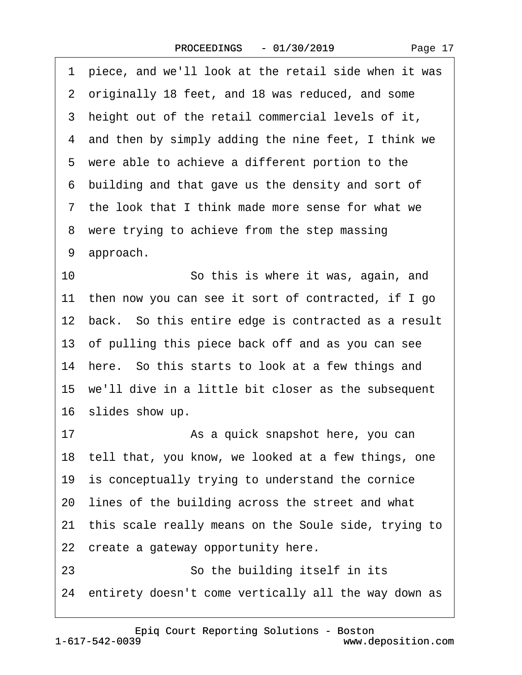·1· piece, and we'll look at the retail side when it was 2 originally 18 feet, and 18 was reduced, and some 3 height out of the retail commercial levels of it, 4 and then by simply adding the nine feet, I think we 5 were able to achieve a different portion to the ·6· building and that gave us the density and sort of ·7· the look that I think made more sense for what we 8 were trying to achieve from the step massing 9 approach. 10 **· · · · · So this is where it was, again, and** 11 then now you can see it sort of contracted, if I go 12 back. So this entire edge is contracted as a result 13· of pulling this piece back off and as you can see 14 here. So this starts to look at a few things and 15 we'll dive in a little bit closer as the subsequent 16 slides show up. 17 • **As a quick snapshot here, you can** 18 tell that, you know, we looked at a few things, one 19 is conceptually trying to understand the cornice 20· lines of the building across the street and what 21 this scale really means on the Soule side, trying to 22 create a gateway opportunity here.

23 **• · · · · So the building itself in its** 

24 entirety doesn't come vertically all the way down as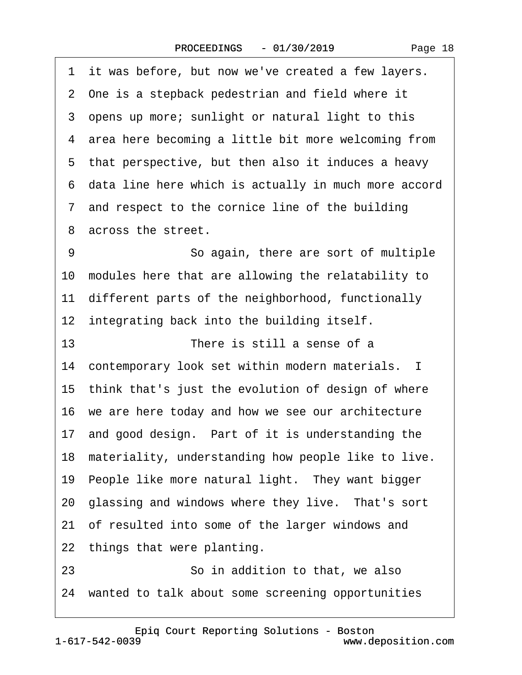1 it was before, but now we've created a few layers. 2 One is a stepback pedestrian and field where it 3 opens up more; sunlight or natural light to this 4 area here becoming a little bit more welcoming from 5 that perspective, but then also it induces a heavy ·6· data line here which is actually in much more accord 7 and respect to the cornice line of the building 8 across the street. 9 **· · · · · · So again, there are sort of multiple** 10 modules here that are allowing the relatability to 11 different parts of the neighborhood, functionally 12 integrating back into the building itself. 13 **There is still a sense of a** 14 contemporary look set within modern materials. I 15 think that's just the evolution of design of where 16 we are here today and how we see our architecture 17 and good design. Part of it is understanding the 18 materiality, understanding how people like to live. 19 People like more natural light. They want bigger 20 glassing and windows where they live. That's sort 21 of resulted into some of the larger windows and 22 things that were planting. 23 **• · · · · · So in addition to that, we also** 24 wanted to talk about some screening opportunities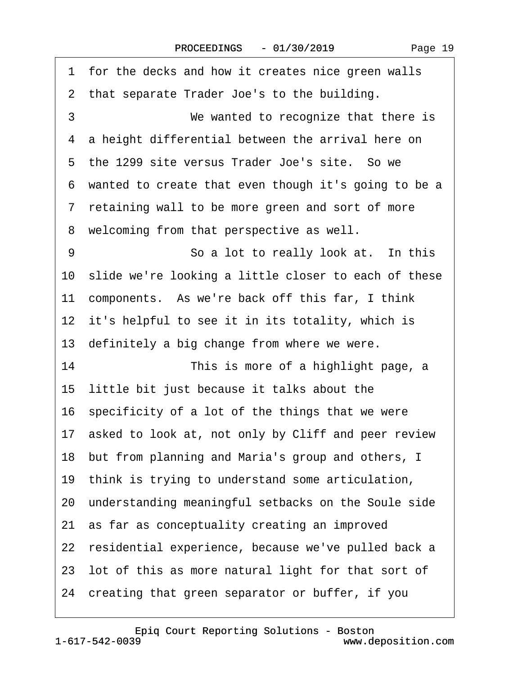1 for the decks and how it creates nice green walls ·2· that separate Trader Joe's to the building. 3 **We wanted to recognize that there is** 4 a height differential between the arrival here on 5 the 1299 site versus Trader Joe's site. So we ·6· wanted to create that even though it's going to be a ·7· retaining wall to be more green and sort of more 8 welcoming from that perspective as well. 9 **· · · · · · · So a lot to really look at.** In this 10 slide we're looking a little closer to each of these 11 components. As we're back off this far, I think 12 it's helpful to see it in its totality, which is 13 definitely a big change from where we were. 14 This is more of a highlight page, a 15 little bit just because it talks about the 16 specificity of a lot of the things that we were 17 asked to look at, not only by Cliff and peer review 18 but from planning and Maria's group and others, I 19 think is trying to understand some articulation, 20· understanding meaningful setbacks on the Soule side 21 as far as conceptuality creating an improved 22 residential experience, because we've pulled back a 23· lot of this as more natural light for that sort of 24· creating that green separator or buffer, if you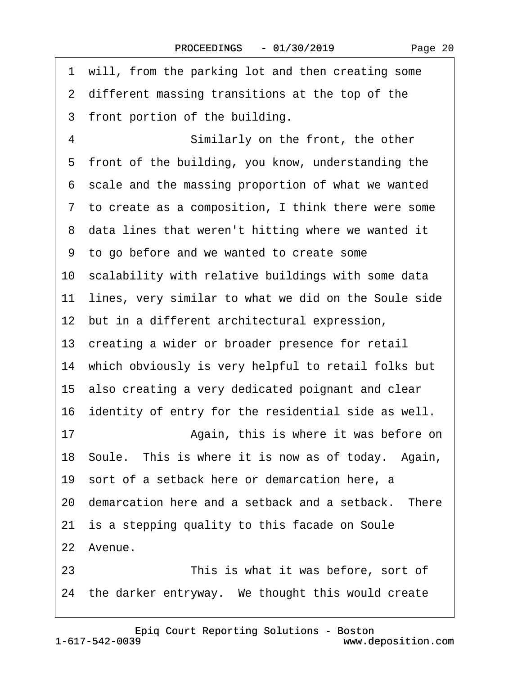|    | 1 will, from the parking lot and then creating some     |
|----|---------------------------------------------------------|
|    | 2 different massing transitions at the top of the       |
|    | 3 front portion of the building.                        |
| 4  | Similarly on the front, the other                       |
| 5  | front of the building, you know, understanding the      |
|    | 6 scale and the massing proportion of what we wanted    |
|    | 7 to create as a composition, I think there were some   |
|    | 8 data lines that weren't hitting where we wanted it    |
|    | 9 to go before and we wanted to create some             |
|    | 10 scalability with relative buildings with some data   |
|    | 11 lines, very similar to what we did on the Soule side |
|    | 12 but in a different architectural expression,         |
|    | 13 creating a wider or broader presence for retail      |
|    | 14 which obviously is very helpful to retail folks but  |
|    | 15 also creating a very dedicated poignant and clear    |
|    | 16 identity of entry for the residential side as well.  |
| 17 | Again, this is where it was before on                   |
|    | 18 Soule. This is where it is now as of today. Again,   |
|    | 19 sort of a setback here or demarcation here, a        |
|    | 20 demarcation here and a setback and a setback. There  |
|    | 21 is a stepping quality to this facade on Soule        |
|    | 22 Avenue.                                              |
| 23 | This is what it was before, sort of                     |
|    | 24 the darker entryway. We thought this would create    |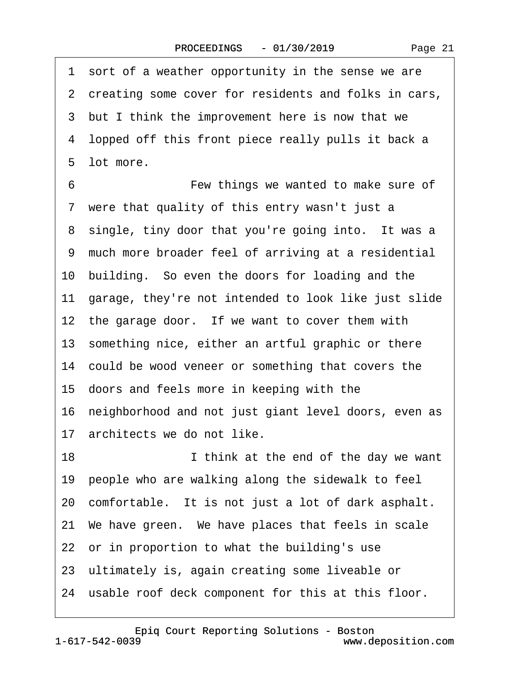1 sort of a weather opportunity in the sense we are 2 creating some cover for residents and folks in cars, 3 but I think the improvement here is now that we ·4· lopped off this front piece really pulls it back a 5 lot more. 6 **• • • • • • • • Few things we wanted to make sure of** 7 were that quality of this entry wasn't just a 8 single, tiny door that you're going into. It was a ·9· much more broader feel of arriving at a residential 10 building. So even the doors for loading and the 11 garage, they're not intended to look like just slide 12 the garage door. If we want to cover them with 13 something nice, either an artful graphic or there 14 could be wood veneer or something that covers the 15· doors and feels more in keeping with the 16· neighborhood and not just giant level doors, even as 17 architects we do not like. 18 **I** libink at the end of the day we want 19 people who are walking along the sidewalk to feel 20 comfortable. It is not just a lot of dark asphalt. 21· We have green.· We have places that feels in scale 22 or in proportion to what the building's use 23 ultimately is, again creating some liveable or 24 usable roof deck component for this at this floor.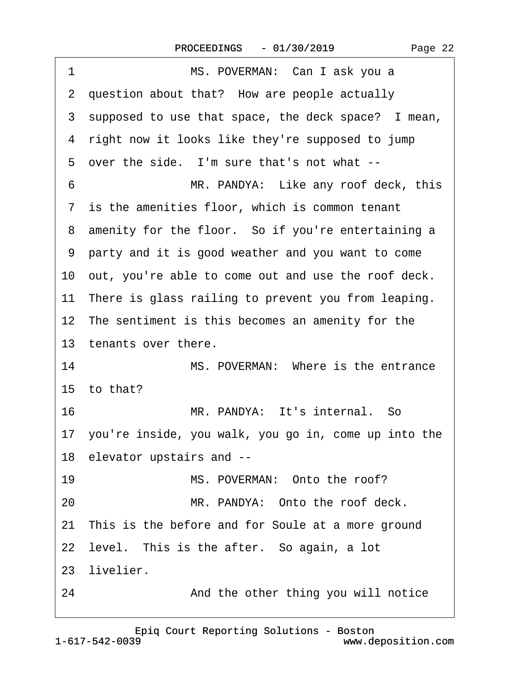| 1  | MS. POVERMAN: Can I ask you a                           |
|----|---------------------------------------------------------|
|    | 2 question about that? How are people actually          |
|    | 3 supposed to use that space, the deck space? I mean,   |
|    | 4 right now it looks like they're supposed to jump      |
|    | 5 over the side. I'm sure that's not what --            |
| 6  | MR. PANDYA: Like any roof deck, this                    |
|    | 7 is the amenities floor, which is common tenant        |
|    | 8 amenity for the floor. So if you're entertaining a    |
|    | 9 party and it is good weather and you want to come     |
|    | 10 out, you're able to come out and use the roof deck.  |
|    | 11 There is glass railing to prevent you from leaping.  |
|    | 12 The sentiment is this becomes an amenity for the     |
|    | 13 tenants over there.                                  |
| 14 | MS. POVERMAN: Where is the entrance                     |
|    | 15 to that?                                             |
| 16 | MR. PANDYA: It's internal. So                           |
|    | 17 you're inside, you walk, you go in, come up into the |
|    | 18 elevator upstairs and --                             |
| 19 | MS. POVERMAN: Onto the roof?                            |
| 20 | MR. PANDYA: Onto the roof deck.                         |
|    | 21 This is the before and for Soule at a more ground    |
|    | 22 level. This is the after. So again, a lot            |
|    | 23 livelier.                                            |
| 24 | And the other thing you will notice                     |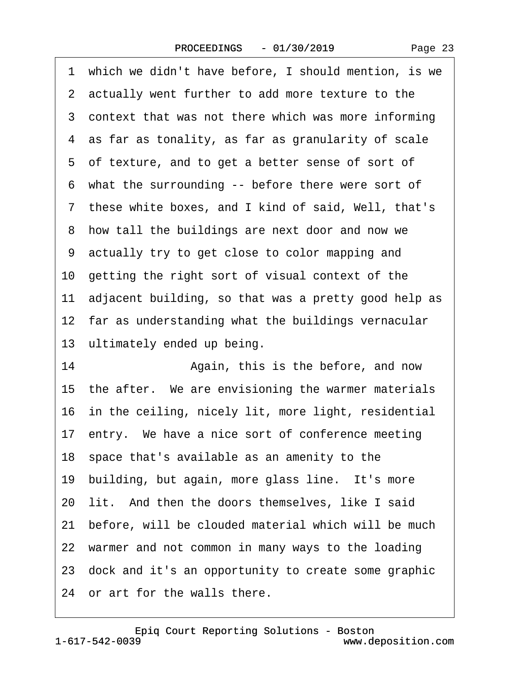| Page 23 |  |
|---------|--|
|---------|--|

|    | 1 which we didn't have before, I should mention, is we  |
|----|---------------------------------------------------------|
|    | 2 actually went further to add more texture to the      |
|    | 3 context that was not there which was more informing   |
|    | 4 as far as tonality, as far as granularity of scale    |
|    | 5 of texture, and to get a better sense of sort of      |
|    | 6 what the surrounding -- before there were sort of     |
|    | 7 these white boxes, and I kind of said, Well, that's   |
|    | 8 how tall the buildings are next door and now we       |
|    | 9 actually try to get close to color mapping and        |
|    | 10 getting the right sort of visual context of the      |
|    | 11 adjacent building, so that was a pretty good help as |
|    | 12 far as understanding what the buildings vernacular   |
|    | 13 ultimately ended up being.                           |
| 14 | Again, this is the before, and now                      |
|    | 15 the after. We are envisioning the warmer materials   |
|    | 16 in the ceiling, nicely lit, more light, residential  |
|    | 17 entry. We have a nice sort of conference meeting     |
|    | 18 space that's available as an amenity to the          |
|    | 19 building, but again, more glass line. It's more      |
|    | 20 lit. And then the doors themselves, like I said      |
|    | 21 before, will be clouded material which will be much  |
|    | 22 warmer and not common in many ways to the loading    |
|    | 23 dock and it's an opportunity to create some graphic  |
|    | 24 or art for the walls there.                          |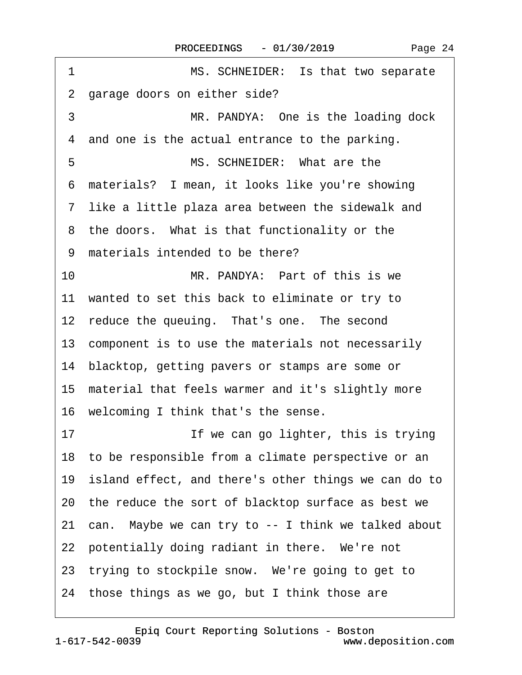| 1<br>MS. SCHNEIDER: Is that two separate                |
|---------------------------------------------------------|
| garage doors on either side?<br>2                       |
| 3<br>MR. PANDYA: One is the loading dock                |
| 4 and one is the actual entrance to the parking.        |
| MS. SCHNEIDER: What are the<br>5                        |
| 6 materials? I mean, it looks like you're showing       |
| 7 like a little plaza area between the sidewalk and     |
| 8 the doors. What is that functionality or the          |
| 9 materials intended to be there?                       |
| 10<br>MR. PANDYA: Part of this is we                    |
| 11 wanted to set this back to eliminate or try to       |
| 12 reduce the queuing. That's one. The second           |
| 13 component is to use the materials not necessarily    |
| 14 blacktop, getting pavers or stamps are some or       |
| 15 material that feels warmer and it's slightly more    |
| 16 welcoming I think that's the sense.                  |
| If we can go lighter, this is trying<br>17              |
| 18 to be responsible from a climate perspective or an   |
| 19 island effect, and there's other things we can do to |
| 20 the reduce the sort of blacktop surface as best we   |
| 21 can. Maybe we can try to -- I think we talked about  |
| 22 potentially doing radiant in there. We're not        |
| 23 trying to stockpile snow. We're going to get to      |
| 24 those things as we go, but I think those are         |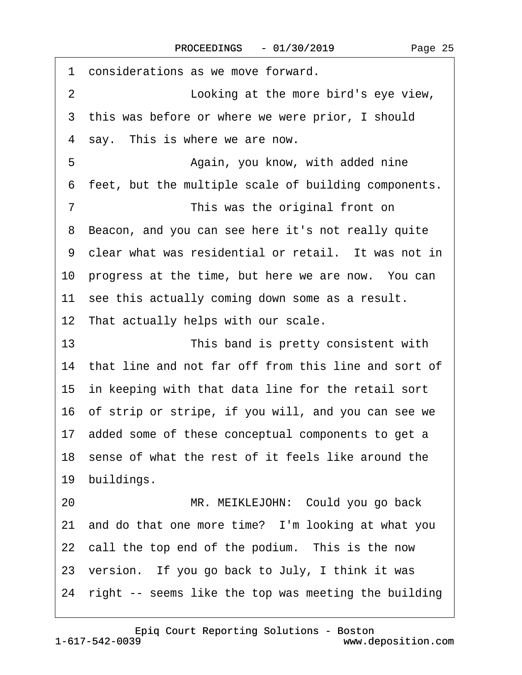| considerations as we move forward.<br>1                 |
|---------------------------------------------------------|
| $\overline{2}$<br>Looking at the more bird's eye view,  |
| 3 this was before or where we were prior, I should      |
| 4 say. This is where we are now.                        |
| 5<br>Again, you know, with added nine                   |
| 6 feet, but the multiple scale of building components.  |
| $\overline{7}$<br>This was the original front on        |
| 8 Beacon, and you can see here it's not really quite    |
| 9 clear what was residential or retail. It was not in   |
| 10 progress at the time, but here we are now. You can   |
| 11 see this actually coming down some as a result.      |
| 12 That actually helps with our scale.                  |
| 13<br>This band is pretty consistent with               |
| 14 that line and not far off from this line and sort of |
| 15 in keeping with that data line for the retail sort   |
| 16 of strip or stripe, if you will, and you can see we  |
| 17 added some of these conceptual components to get a   |
| 18 sense of what the rest of it feels like around the   |
| 19 buildings.                                           |
| MR. MEIKLEJOHN: Could you go back<br>20                 |
| 21 and do that one more time? I'm looking at what you   |
| 22 call the top end of the podium. This is the now      |
| 23 version. If you go back to July, I think it was      |
| 24 right -- seems like the top was meeting the building |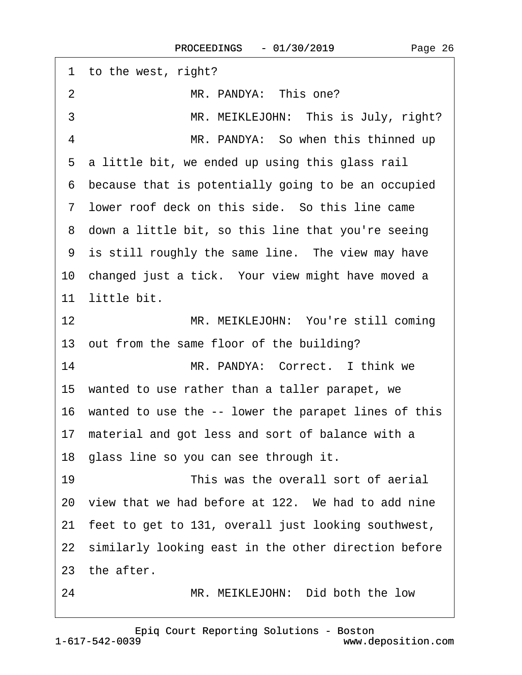| 1 to the west, right?                                   |  |
|---------------------------------------------------------|--|
| $\overline{2}$<br>MR. PANDYA: This one?                 |  |
| 3<br>MR. MEIKLEJOHN: This is July, right?               |  |
| MR. PANDYA: So when this thinned up<br>4                |  |
| 5 a little bit, we ended up using this glass rail       |  |
| 6 because that is potentially going to be an occupied   |  |
| 7 lower roof deck on this side. So this line came       |  |
| 8 down a little bit, so this line that you're seeing    |  |
| 9 is still roughly the same line. The view may have     |  |
| 10 changed just a tick. Your view might have moved a    |  |
| 11 little bit.                                          |  |
| 12<br>MR. MEIKLEJOHN: You're still coming               |  |
| 13 out from the same floor of the building?             |  |
| 14<br>MR. PANDYA: Correct. I think we                   |  |
| 15 wanted to use rather than a taller parapet, we       |  |
| 16 wanted to use the -- lower the parapet lines of this |  |
| 17 material and got less and sort of balance with a     |  |
| 18 glass line so you can see through it.                |  |
| 19<br>This was the overall sort of aerial               |  |
| 20 view that we had before at 122. We had to add nine   |  |
| 21 feet to get to 131, overall just looking southwest,  |  |
| 22 similarly looking east in the other direction before |  |
| 23 the after.                                           |  |
| 24<br>MR. MEIKLEJOHN: Did both the low                  |  |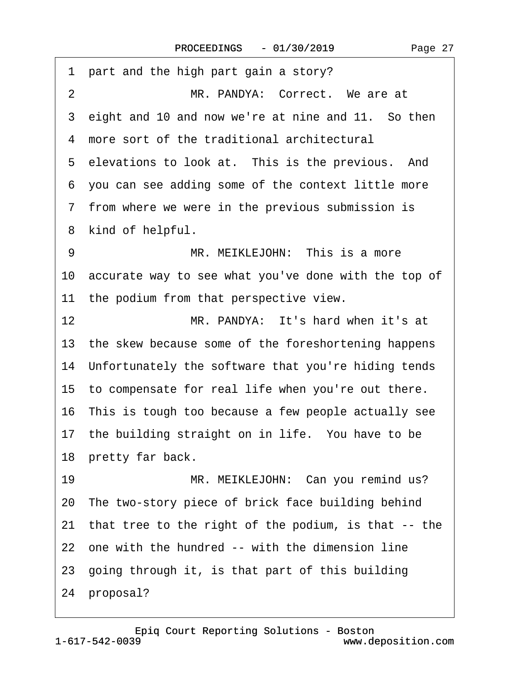| 1 part and the high part gain a story?                  |
|---------------------------------------------------------|
| MR. PANDYA: Correct. We are at<br>$\overline{2}$        |
| eight and 10 and now we're at nine and 11. So then<br>3 |
| 4 more sort of the traditional architectural            |
| 5 elevations to look at. This is the previous. And      |
| 6 you can see adding some of the context little more    |
| 7 from where we were in the previous submission is      |
| 8 kind of helpful.                                      |
| MR. MEIKLEJOHN: This is a more<br>9                     |
| 10 accurate way to see what you've done with the top of |
| 11 the podium from that perspective view.               |
| MR. PANDYA: It's hard when it's at<br>12                |
| 13 the skew because some of the foreshortening happens  |
| 14 Unfortunately the software that you're hiding tends  |
| 15 to compensate for real life when you're out there.   |
| 16 This is tough too because a few people actually see  |
| 17 the building straight on in life. You have to be     |
| 18 pretty far back.                                     |
| MR. MEIKLEJOHN: Can you remind us?<br>19                |
| 20 The two-story piece of brick face building behind    |
| 21 that tree to the right of the podium, is that -- the |
| 22 one with the hundred -- with the dimension line      |
| 23 going through it, is that part of this building      |
| 24 proposal?                                            |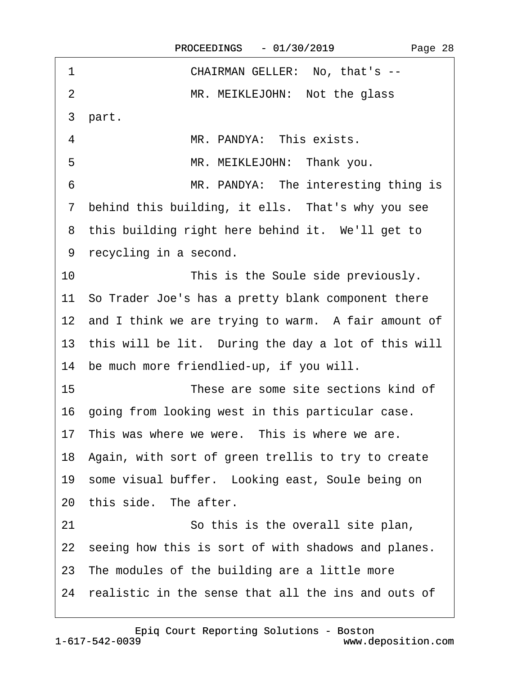| 1              | CHAIRMAN GELLER: No, that's --                         |
|----------------|--------------------------------------------------------|
| $\overline{2}$ | MR. MEIKLEJOHN: Not the glass                          |
| 3 part.        |                                                        |
| 4              | MR. PANDYA: This exists.                               |
| 5              | MR. MEIKLEJOHN: Thank you.                             |
| 6              | MR. PANDYA: The interesting thing is                   |
|                | 7 behind this building, it ells. That's why you see    |
|                | 8 this building right here behind it. We'll get to     |
|                | 9 recycling in a second.                               |
| 10             | This is the Soule side previously.                     |
|                | 11 So Trader Joe's has a pretty blank component there  |
|                | 12 and I think we are trying to warm. A fair amount of |
|                | 13 this will be lit. During the day a lot of this will |
|                | 14 be much more friendlied-up, if you will.            |
| 15             | These are some site sections kind of                   |
|                | 16 going from looking west in this particular case.    |
|                | 17 This was where we were. This is where we are.       |
|                | 18 Again, with sort of green trellis to try to create  |
|                | 19 some visual buffer. Looking east, Soule being on    |
|                | 20 this side. The after.                               |
| 21             | So this is the overall site plan,                      |
|                | 22 seeing how this is sort of with shadows and planes. |
|                | 23 The modules of the building are a little more       |
|                | 24 realistic in the sense that all the ins and outs of |
|                |                                                        |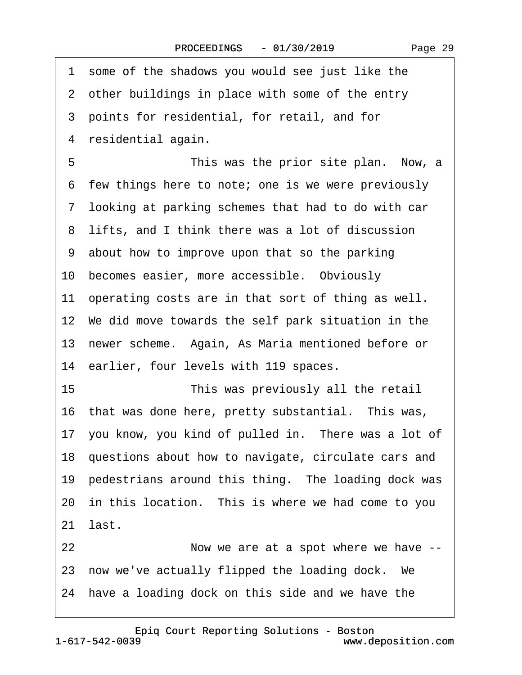Page 29

·1· some of the shadows you would see just like the 2 other buildings in place with some of the entry ·3· points for residential, for retail, and for 4 residential again. 5 **• This was the prior site plan.** Now, a 6 few things here to note; one is we were previously ·7· looking at parking schemes that had to do with car 8 lifts, and I think there was a lot of discussion ·9· about how to improve upon that so the parking 10 becomes easier, more accessible. Obviously 11 operating costs are in that sort of thing as well. 12 We did move towards the self park situation in the 13· newer scheme.· Again, As Maria mentioned before or 14 earlier, four levels with 119 spaces. 15 **• This was previously all the retail** 16 that was done here, pretty substantial. This was, 17 you know, you kind of pulled in. There was a lot of 18· questions about how to navigate, circulate cars and 19 pedestrians around this thing. The loading dock was 20 in this location. This is where we had come to you 21 last. 22 Now we are at a spot where we have --23 now we've actually flipped the loading dock. We 24 have a loading dock on this side and we have the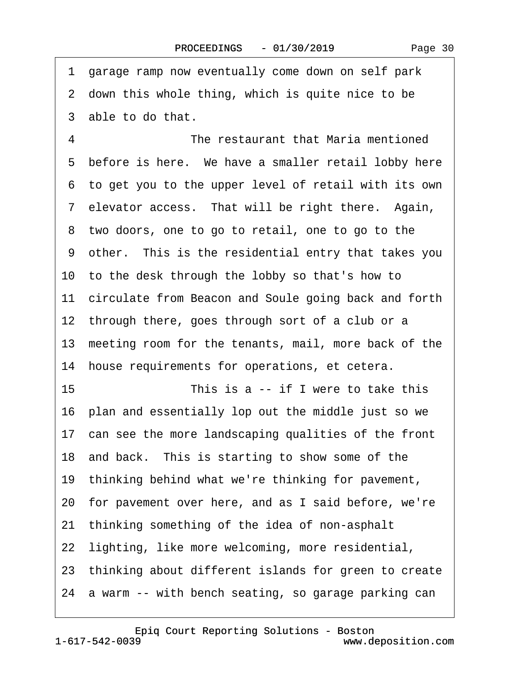·1· garage ramp now eventually come down on self park 2 down this whole thing, which is quite nice to be 3 able to do that. 4 **The restaurant that Maria mentioned** 5 before is here. We have a smaller retail lobby here ·6· to get you to the upper level of retail with its own 7 elevator access. That will be right there. Again, 8 two doors, one to go to retail, one to go to the ·9· other.· This is the residential entry that takes you 10· to the desk through the lobby so that's how to 11 circulate from Beacon and Soule going back and forth 12 through there, goes through sort of a club or a 13 meeting room for the tenants, mail, more back of the 14 house requirements for operations, et cetera. 15 **• This is a -- if I were to take this** 16· plan and essentially lop out the middle just so we 17 can see the more landscaping qualities of the front 18 and back. This is starting to show some of the 19· thinking behind what we're thinking for pavement, 20· for pavement over here, and as I said before, we're 21· thinking something of the idea of non-asphalt 22 lighting, like more welcoming, more residential, 23· thinking about different islands for green to create 24 a warm -- with bench seating, so garage parking can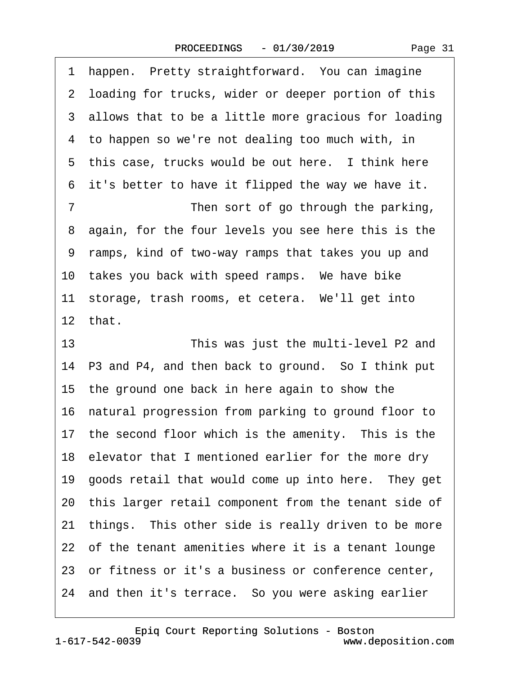1 happen. Pretty straightforward. You can imagine

2 loading for trucks, wider or deeper portion of this 3 allows that to be a little more gracious for loading 4 to happen so we're not dealing too much with, in 5 this case, trucks would be out here. I think here 6 it's better to have it flipped the way we have it. 7 Then sort of go through the parking, 8 again, for the four levels you see here this is the ·9· ramps, kind of two-way ramps that takes you up and 10 takes you back with speed ramps. We have bike 11 storage, trash rooms, et cetera. We'll get into 12· that. 13 This was just the multi-level P2 and 14 P3 and P4, and then back to ground. So I think put 15· the ground one back in here again to show the 16· natural progression from parking to ground floor to 17 the second floor which is the amenity. This is the 18 elevator that I mentioned earlier for the more dry 19 goods retail that would come up into here. They get 20 this larger retail component from the tenant side of 21 things. This other side is really driven to be more 22 of the tenant amenities where it is a tenant lounge 23 or fitness or it's a business or conference center, 24 and then it's terrace. So you were asking earlier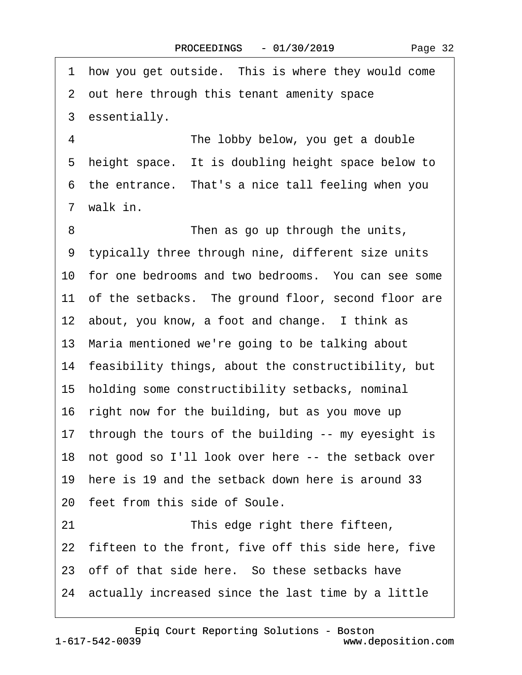1 how you get outside. This is where they would come

·2· out here through this tenant amenity space 3 essentially. 4 **The lobby below, you get a double** 5 height space. It is doubling height space below to 6 the entrance. That's a nice tall feeling when you 7 walk in. 8 **• • • • • • • Then as go up through the units,** ·9· typically three through nine, different size units 10 for one bedrooms and two bedrooms. You can see some 11 of the setbacks. The ground floor, second floor are 12 about, you know, a foot and change. I think as 13· Maria mentioned we're going to be talking about 14 feasibility things, about the constructibility, but 15· holding some constructibility setbacks, nominal 16 right now for the building, but as you move up 17 through the tours of the building -- my eyesight is 18 not good so I'll look over here -- the setback over 19· here is 19 and the setback down here is around 33 20 feet from this side of Soule. 21 This edge right there fifteen, 22 fifteen to the front, five off this side here, five 23 off of that side here. So these setbacks have 24· actually increased since the last time by a little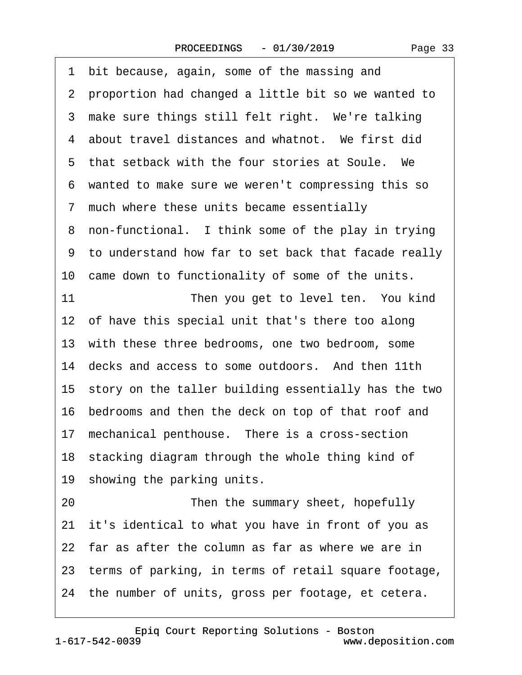·1· bit because, again, some of the massing and ·2· proportion had changed a little bit so we wanted to 3 make sure things still felt right. We're talking 4 about travel distances and whatnot. We first did 5 that setback with the four stories at Soule. We ·6· wanted to make sure we weren't compressing this so ·7· much where these units became essentially 8 non-functional. I think some of the play in trying ·9· to understand how far to set back that facade really 10 came down to functionality of some of the units. 11 **• Then you get to level ten.** You kind 12 of have this special unit that's there too along 13 with these three bedrooms, one two bedroom, some 14 decks and access to some outdoors. And then 11th 15 story on the taller building essentially has the two 16· bedrooms and then the deck on top of that roof and 17 mechanical penthouse. There is a cross-section 18 stacking diagram through the whole thing kind of 19 showing the parking units. 20 **• • Then the summary sheet, hopefully** 21· it's identical to what you have in front of you as 22 far as after the column as far as where we are in 23· terms of parking, in terms of retail square footage,

24 the number of units, gross per footage, et cetera.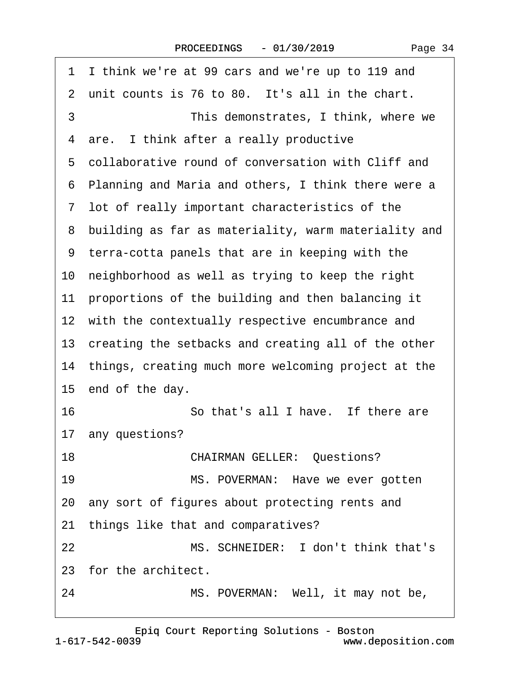| I think we're at 99 cars and we're up to 119 and<br>1  |
|--------------------------------------------------------|
| 2 unit counts is 76 to 80. It's all in the chart.      |
| 3<br>This demonstrates, I think, where we              |
| 4 are. I think after a really productive               |
| 5 collaborative round of conversation with Cliff and   |
| 6 Planning and Maria and others, I think there were a  |
| 7 lot of really important characteristics of the       |
| 8 building as far as materiality, warm materiality and |
| 9 terra-cotta panels that are in keeping with the      |
| 10 neighborhood as well as trying to keep the right    |
| 11 proportions of the building and then balancing it   |
| 12 with the contextually respective encumbrance and    |
| 13 creating the setbacks and creating all of the other |
| 14 things, creating much more welcoming project at the |
| 15 end of the day.                                     |
| 16<br>So that's all I have. If there are               |
| 17 any questions?                                      |
| 18<br><b>CHAIRMAN GELLER: Questions?</b>               |
| 19<br>MS. POVERMAN: Have we ever gotten                |
| 20 any sort of figures about protecting rents and      |
| 21 things like that and comparatives?                  |
| MS. SCHNEIDER: I don't think that's<br>22              |
| 23 for the architect.                                  |
| MS. POVERMAN: Well, it may not be,<br>24               |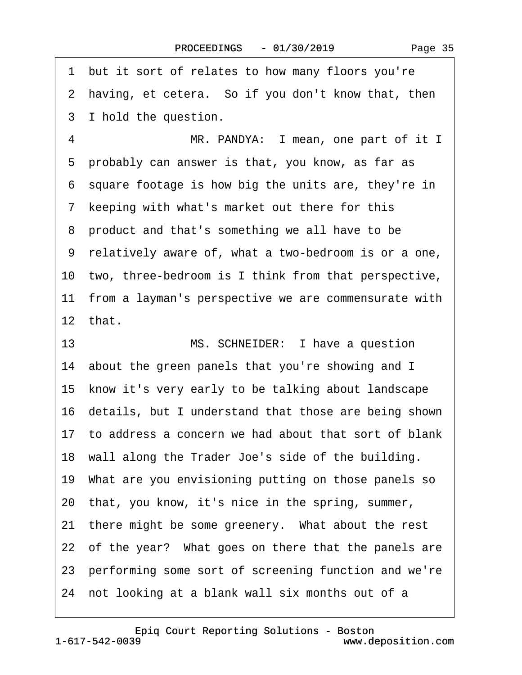·1· but it sort of relates to how many floors you're 2 having, et cetera. So if you don't know that, then 3 I hold the question. 4 MR. PANDYA: I mean, one part of it I 5 probably can answer is that, you know, as far as ·6· square footage is how big the units are, they're in 7 keeping with what's market out there for this 8 product and that's something we all have to be ·9· relatively aware of, what a two-bedroom is or a one, 10 two, three-bedroom is I think from that perspective, 11 from a layman's perspective we are commensurate with 12 that 13 MS. SCHNEIDER: I have a question 14 about the green panels that you're showing and I 15 know it's very early to be talking about landscape 16 details, but I understand that those are being shown 17· to address a concern we had about that sort of blank 18 wall along the Trader Joe's side of the building. 19· What are you envisioning putting on those panels so 20· that, you know, it's nice in the spring, summer, 21 there might be some greenery. What about the rest 22 of the year? What goes on there that the panels are 23 performing some sort of screening function and we're 24 not looking at a blank wall six months out of a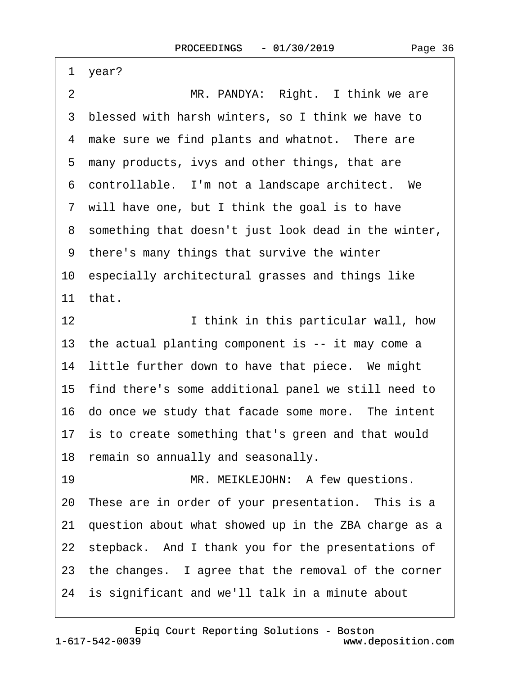| 1              | year?                                                   |
|----------------|---------------------------------------------------------|
| $\overline{2}$ | MR. PANDYA: Right. I think we are                       |
|                | 3 blessed with harsh winters, so I think we have to     |
|                | 4 make sure we find plants and whatnot. There are       |
|                | 5 many products, ivys and other things, that are        |
|                | 6 controllable. I'm not a landscape architect. We       |
|                | 7 will have one, but I think the goal is to have        |
|                | 8 something that doesn't just look dead in the winter,  |
|                | 9 there's many things that survive the winter           |
|                | 10 especially architectural grasses and things like     |
|                | 11 that.                                                |
| 12             | I think in this particular wall, how                    |
|                | 13 the actual planting component is -- it may come a    |
|                | 14 little further down to have that piece. We might     |
|                | 15 find there's some additional panel we still need to  |
|                | 16 do once we study that facade some more. The intent   |
|                | 17 is to create something that's green and that would   |
|                | 18 remain so annually and seasonally.                   |
| 19             | MR. MEIKLEJOHN: A few questions.                        |
|                | 20 These are in order of your presentation. This is a   |
|                | 21 question about what showed up in the ZBA charge as a |
|                | 22 stepback. And I thank you for the presentations of   |
|                | 23 the changes. I agree that the removal of the corner  |
|                | 24 is significant and we'll talk in a minute about      |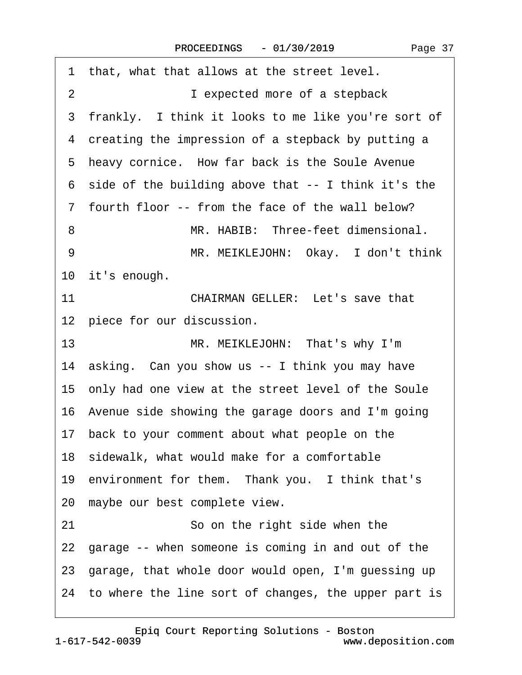$\sqrt{ }$ 

| 1 that, what that allows at the street level.           |
|---------------------------------------------------------|
| $\overline{2}$<br>I expected more of a stepback         |
| 3 frankly. I think it looks to me like you're sort of   |
| 4 creating the impression of a stepback by putting a    |
| 5 heavy cornice. How far back is the Soule Avenue       |
| 6 side of the building above that -- I think it's the   |
| 7 fourth floor -- from the face of the wall below?      |
| MR. HABIB: Three-feet dimensional.<br>8                 |
| 9<br>MR. MEIKLEJOHN: Okay. I don't think                |
| 10 it's enough.                                         |
| 11<br><b>CHAIRMAN GELLER: Let's save that</b>           |
| 12 piece for our discussion.                            |
| 13<br>MR. MEIKLEJOHN: That's why I'm                    |
| 14 asking. Can you show us -- I think you may have      |
| 15 only had one view at the street level of the Soule   |
| 16 Avenue side showing the garage doors and I'm going   |
| 17 back to your comment about what people on the        |
| 18 sidewalk, what would make for a comfortable          |
| 19 environment for them. Thank you. I think that's      |
| 20 maybe our best complete view.                        |
| 21<br>So on the right side when the                     |
| 22 garage -- when someone is coming in and out of the   |
| 23 garage, that whole door would open, I'm guessing up  |
| 24 to where the line sort of changes, the upper part is |
|                                                         |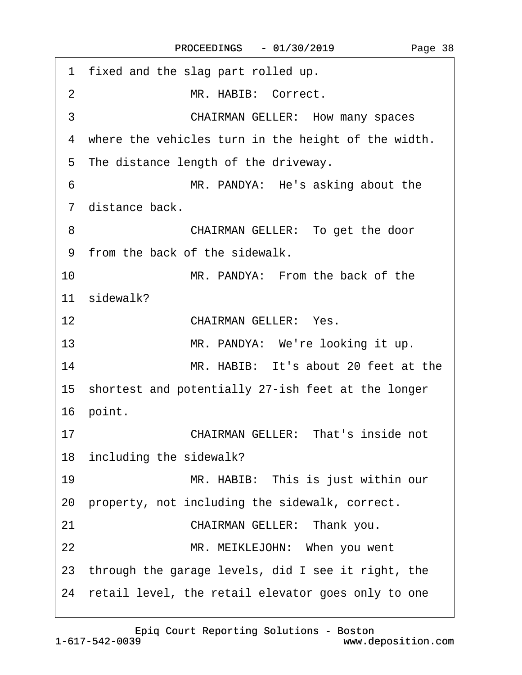| 1 fixed and the slag part rolled up.                  |
|-------------------------------------------------------|
| MR. HABIB: Correct.<br>2                              |
| 3<br><b>CHAIRMAN GELLER: How many spaces</b>          |
| 4 where the vehicles turn in the height of the width. |
| 5 The distance length of the driveway.                |
| MR. PANDYA: He's asking about the<br>6                |
| 7 distance back.                                      |
| 8<br>CHAIRMAN GELLER: To get the door                 |
| 9 from the back of the sidewalk.                      |
| 10<br>MR. PANDYA: From the back of the                |
| 11 sidewalk?                                          |
| 12<br><b>CHAIRMAN GELLER: Yes.</b>                    |
| 13<br>MR. PANDYA: We're looking it up.                |
| 14<br>MR. HABIB: It's about 20 feet at the            |
| 15 shortest and potentially 27-ish feet at the longer |
| 16 point.                                             |
| <b>CHAIRMAN GELLER: That's inside not</b><br>17       |
| 18 including the sidewalk?                            |
| 19<br>MR. HABIB: This is just within our              |
| 20 property, not including the sidewalk, correct.     |
| CHAIRMAN GELLER: Thank you.<br>21                     |
| 22<br>MR. MEIKLEJOHN: When you went                   |
| 23 through the garage levels, did I see it right, the |
| 24 retail level, the retail elevator goes only to one |
|                                                       |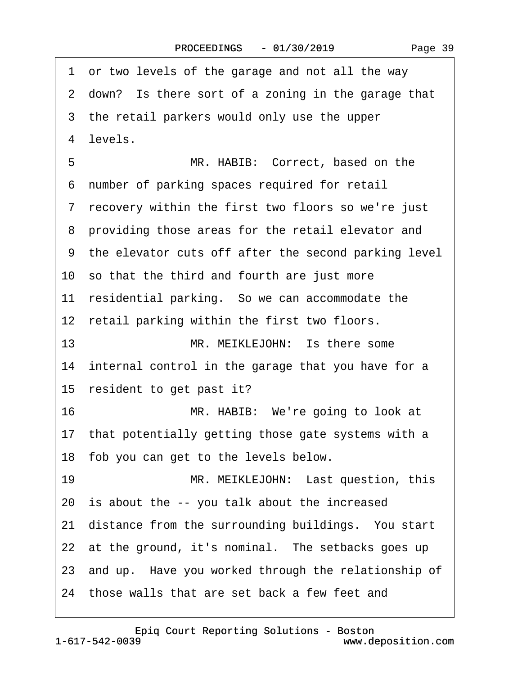·1· or two levels of the garage and not all the way 2 down? Is there sort of a zoning in the garage that 3 the retail parkers would only use the upper 4 levels. 5 MR. HABIB: Correct, based on the ·6· number of parking spaces required for retail ·7· recovery within the first two floors so we're just 8 providing those areas for the retail elevator and ·9· the elevator cuts off after the second parking level 10· so that the third and fourth are just more 11 residential parking. So we can accommodate the 12 retail parking within the first two floors. 13 MR. MEIKLEJOHN: Is there some 14 internal control in the garage that you have for a 15 resident to get past it? 16 MR. HABIB: We're going to look at 17 that potentially getting those gate systems with a 18 fob you can get to the levels below. 19 MR. MEIKLEJOHN: Last question, this 20 is about the -- you talk about the increased 21 distance from the surrounding buildings. You start 22 at the ground, it's nominal. The setbacks goes up 23 and up. Have you worked through the relationship of 24 those walls that are set back a few feet and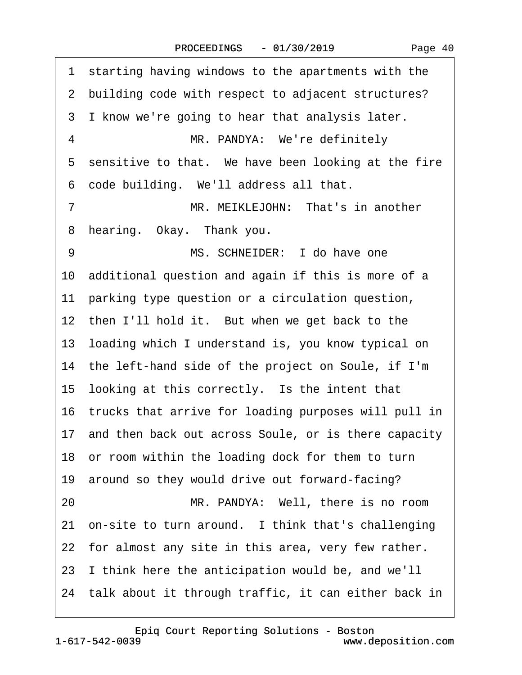1 starting having windows to the apartments with the 2 building code with respect to adjacent structures? 3 I know we're going to hear that analysis later. 4 **MR. PANDYA: We're definitely** 5 sensitive to that. We have been looking at the fire 6 code building. We'll address all that. 7 MR. MEIKLEJOHN: That's in another 8 hearing. Okay. Thank you. 9 MS. SCHNEIDER: I do have one 10 additional question and again if this is more of a 11 parking type question or a circulation question, 12 then I'll hold it. But when we get back to the 13· loading which I understand is, you know typical on 14 the left-hand side of the project on Soule, if I'm 15 looking at this correctly. Is the intent that 16· trucks that arrive for loading purposes will pull in 17 and then back out across Soule, or is there capacity 18 or room within the loading dock for them to turn 19 around so they would drive out forward-facing? 20 MR. PANDYA: Well, there is no room 21 on-site to turn around. I think that's challenging 22 for almost any site in this area, very few rather. 23· I think here the anticipation would be, and we'll 24 talk about it through traffic, it can either back in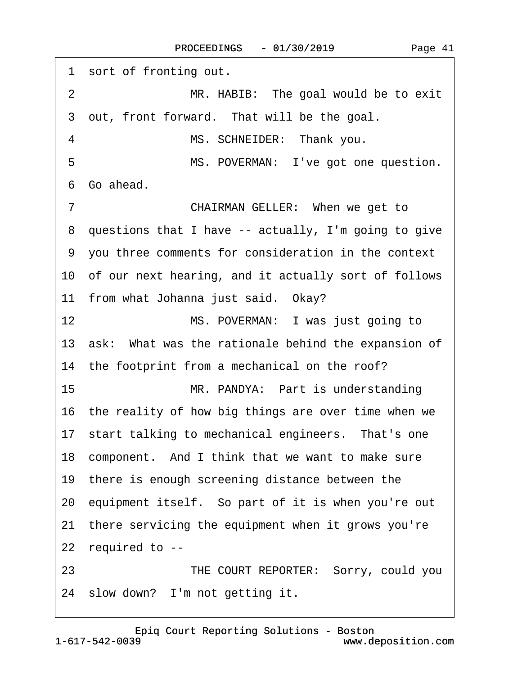| 1 sort of fronting out.                                 |
|---------------------------------------------------------|
| MR. HABIB: The goal would be to exit<br>$\overline{2}$  |
| 3 out, front forward. That will be the goal.            |
| 4<br>MS. SCHNEIDER: Thank you.                          |
| 5<br>MS. POVERMAN: I've got one question.               |
| Go ahead.<br>6                                          |
| $\overline{7}$<br>CHAIRMAN GELLER: When we get to       |
| 8 questions that I have -- actually, I'm going to give  |
| 9 you three comments for consideration in the context   |
| 10 of our next hearing, and it actually sort of follows |
| 11 from what Johanna just said. Okay?                   |
| MS. POVERMAN: I was just going to<br>12                 |
| 13 ask: What was the rationale behind the expansion of  |
| 14 the footprint from a mechanical on the roof?         |
| 15<br>MR. PANDYA: Part is understanding                 |
| 16 the reality of how big things are over time when we  |
| 17 start talking to mechanical engineers. That's one    |
| 18 component. And I think that we want to make sure     |
| 19 there is enough screening distance between the       |
| 20 equipment itself. So part of it is when you're out   |
| 21 there servicing the equipment when it grows you're   |
| 22 required to --                                       |
| THE COURT REPORTER: Sorry, could you<br>23              |
| 24 slow down? I'm not getting it.                       |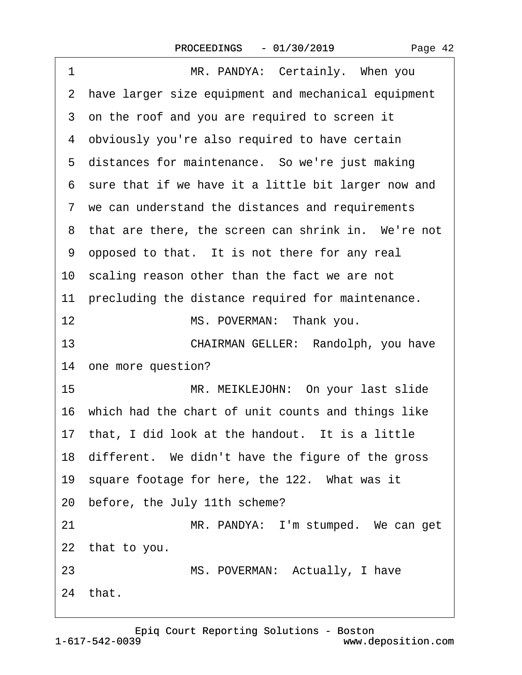| 1<br>MR. PANDYA: Certainly. When you                  |
|-------------------------------------------------------|
| 2 have larger size equipment and mechanical equipment |
| 3 on the roof and you are required to screen it       |
| 4 obviously you're also required to have certain      |
| 5 distances for maintenance. So we're just making     |
| 6 sure that if we have it a little bit larger now and |
| 7 we can understand the distances and requirements    |
| 8 that are there, the screen can shrink in. We're not |
| 9 opposed to that. It is not there for any real       |
| 10 scaling reason other than the fact we are not      |
| 11 precluding the distance required for maintenance.  |
| 12<br>MS. POVERMAN: Thank you.                        |
| 13<br>CHAIRMAN GELLER: Randolph, you have             |
| 14 one more question?                                 |
| 15<br>MR. MEIKLEJOHN: On your last slide              |
| 16 which had the chart of unit counts and things like |
| 17 that, I did look at the handout. It is a little    |
| 18 different. We didn't have the figure of the gross  |
| 19 square footage for here, the 122. What was it      |
| 20 before, the July 11th scheme?                      |
| 21<br>MR. PANDYA: I'm stumped. We can get             |
| 22 that to you.                                       |
| 23<br>MS. POVERMAN: Actually, I have                  |
| 24 that.                                              |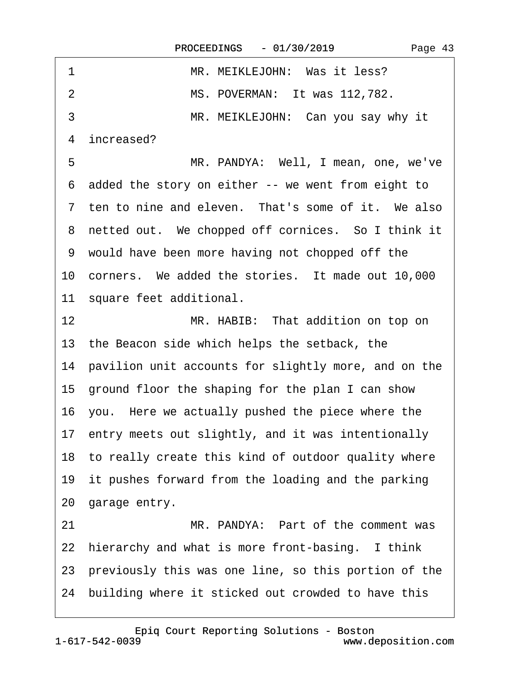| 1  | MR. MEIKLEJOHN: Was it less?                            |
|----|---------------------------------------------------------|
| 2  | MS. POVERMAN: It was 112,782.                           |
| 3  | MR. MEIKLEJOHN: Can you say why it                      |
| 4  | increased?                                              |
| 5  | MR. PANDYA: Well, I mean, one, we've                    |
|    | 6 added the story on either -- we went from eight to    |
|    | 7 ten to nine and eleven. That's some of it. We also    |
|    | 8 netted out. We chopped off cornices. So I think it    |
|    | 9 would have been more having not chopped off the       |
|    | 10 corners. We added the stories. It made out 10,000    |
|    | 11 square feet additional.                              |
| 12 | MR. HABIB: That addition on top on                      |
|    | 13 the Beacon side which helps the setback, the         |
|    | 14 pavilion unit accounts for slightly more, and on the |
|    | 15 ground floor the shaping for the plan I can show     |
|    | 16 you. Here we actually pushed the piece where the     |
|    | 17 entry meets out slightly, and it was intentionally   |
|    | 18 to really create this kind of outdoor quality where  |
|    | 19 it pushes forward from the loading and the parking   |
|    | 20 garage entry.                                        |
| 21 | MR. PANDYA: Part of the comment was                     |
|    | 22 hierarchy and what is more front-basing. I think     |
|    | 23 previously this was one line, so this portion of the |

24 building where it sticked out crowded to have this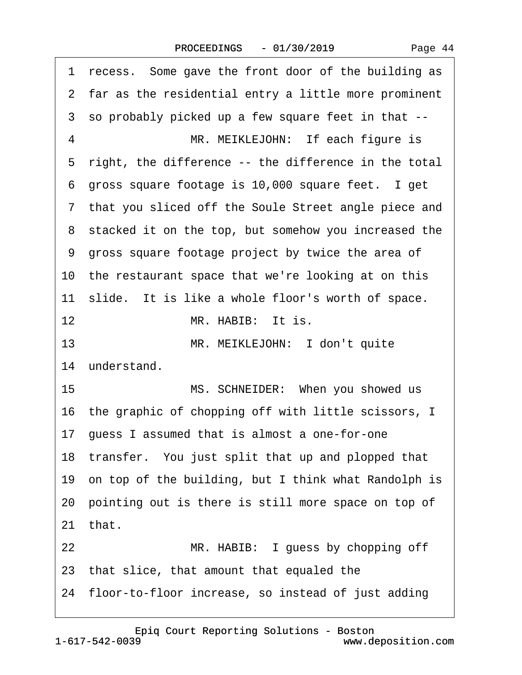|    | 1 recess. Some gave the front door of the building as   |
|----|---------------------------------------------------------|
|    | 2 far as the residential entry a little more prominent  |
|    | 3 so probably picked up a few square feet in that --    |
| 4  | MR. MEIKLEJOHN: If each figure is                       |
|    | 5 right, the difference -- the difference in the total  |
|    | 6 gross square footage is 10,000 square feet. I get     |
|    | 7 that you sliced off the Soule Street angle piece and  |
|    | 8 stacked it on the top, but somehow you increased the  |
|    | 9 gross square footage project by twice the area of     |
|    | 10 the restaurant space that we're looking at on this   |
|    | 11 slide. It is like a whole floor's worth of space.    |
| 12 | MR. HABIB: It is.                                       |
| 13 | MR. MEIKLEJOHN: I don't quite                           |
|    | 14 understand.                                          |
| 15 | MS. SCHNEIDER: When you showed us                       |
|    | 16 the graphic of chopping off with little scissors, I  |
|    | 17 guess I assumed that is almost a one-for-one         |
|    | 18 transfer. You just split that up and plopped that    |
|    | 19 on top of the building, but I think what Randolph is |
|    | 20 pointing out is there is still more space on top of  |
|    | 21 that.                                                |
| 22 | MR. HABIB: I guess by chopping off                      |
|    | 23 that slice, that amount that equaled the             |
|    | 24 floor-to-floor increase, so instead of just adding   |

[Epiq Court Reporting Solutions - Boston](http://www.deposition.com)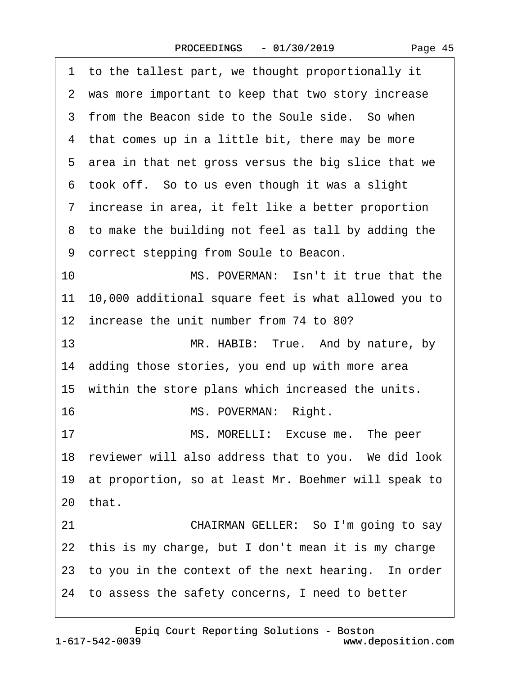| 1 to the tallest part, we thought proportionally it     |
|---------------------------------------------------------|
| 2 was more important to keep that two story increase    |
| 3 from the Beacon side to the Soule side. So when       |
| 4 that comes up in a little bit, there may be more      |
| 5 area in that net gross versus the big slice that we   |
| 6 took off. So to us even though it was a slight        |
| 7 increase in area, it felt like a better proportion    |
| 8 to make the building not feel as tall by adding the   |
| 9 correct stepping from Soule to Beacon.                |
| MS. POVERMAN: Isn't it true that the<br>10              |
| 11 10,000 additional square feet is what allowed you to |
| 12 increase the unit number from 74 to 80?              |
| 13<br>MR. HABIB: True. And by nature, by                |
| 14 adding those stories, you end up with more area      |
| 15 within the store plans which increased the units.    |
| MS. POVERMAN: Right.<br>16                              |
| 17<br>MS. MORELLI: Excuse me. The peer                  |
| 18 reviewer will also address that to you. We did look  |
| 19 at proportion, so at least Mr. Boehmer will speak to |
| 20 that.                                                |
| 21<br>CHAIRMAN GELLER: So I'm going to say              |
| 22 this is my charge, but I don't mean it is my charge  |
| 23 to you in the context of the next hearing. In order  |
| 24 to assess the safety concerns, I need to better      |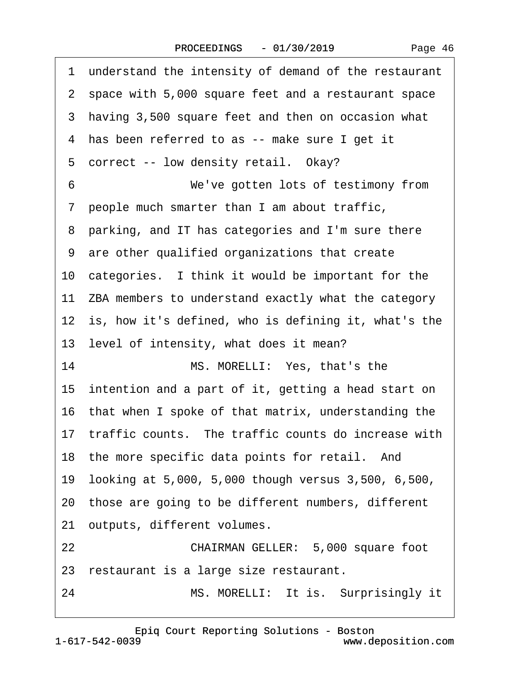| 1 understand the intensity of demand of the restaurant  |
|---------------------------------------------------------|
| 2 space with 5,000 square feet and a restaurant space   |
| 3 having 3,500 square feet and then on occasion what    |
| 4 has been referred to as -- make sure I get it         |
| 5 correct -- low density retail. Okay?                  |
| We've gotten lots of testimony from<br>6                |
| 7 people much smarter than I am about traffic,          |
| 8 parking, and IT has categories and I'm sure there     |
| 9 are other qualified organizations that create         |
| 10 categories. I think it would be important for the    |
| 11 ZBA members to understand exactly what the category  |
| 12 is, how it's defined, who is defining it, what's the |
| 13 level of intensity, what does it mean?               |
| 14<br>MS. MORELLI: Yes, that's the                      |
| 15 intention and a part of it, getting a head start on  |
| 16 that when I spoke of that matrix, understanding the  |
| 17 traffic counts. The traffic counts do increase with  |
| 18 the more specific data points for retail. And        |
| 19 looking at 5,000, 5,000 though versus 3,500, 6,500,  |
| 20 those are going to be different numbers, different   |
| 21 outputs, different volumes.                          |
|                                                         |
| 22<br>CHAIRMAN GELLER: 5,000 square foot                |
| 23 restaurant is a large size restaurant.               |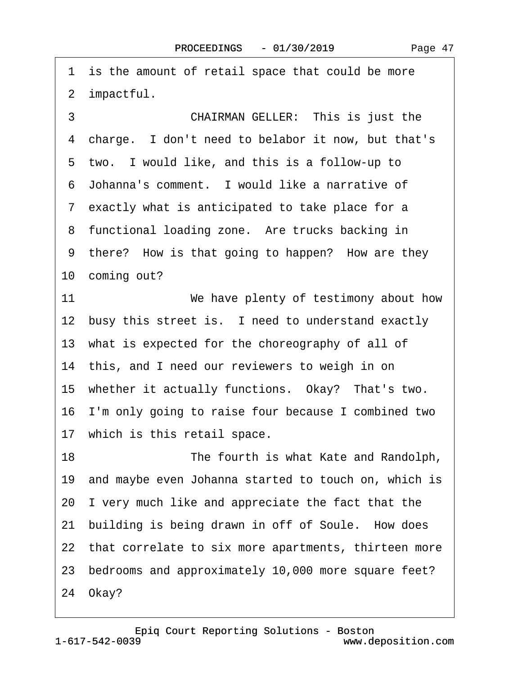1 is the amount of retail space that could be more 2 impactful.

3 **CHAIRMAN GELLER:** This is just the 4 charge. I don't need to belabor it now, but that's 5 two. I would like, and this is a follow-up to ·6· Johanna's comment.· I would like a narrative of 7 exactly what is anticipated to take place for a 8 functional loading zone. Are trucks backing in 9 there? How is that going to happen? How are they 10 coming out? 11 *We have plenty of testimony about how* 12 busy this street is. I need to understand exactly 13 what is expected for the choreography of all of 14 this, and I need our reviewers to weigh in on 15 whether it actually functions. Okay? That's two. 16 I'm only going to raise four because I combined two 17 which is this retail space. 18 **• The fourth is what Kate and Randolph,** 19· and maybe even Johanna started to touch on, which is 20· I very much like and appreciate the fact that the 21 building is being drawn in off of Soule. How does 22 that correlate to six more apartments, thirteen more 23· bedrooms and approximately 10,000 more square feet?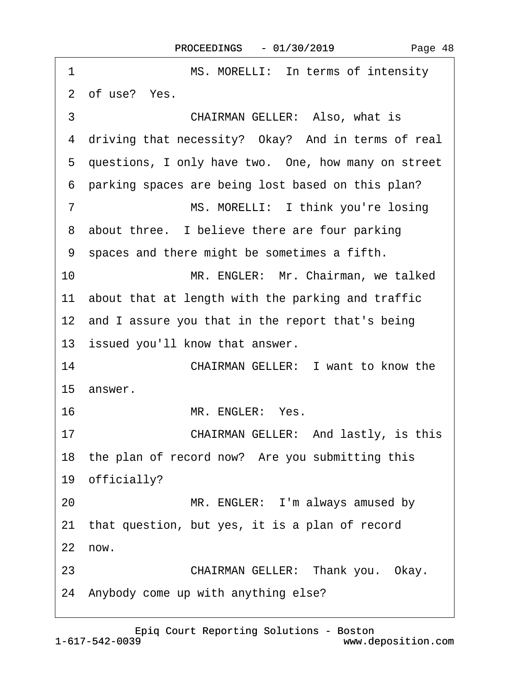$\Gamma$ 

| 1<br>MS. MORELLI: In terms of intensity               |
|-------------------------------------------------------|
| 2 of use? Yes.                                        |
| 3<br><b>CHAIRMAN GELLER: Also, what is</b>            |
| 4 driving that necessity? Okay? And in terms of real  |
| 5 questions, I only have two. One, how many on street |
| 6 parking spaces are being lost based on this plan?   |
| $\overline{7}$<br>MS. MORELLI: I think you're losing  |
| 8 about three. I believe there are four parking       |
| 9 spaces and there might be sometimes a fifth.        |
| 10<br>MR. ENGLER: Mr. Chairman, we talked             |
| 11 about that at length with the parking and traffic  |
| 12 and I assure you that in the report that's being   |
| 13 issued you'll know that answer.                    |
| 14<br><b>CHAIRMAN GELLER: I want to know the</b>      |
| 15 answer.                                            |
| MR. ENGLER: Yes.<br>16                                |
| 17<br>CHAIRMAN GELLER: And lastly, is this            |
| 18 the plan of record now? Are you submitting this    |
| 19 officially?                                        |
| MR. ENGLER: I'm always amused by<br>20                |
| 21 that question, but yes, it is a plan of record     |
| 22 now.                                               |
| 23<br>CHAIRMAN GELLER: Thank you. Okay.               |
| 24 Anybody come up with anything else?                |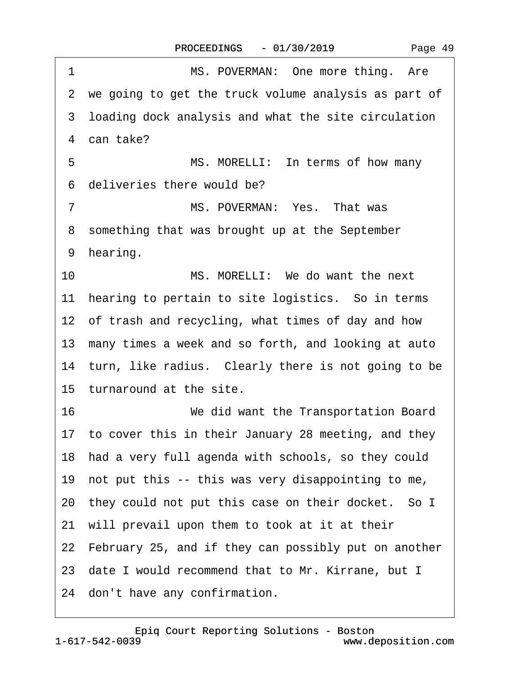|  | Page 49 |
|--|---------|
|--|---------|

1 MS. POVERMAN: One more thing. Are 2 we going to get the truck volume analysis as part of 3 loading dock analysis and what the site circulation 4 can take? 5 MS. MORELLI: In terms of how many ·6· deliveries there would be? 7 MS. POVERMAN: Yes. That was 8 something that was brought up at the September 9 hearing. 10 MS. MORELLI: We do want the next 11 hearing to pertain to site logistics. So in terms 12 of trash and recycling, what times of day and how 13 many times a week and so forth, and looking at auto 14 turn, like radius. Clearly there is not going to be 15 turnaround at the site. 16· · · · · · · · ·We did want the Transportation Board 17 to cover this in their January 28 meeting, and they 18· had a very full agenda with schools, so they could 19· not put this -- this was very disappointing to me, 20 they could not put this case on their docket. So I 21 will prevail upon them to took at it at their 22 February 25, and if they can possibly put on another 23· date I would recommend that to Mr. Kirrane, but I 24 don't have any confirmation.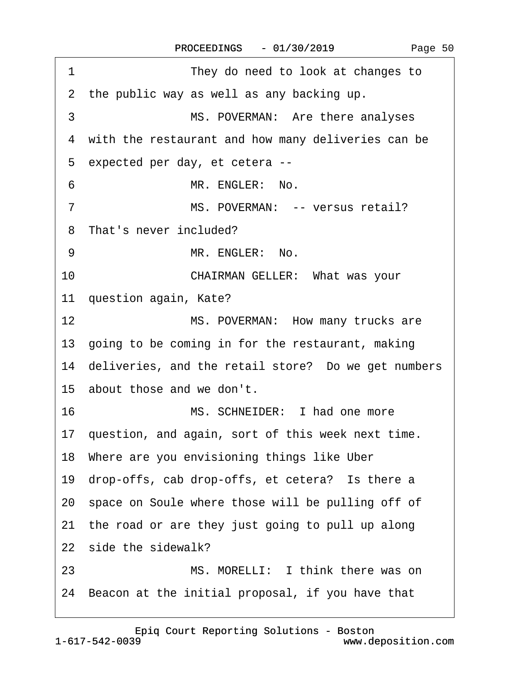| 1<br>They do need to look at changes to                |
|--------------------------------------------------------|
| 2 the public way as well as any backing up.            |
| MS. POVERMAN: Are there analyses<br>3                  |
| 4 with the restaurant and how many deliveries can be   |
| 5 expected per day, et cetera --                       |
| MR. ENGLER: No.<br>6                                   |
| MS. POVERMAN: -- versus retail?<br>7                   |
| 8 That's never included?                               |
| 9<br>MR. ENGLER: No.                                   |
| 10<br><b>CHAIRMAN GELLER: What was your</b>            |
| 11 question again, Kate?                               |
| 12 <sup>2</sup><br>MS. POVERMAN: How many trucks are   |
| 13 going to be coming in for the restaurant, making    |
| 14 deliveries, and the retail store? Do we get numbers |
| 15 about those and we don't.                           |
| MS. SCHNEIDER: I had one more<br>16                    |
| 17 question, and again, sort of this week next time.   |
| 18 Where are you envisioning things like Uber          |
| 19 drop-offs, cab drop-offs, et cetera? Is there a     |
| 20 space on Soule where those will be pulling off of   |
| 21 the road or are they just going to pull up along    |
| 22 side the sidewalk?                                  |
| MS. MORELLI: I think there was on<br>23                |
| 24 Beacon at the initial proposal, if you have that    |
|                                                        |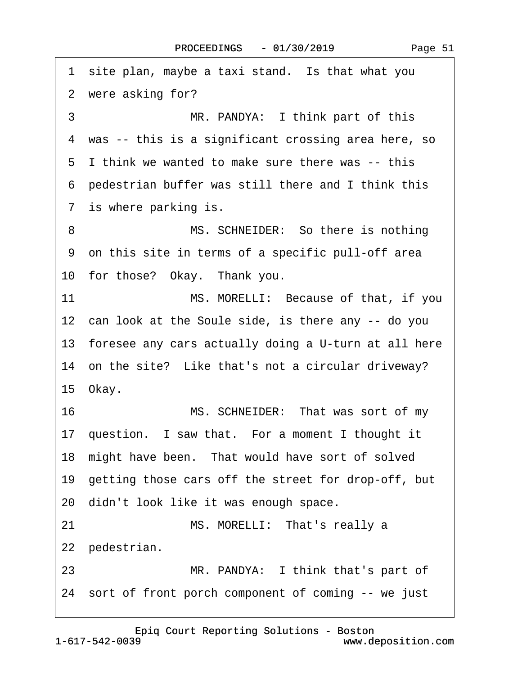1 site plan, maybe a taxi stand. Is that what you 2 were asking for? 3 MR. PANDYA: I think part of this 4 was -- this is a significant crossing area here, so ·5· I think we wanted to make sure there was -- this ·6· pedestrian buffer was still there and I think this 7 is where parking is. 8 MS. SCHNEIDER: So there is nothing ·9· on this site in terms of a specific pull-off area 10 for those? Okay. Thank you. 11 MS. MORELLI: Because of that, if you 12 can look at the Soule side, is there any -- do you 13 foresee any cars actually doing a U-turn at all here 14 on the site? Like that's not a circular driveway? 15 Okay. 16 MS. SCHNEIDER: That was sort of my 17 question. I saw that. For a moment I thought it 18 might have been. That would have sort of solved 19 getting those cars off the street for drop-off, but 20· didn't look like it was enough space. 21 MS. MORELLI: That's really a 22 pedestrian. 23 MR. PANDYA: I think that's part of 24 sort of front porch component of coming -- we just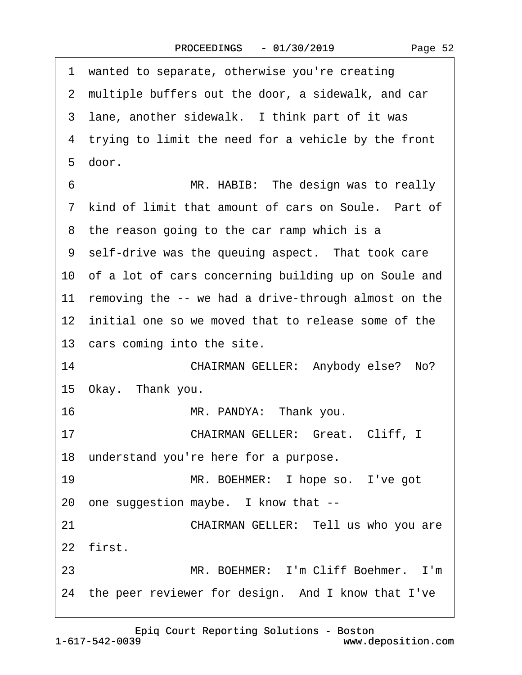|    | 1 wanted to separate, otherwise you're creating         |
|----|---------------------------------------------------------|
|    | 2 multiple buffers out the door, a sidewalk, and car    |
|    | 3 lane, another sidewalk. I think part of it was        |
|    | 4 trying to limit the need for a vehicle by the front   |
|    | 5 door.                                                 |
| 6  | MR. HABIB: The design was to really                     |
|    | 7 kind of limit that amount of cars on Soule. Part of   |
|    | 8 the reason going to the car ramp which is a           |
|    | 9 self-drive was the queuing aspect. That took care     |
|    | 10 of a lot of cars concerning building up on Soule and |
|    | 11 removing the -- we had a drive-through almost on the |
|    | 12 initial one so we moved that to release some of the  |
|    | 13 cars coming into the site.                           |
| 14 | CHAIRMAN GELLER: Anybody else? No?                      |
|    | 15 Okay. Thank you.                                     |
| 16 | MR. PANDYA: Thank you.                                  |
| 17 | CHAIRMAN GELLER: Great. Cliff, I                        |
|    | 18 understand you're here for a purpose.                |
| 19 | MR. BOEHMER: I hope so. I've got                        |
|    | 20 one suggestion maybe. I know that --                 |
| 21 | CHAIRMAN GELLER: Tell us who you are                    |
|    | 22 first.                                               |
| 23 | MR. BOEHMER: I'm Cliff Boehmer. I'm                     |
|    | 24 the peer reviewer for design. And I know that I've   |

Page 52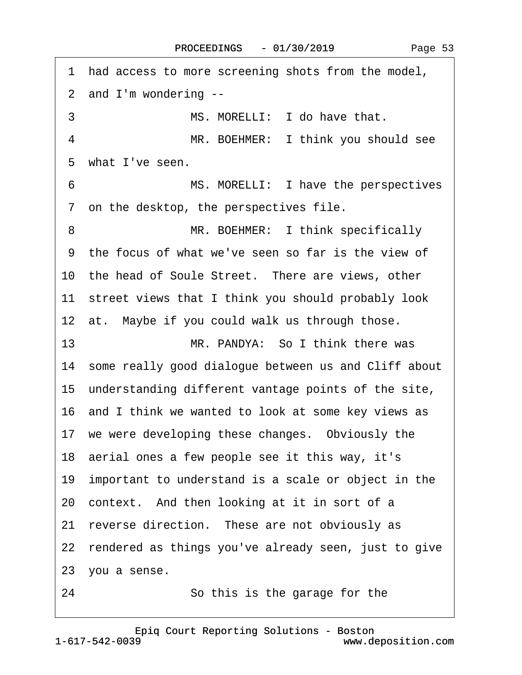| 1 had access to more screening shots from the model,    |
|---------------------------------------------------------|
| 2 and I'm wondering --                                  |
| 3<br>MS. MORELLI: I do have that.                       |
| MR. BOEHMER: I think you should see<br>4                |
| 5 what I've seen.                                       |
| MS. MORELLI: I have the perspectives<br>6               |
| 7 on the desktop, the perspectives file.                |
| MR. BOEHMER: I think specifically<br>8                  |
| 9 the focus of what we've seen so far is the view of    |
| 10 the head of Soule Street. There are views, other     |
| 11 street views that I think you should probably look   |
| 12 at. Maybe if you could walk us through those.        |
| MR. PANDYA: So I think there was<br>13                  |
| 14 some really good dialogue between us and Cliff about |
| 15 understanding different vantage points of the site,  |
| 16 and I think we wanted to look at some key views as   |
| 17 we were developing these changes. Obviously the      |
| 18 aerial ones a few people see it this way, it's       |
| 19 important to understand is a scale or object in the  |
| 20 context. And then looking at it in sort of a         |
| reverse direction. These are not obviously as<br>21     |
| 22 rendered as things you've already seen, just to give |
| 23 you a sense.                                         |
| 24<br>So this is the garage for the                     |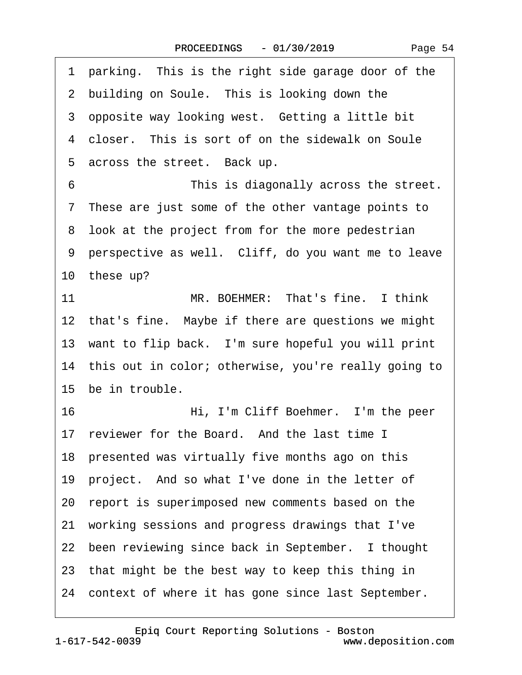1 parking. This is the right side garage door of the 2 building on Soule. This is looking down the 3 opposite way looking west. Getting a little bit 4 closer. This is sort of on the sidewalk on Soule 5 across the street. Back up. ·6· · · · · · · · ·This is diagonally across the street. ·7· These are just some of the other vantage points to 8 look at the project from for the more pedestrian ·9· perspective as well.· Cliff, do you want me to leave 10 these up? 11 **MR. BOEHMER: That's fine.** I think 12 that's fine. Maybe if there are questions we might 13 want to flip back. I'm sure hopeful you will print 14 this out in color; otherwise, you're really going to 15 be in trouble. 16· · · · · · · · ·Hi, I'm Cliff Boehmer.· I'm the peer 17 reviewer for the Board. And the last time I 18 presented was virtually five months ago on this 19 project. And so what I've done in the letter of 20· report is superimposed new comments based on the 21· working sessions and progress drawings that I've 22 been reviewing since back in September. I thought 23 that might be the best way to keep this thing in 24 context of where it has gone since last September.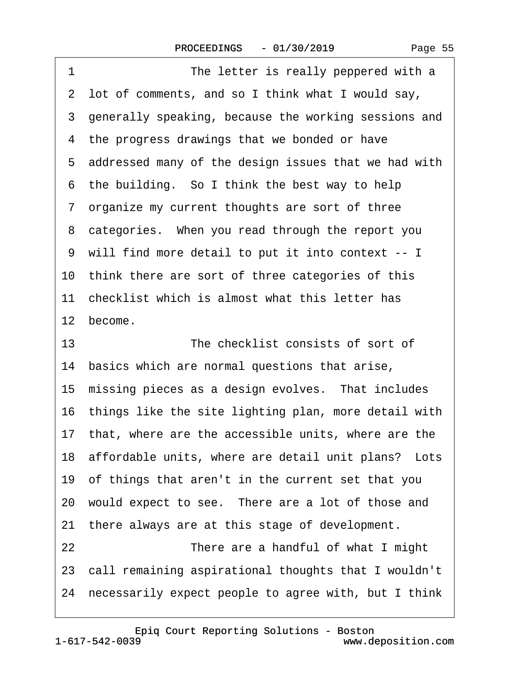| 1<br>The letter is really peppered with a               |
|---------------------------------------------------------|
| 2 lot of comments, and so I think what I would say,     |
| 3 generally speaking, because the working sessions and  |
| 4 the progress drawings that we bonded or have          |
| 5 addressed many of the design issues that we had with  |
| 6 the building. So I think the best way to help         |
| 7 organize my current thoughts are sort of three        |
| 8 categories. When you read through the report you      |
| 9 will find more detail to put it into context -- I     |
| 10 think there are sort of three categories of this     |
| 11 checklist which is almost what this letter has       |
| 12 become.                                              |
| 13<br>The checklist consists of sort of                 |
| 14 basics which are normal questions that arise,        |
| 15 missing pieces as a design evolves. That includes    |
| 16 things like the site lighting plan, more detail with |
| 17 that, where are the accessible units, where are the  |
| 18 affordable units, where are detail unit plans? Lots  |
| 19 of things that aren't in the current set that you    |
|                                                         |
| 20 would expect to see. There are a lot of those and    |
| 21 there always are at this stage of development.       |
| 22<br>There are a handful of what I might               |
| 23 call remaining aspirational thoughts that I wouldn't |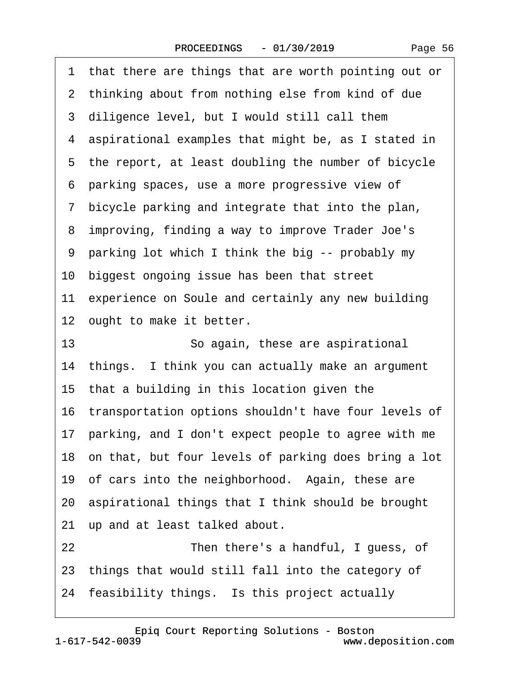|  | Page 56 |  |
|--|---------|--|
|--|---------|--|

·1· that there are things that are worth pointing out or 2 thinking about from nothing else from kind of due 3 diligence level, but I would still call them 4 aspirational examples that might be, as I stated in 5 the report, at least doubling the number of bicycle ·6· parking spaces, use a more progressive view of ·7· bicycle parking and integrate that into the plan, ·8· improving, finding a way to improve Trader Joe's ·9· parking lot which I think the big -- probably my 10 biggest ongoing issue has been that street 11 experience on Soule and certainly any new building 12 ought to make it better. 13 **· · · · · · So again, these are aspirational** 14 things. I think you can actually make an argument 15 that a building in this location given the 16 transportation options shouldn't have four levels of 17· parking, and I don't expect people to agree with me 18 on that, but four levels of parking does bring a lot 19 of cars into the neighborhood. Again, these are 20· aspirational things that I think should be brought 21 up and at least talked about. 22 **Then there's a handful, I guess, of** 23· things that would still fall into the category of 24 feasibility things. Is this project actually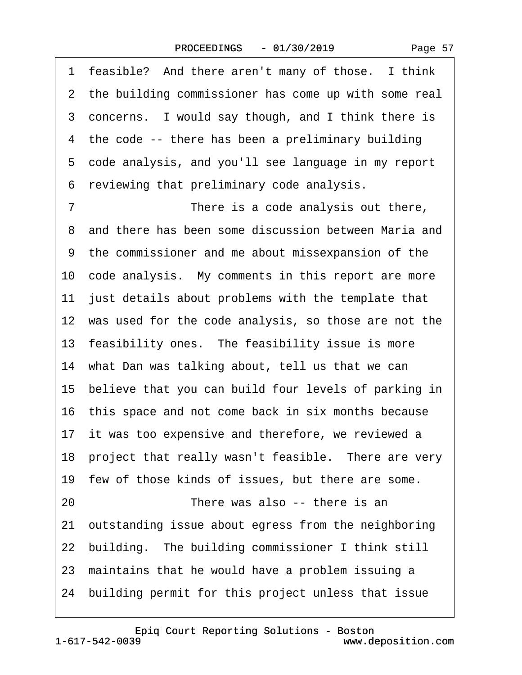1 feasible? And there aren't many of those. I think

2 the building commissioner has come up with some real

3 concerns. I would say though, and I think there is 4 the code -- there has been a preliminary building 5 code analysis, and you'll see language in my report ·6· reviewing that preliminary code analysis. 7 There is a code analysis out there, 8 and there has been some discussion between Maria and ·9· the commissioner and me about missexpansion of the 10 code analysis. My comments in this report are more 11 just details about problems with the template that 12 was used for the code analysis, so those are not the 13 feasibility ones. The feasibility issue is more 14 what Dan was talking about, tell us that we can 15 believe that you can build four levels of parking in 16· this space and not come back in six months because 17 it was too expensive and therefore, we reviewed a 18 project that really wasn't feasible. There are very 19 few of those kinds of issues, but there are some. 20 There was also -- there is an 21· outstanding issue about egress from the neighboring 22 building. The building commissioner I think still 23 maintains that he would have a problem issuing a

24· building permit for this project unless that issue

Page 57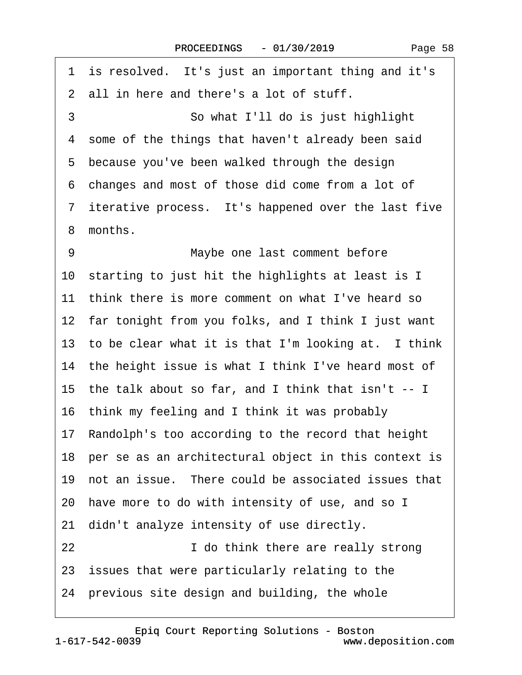1 is resolved. It's just an important thing and it's 2 all in here and there's a lot of stuff. 3 **So what I'll do is just highlight** 4 some of the things that haven't already been said 5 because you've been walked through the design ·6· changes and most of those did come from a lot of 7 iterative process. It's happened over the last five 8 months. 9 **Maybe one last comment before** 10· starting to just hit the highlights at least is I 11 think there is more comment on what I've heard so 12 far tonight from you folks, and I think I just want 13 to be clear what it is that I'm looking at. I think 14 the height issue is what I think I've heard most of 15· the talk about so far, and I think that isn't -- I 16· think my feeling and I think it was probably 17· Randolph's too according to the record that height 18 per se as an architectural object in this context is 19 not an issue. There could be associated issues that 20 have more to do with intensity of use, and so I 21 didn't analyze intensity of use directly. 22 **I** do think there are really strong 23 issues that were particularly relating to the 24· previous site design and building, the whole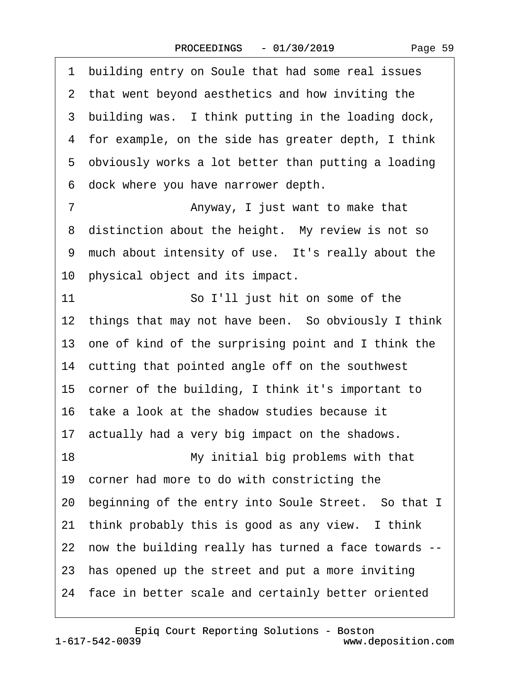Page 59

·1· building entry on Soule that had some real issues 2 that went beyond aesthetics and how inviting the 3 building was. I think putting in the loading dock, 4 for example, on the side has greater depth, I think 5 obviously works a lot better than putting a loading ·6· dock where you have narrower depth. 7 **Anyway, I just want to make that** 8 distinction about the height. My review is not so 9 much about intensity of use. It's really about the 10 physical object and its impact. 11 **· · · · · · · So I'll just hit on some of the** 12 things that may not have been. So obviously I think 13· one of kind of the surprising point and I think the 14 cutting that pointed angle off on the southwest 15 corner of the building, I think it's important to 16· take a look at the shadow studies because it 17 actually had a very big impact on the shadows. 18 My initial big problems with that 19· corner had more to do with constricting the 20 beginning of the entry into Soule Street. So that I 21 think probably this is good as any view. I think 22· now the building really has turned a face towards -- 23 has opened up the street and put a more inviting 24 face in better scale and certainly better oriented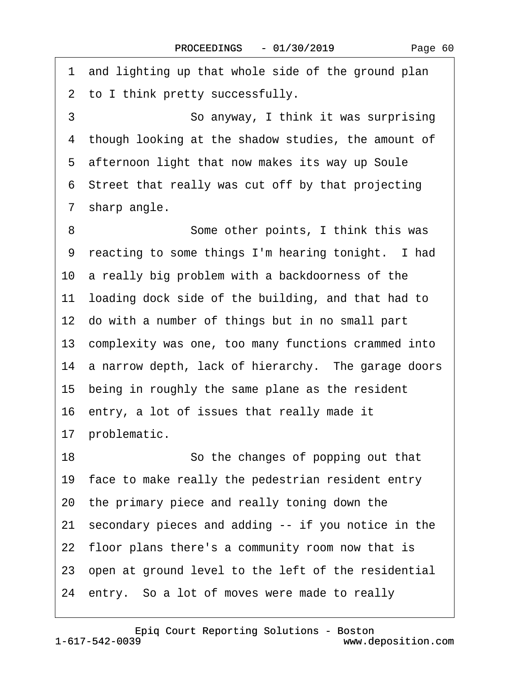·1· and lighting up that whole side of the ground plan 2 to I think pretty successfully. 3 **· · · · · · So anyway, I think it was surprising** 4 though looking at the shadow studies, the amount of 5 afternoon light that now makes its way up Soule ·6· Street that really was cut off by that projecting 7 sharp angle. 8 **Some other points, I think this was** 9 reacting to some things I'm hearing tonight. I had 10 a really big problem with a backdoorness of the 11 loading dock side of the building, and that had to 12 do with a number of things but in no small part 13· complexity was one, too many functions crammed into 14 a narrow depth, lack of hierarchy. The garage doors 15 being in roughly the same plane as the resident 16 entry, a lot of issues that really made it 17 problematic. 18 **· · · · · · So the changes of popping out that** 19 face to make really the pedestrian resident entry 20· the primary piece and really toning down the 21· secondary pieces and adding -- if you notice in the 22 floor plans there's a community room now that is 23 open at ground level to the left of the residential 24 entry. So a lot of moves were made to really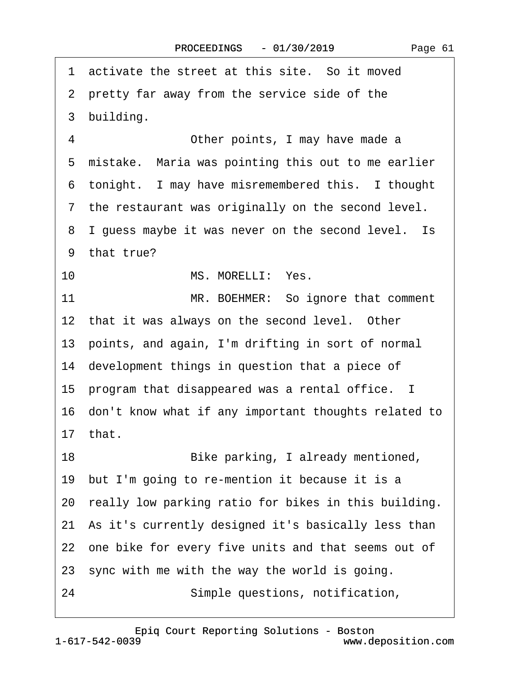1 activate the street at this site. So it moved 2 pretty far away from the service side of the 3 building. 4 **• Other points, I may have made a** 5 mistake. Maria was pointing this out to me earlier 6 tonight. I may have misremembered this. I thought 7 the restaurant was originally on the second level. 8 I guess maybe it was never on the second level. Is 9 that true? 10 MS. MORELLI: Yes. 11 MR. BOEHMER: So ignore that comment 12 that it was always on the second level. Other 13· points, and again, I'm drifting in sort of normal 14 development things in question that a piece of 15 program that disappeared was a rental office. I 16· don't know what if any important thoughts related to 17· that. 18· · · · · · · · ·Bike parking, I already mentioned, 19 but I'm going to re-mention it because it is a 20 really low parking ratio for bikes in this building. 21 As it's currently designed it's basically less than 22 one bike for every five units and that seems out of 23 sync with me with the way the world is going. 24 **· · Simple questions, notification,**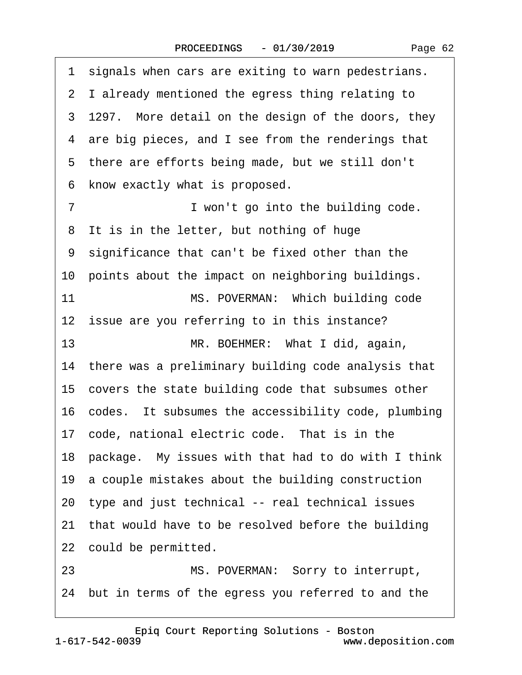|  | Page 62 |  |
|--|---------|--|
|--|---------|--|

1 signals when cars are exiting to warn pedestrians. ·2· I already mentioned the egress thing relating to 3 1297. More detail on the design of the doors, they 4 are big pieces, and I see from the renderings that 5 there are efforts being made, but we still don't 6 know exactly what is proposed. ·7· · · · · · · · ·I won't go into the building code. 8 It is in the letter, but nothing of huge ·9· significance that can't be fixed other than the 10 points about the impact on neighboring buildings. 11 MS. POVERMAN: Which building code 12 issue are you referring to in this instance? 13 MR. BOEHMER: What I did, again, 14 there was a preliminary building code analysis that 15 covers the state building code that subsumes other 16 codes. It subsumes the accessibility code, plumbing 17 code, national electric code. That is in the 18· package.· My issues with that had to do with I think 19· a couple mistakes about the building construction 20· type and just technical -- real technical issues 21 that would have to be resolved before the building 22 could be permitted. 23 MS. POVERMAN: Sorry to interrupt, 24· but in terms of the egress you referred to and the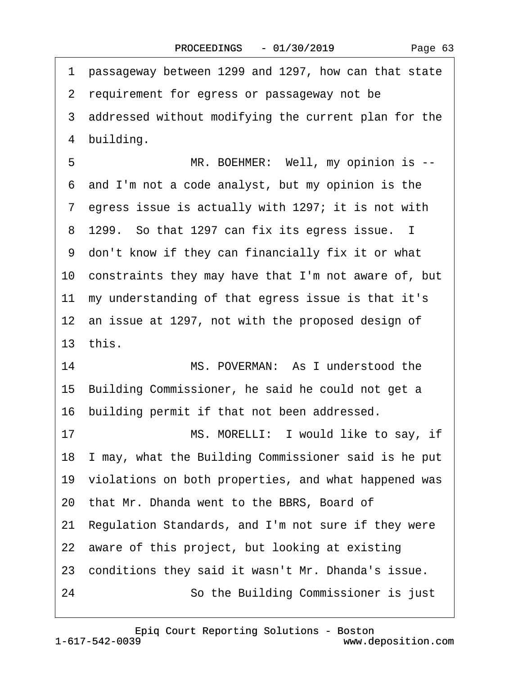| 1 passageway between 1299 and 1297, how can that state    |
|-----------------------------------------------------------|
| 2 requirement for egress or passageway not be             |
| 3 addressed without modifying the current plan for the    |
| 4 building.                                               |
| 5<br>MR. BOEHMER: Well, my opinion is --                  |
| 6 and I'm not a code analyst, but my opinion is the       |
| 7 egress issue is actually with 1297; it is not with      |
| 8 1299. So that 1297 can fix its egress issue. I          |
| 9 don't know if they can financially fix it or what       |
| 10 constraints they may have that I'm not aware of, but   |
| 11 my understanding of that egress issue is that it's     |
| 12 an issue at 1297, not with the proposed design of      |
| 13 this.                                                  |
| 14<br>MS. POVERMAN: As I understood the                   |
| 15 Building Commissioner, he said he could not get a      |
| 16 building permit if that not been addressed.            |
| MS. MORELLI: I would like to say, if<br>17                |
| 18 I may, what the Building Commissioner said is he put   |
| 19 violations on both properties, and what happened was   |
| 20 that Mr. Dhanda went to the BBRS, Board of             |
| Regulation Standards, and I'm not sure if they were<br>21 |
| 22 aware of this project, but looking at existing         |
| 23 conditions they said it wasn't Mr. Dhanda's issue.     |
| So the Building Commissioner is just<br>24                |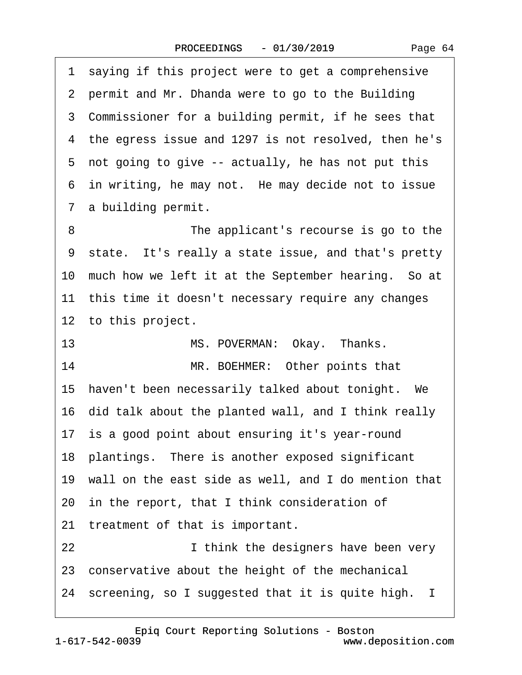1 saying if this project were to get a comprehensive 2 permit and Mr. Dhanda were to go to the Building 3 Commissioner for a building permit, if he sees that ·4· the egress issue and 1297 is not resolved, then he's 5 not going to give -- actually, he has not put this 6 in writing, he may not. He may decide not to issue 7 a building permit. 8 **• • • • • • • The applicant's recourse is go to the** ·9· state.· It's really a state issue, and that's pretty 10 much how we left it at the September hearing. So at 11 this time it doesn't necessary require any changes 12 to this project. 13 MS. POVERMAN: Okay. Thanks. 14 MR. BOEHMER: Other points that 15 haven't been necessarily talked about tonight. We 16· did talk about the planted wall, and I think really 17 is a good point about ensuring it's year-round 18 plantings. There is another exposed significant 19· wall on the east side as well, and I do mention that 20· in the report, that I think consideration of 21 treatment of that is important. 22 **I think the designers have been very** 23 conservative about the height of the mechanical 24 screening, so I suggested that it is quite high. I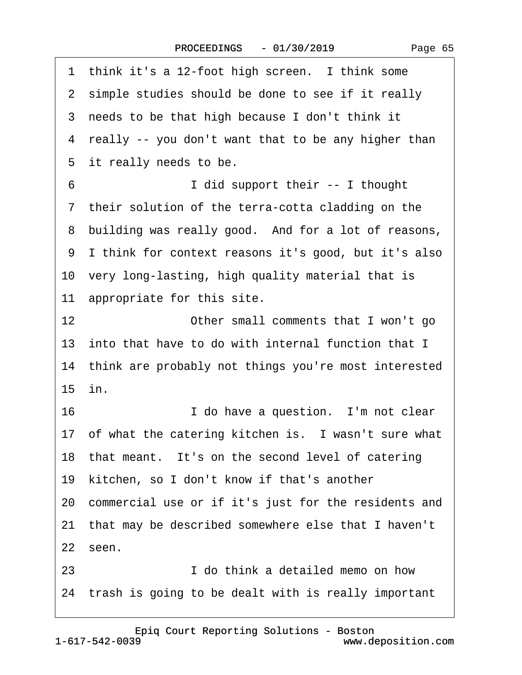1 think it's a 12-foot high screen. I think some 2 simple studies should be done to see if it really 3 needs to be that high because I don't think it 4 really -- you don't want that to be any higher than 5 it really needs to be. ·6· · · · · · · · ·I did support their -- I thought 7 their solution of the terra-cotta cladding on the 8 building was really good. And for a lot of reasons, ·9· I think for context reasons it's good, but it's also 10 very long-lasting, high quality material that is 11 appropriate for this site. 12 **Other small comments that I won't go** 13 into that have to do with internal function that I 14 think are probably not things you're most interested 15· in. 16· · · · · · · · ·I do have a question.· I'm not clear 17 of what the catering kitchen is. I wasn't sure what 18 that meant. It's on the second level of catering 19· kitchen, so I don't know if that's another 20· commercial use or if it's just for the residents and 21· that may be described somewhere else that I haven't 22 seen. 23· · · · · · · · ·I do think a detailed memo on how 24 trash is going to be dealt with is really important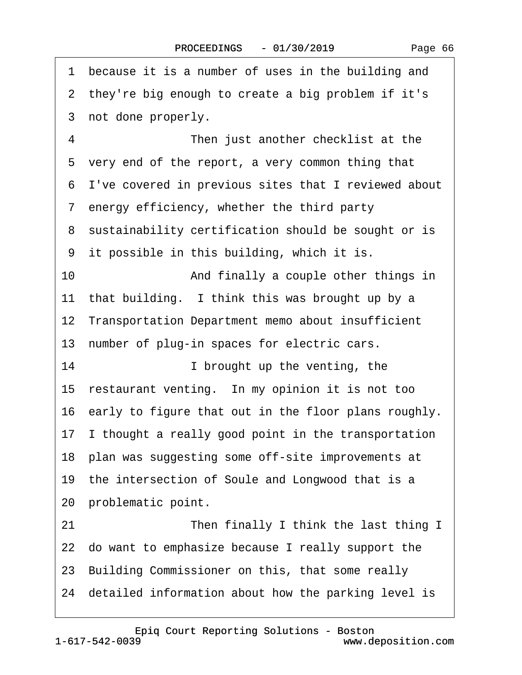1 because it is a number of uses in the building and 2 they're big enough to create a big problem if it's 3 not done properly. 4 **• • • • • • Then just another checklist at the** 5 very end of the report, a very common thing that ·6· I've covered in previous sites that I reviewed about ·7· energy efficiency, whether the third party 8 sustainability certification should be sought or is 9 it possible in this building, which it is. 10 • • • And finally a couple other things in 11 that building. I think this was brought up by a 12 Transportation Department memo about insufficient 13 number of plug-in spaces for electric cars. 14 **I** brought up the venting, the 15 restaurant venting. In my opinion it is not too 16 early to figure that out in the floor plans roughly. 17 I thought a really good point in the transportation 18 plan was suggesting some off-site improvements at 19 the intersection of Soule and Longwood that is a 20 problematic point. 21 **• • • • • Then finally I think the last thing I** 22 do want to emphasize because I really support the 23· Building Commissioner on this, that some really 24· detailed information about how the parking level is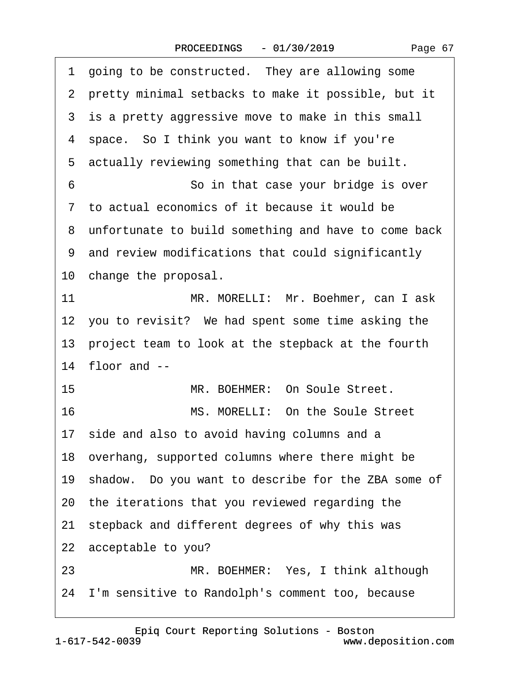| 1 going to be constructed. They are allowing some      |
|--------------------------------------------------------|
| 2 pretty minimal setbacks to make it possible, but it  |
| 3 is a pretty aggressive move to make in this small    |
| 4 space. So I think you want to know if you're         |
| 5 actually reviewing something that can be built.      |
| 6<br>So in that case your bridge is over               |
| 7 to actual economics of it because it would be        |
| 8 unfortunate to build something and have to come back |
| 9 and review modifications that could significantly    |
| 10 change the proposal.                                |
| 11<br>MR. MORELLI: Mr. Boehmer, can I ask              |
| 12 you to revisit? We had spent some time asking the   |
| 13 project team to look at the stepback at the fourth  |
| 14 floor and --                                        |
| MR. BOEHMER: On Soule Street.<br>15                    |
| MS. MORELLI: On the Soule Street<br>16                 |
| 17 side and also to avoid having columns and a         |
| 18 overhang, supported columns where there might be    |
| 19 shadow. Do you want to describe for the ZBA some of |
| 20 the iterations that you reviewed regarding the      |
| 21 stepback and different degrees of why this was      |
| 22 acceptable to you?                                  |
| MR. BOEHMER: Yes, I think although<br>23               |
| 24 I'm sensitive to Randolph's comment too, because    |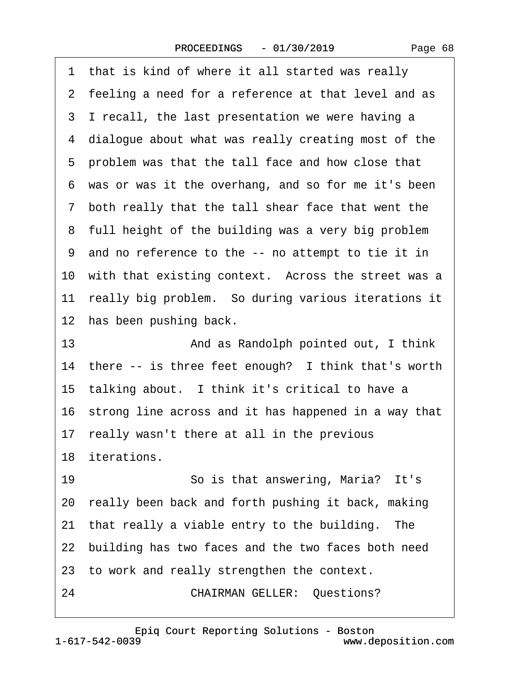1 that is kind of where it all started was really 2 feeling a need for a reference at that level and as 3 I recall, the last presentation we were having a 4 dialogue about what was really creating most of the 5 problem was that the tall face and how close that ·6· was or was it the overhang, and so for me it's been ·7· both really that the tall shear face that went the 8 full height of the building was a very big problem ·9· and no reference to the -- no attempt to tie it in 10 with that existing context. Across the street was a 11 really big problem. So during various iterations it 12 has been pushing back. 13 **• • • • And as Randolph pointed out, I think** 14 there -- is three feet enough? I think that's worth 15 talking about. I think it's critical to have a 16 strong line across and it has happened in a way that 17 really wasn't there at all in the previous 18 iterations 19 · · · · So is that answering, Maria? It's 20· really been back and forth pushing it back, making 21 that really a viable entry to the building. The 22 building has two faces and the two faces both need 23 to work and really strengthen the context.

24 **CHAIRMAN GELLER: Questions?**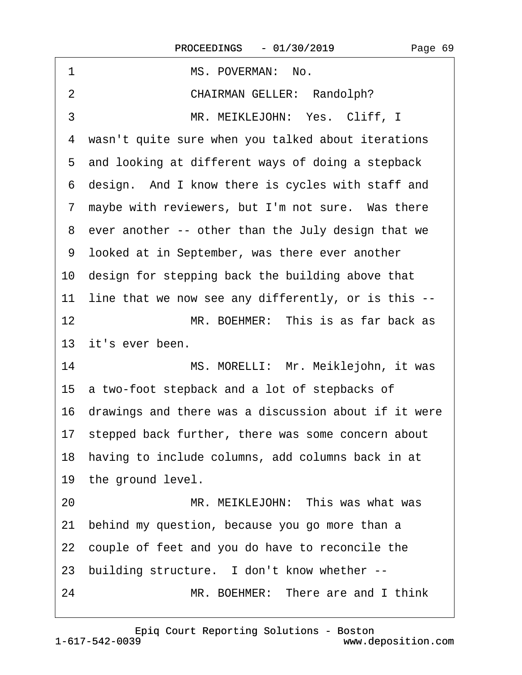1 MS. POVERMAN: No. 2 CHAIRMAN GELLER: Randolph? 3 MR. MEIKLEJOHN: Yes. Cliff, I 4 wasn't quite sure when you talked about iterations 5 and looking at different ways of doing a stepback 6 design. And I know there is cycles with staff and 7 maybe with reviewers, but I'm not sure. Was there 8 ever another -- other than the July design that we ·9· looked at in September, was there ever another 10 design for stepping back the building above that 11 line that we now see any differently, or is this --12· · · · · · · · ·MR. BOEHMER:· This is as far back as 13 it's ever been. 14 MS. MORELLI: Mr. Meiklejohn, it was 15· a two-foot stepback and a lot of stepbacks of 16· drawings and there was a discussion about if it were 17 stepped back further, there was some concern about 18 having to include columns, add columns back in at 19 the ground level. 20 MR. MEIKLEJOHN: This was what was 21· behind my question, because you go more than a 22 couple of feet and you do have to reconcile the 23 building structure. I don't know whether --24 MR. BOEHMER: There are and I think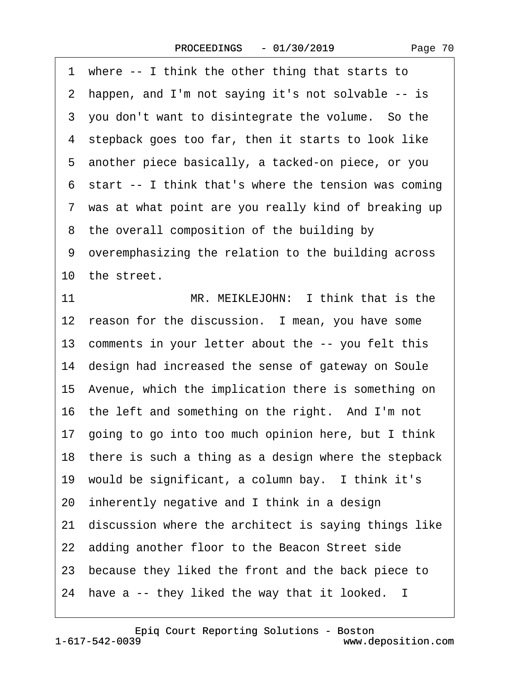1 where -- I think the other thing that starts to ·2· happen, and I'm not saying it's not solvable -- is 3 you don't want to disintegrate the volume. So the 4 stepback goes too far, then it starts to look like ·5· another piece basically, a tacked-on piece, or you 6 start -- I think that's where the tension was coming 7 was at what point are you really kind of breaking up 8 the overall composition of the building by ·9· overemphasizing the relation to the building across 10 the street. 11 MR. MEIKLEJOHN: I think that is the 12 reason for the discussion. I mean, you have some 13 comments in your letter about the -- you felt this 14 design had increased the sense of gateway on Soule 15· Avenue, which the implication there is something on 16 the left and something on the right. And I'm not 17· going to go into too much opinion here, but I think 18 there is such a thing as a design where the stepback 19 would be significant, a column bay. I think it's 20· inherently negative and I think in a design 21· discussion where the architect is saying things like 22 adding another floor to the Beacon Street side 23 because they liked the front and the back piece to 24 have a -- they liked the way that it looked. I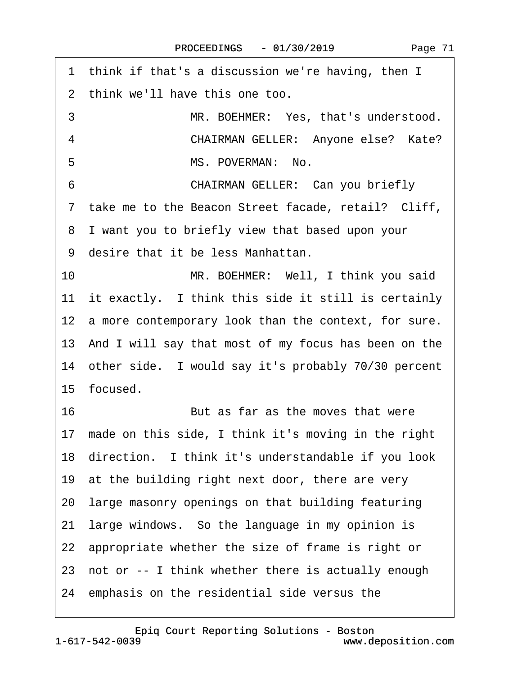| 1 think if that's a discussion we're having, then I     |
|---------------------------------------------------------|
| 2 think we'll have this one too.                        |
| 3<br>MR. BOEHMER: Yes, that's understood.               |
| $\overline{4}$<br>CHAIRMAN GELLER: Anyone else? Kate?   |
| MS. POVERMAN: No.<br>5                                  |
| <b>CHAIRMAN GELLER: Can you briefly</b><br>6            |
| 7 take me to the Beacon Street facade, retail? Cliff,   |
| I want you to briefly view that based upon your<br>8    |
| 9 desire that it be less Manhattan.                     |
| 10<br>MR. BOEHMER: Well, I think you said               |
| 11 it exactly. I think this side it still is certainly  |
| 12 a more contemporary look than the context, for sure. |
| 13 And I will say that most of my focus has been on the |
| 14 other side. I would say it's probably 70/30 percent  |
| 15 focused.                                             |
| 16<br>But as far as the moves that were                 |
| 17 made on this side, I think it's moving in the right  |
| 18 direction. I think it's understandable if you look   |
| 19 at the building right next door, there are very      |
| 20 large masonry openings on that building featuring    |
| large windows. So the language in my opinion is<br>21   |
| 22 appropriate whether the size of frame is right or    |
| 23 not or -- I think whether there is actually enough   |
| 24 emphasis on the residential side versus the          |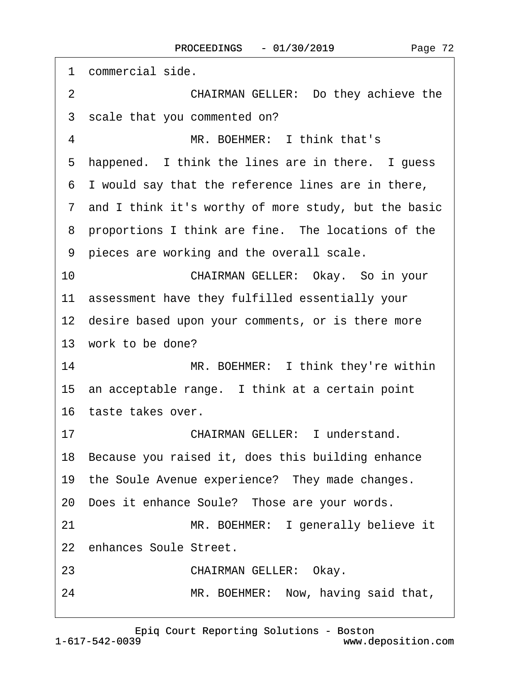| 1  | commercial side.                                       |
|----|--------------------------------------------------------|
| 2  | CHAIRMAN GELLER: Do they achieve the                   |
|    | 3 scale that you commented on?                         |
| 4  | MR. BOEHMER: I think that's                            |
|    | 5 happened. I think the lines are in there. I guess    |
|    | 6 I would say that the reference lines are in there,   |
|    | 7 and I think it's worthy of more study, but the basic |
|    | 8 proportions I think are fine. The locations of the   |
|    | 9 pieces are working and the overall scale.            |
| 10 | CHAIRMAN GELLER: Okay. So in your                      |
|    | 11 assessment have they fulfilled essentially your     |
|    | 12 desire based upon your comments, or is there more   |
|    | 13 work to be done?                                    |
| 14 | MR. BOEHMER: I think they're within                    |
|    | 15 an acceptable range. I think at a certain point     |
|    | 16 taste takes over.                                   |
| 17 | <b>CHAIRMAN GELLER: I understand.</b>                  |
|    | 18 Because you raised it, does this building enhance   |
|    | 19 the Soule Avenue experience? They made changes.     |
|    | 20 Does it enhance Soule? Those are your words.        |
| 21 | MR. BOEHMER: I generally believe it                    |
|    | 22 enhances Soule Street.                              |
| 23 | <b>CHAIRMAN GELLER: Okay.</b>                          |
| 24 | MR. BOEHMER: Now, having said that,                    |

[Epiq Court Reporting Solutions - Boston](http://www.deposition.com)

1-617-542-0039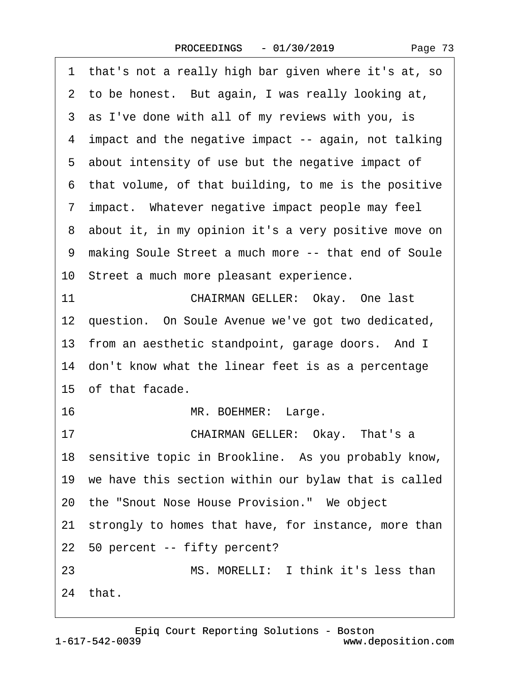<span id="page-72-0"></span>

| that's not a really high bar given where it's at, so<br>1 |
|-----------------------------------------------------------|
| 2 to be honest. But again, I was really looking at,       |
| 3 as I've done with all of my reviews with you, is        |
| 4 impact and the negative impact -- again, not talking    |
| 5 about intensity of use but the negative impact of       |
| 6 that volume, of that building, to me is the positive    |
| 7 impact. Whatever negative impact people may feel        |
| 8 about it, in my opinion it's a very positive move on    |
| 9 making Soule Street a much more -- that end of Soule    |
| 10 Street a much more pleasant experience.                |
| 11<br>CHAIRMAN GELLER: Okay. One last                     |
| 12 question. On Soule Avenue we've got two dedicated,     |
| 13 from an aesthetic standpoint, garage doors. And I      |
| 14 don't know what the linear feet is as a percentage     |
| 15 of that facade.                                        |
| 16<br>MR. BOEHMER: Large.                                 |
| CHAIRMAN GELLER: Okay. That's a<br>17                     |
| 18 sensitive topic in Brookline. As you probably know,    |
| 19 we have this section within our bylaw that is called   |
| 20 the "Snout Nose House Provision." We object            |
| 21 strongly to homes that have, for instance, more than   |
| 22 50 percent -- fifty percent?                           |
| MS. MORELLI: I think it's less than<br>23                 |
| 24 that.                                                  |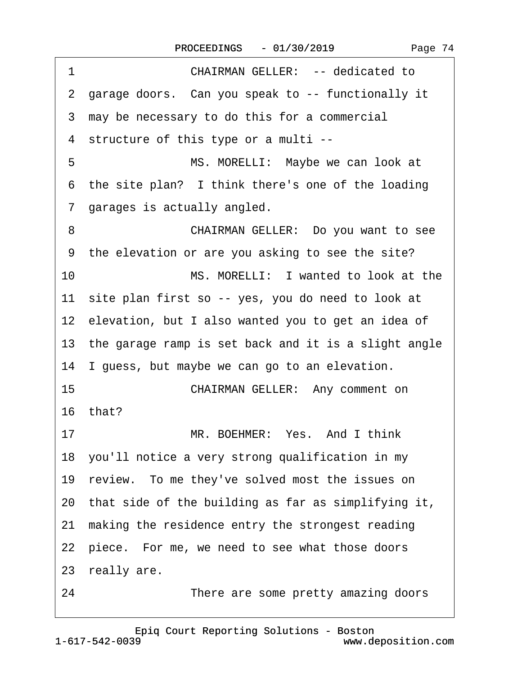<span id="page-73-0"></span>1 **CHAIRMAN GELLER: -- dedicated to** ·2· garage doors.· Can you speak to -- functionally it 3 may be necessary to do this for a commercial ·4· structure of this type or a multi -- 5 **III.** MS. MORELLI: Maybe we can look at 6 the site plan? I think there's one of the loading ·7· garages is actually angled. 8 **CHAIRMAN GELLER:** Do you want to see ·9· the elevation or are you asking to see the site? 10 MS. MORELLI: I wanted to look at the 11 site plan first so -- yes, you do need to look at 12 elevation, but I also wanted you to get an idea of 13 the garage ramp is set back and it is a slight angle 14 I guess, but maybe we can go to an elevation. 15 **CHAIRMAN GELLER: Any comment on** 16 $that?$ 17 MR. BOEHMER: Yes. And I think 18· you'll notice a very strong qualification in my 19 review. To me they've solved most the issues on 20· that side of the building as far as simplifying it, 21 making the residence entry the strongest reading 22 piece. For me, we need to see what those doors 23 really are. 24 **• • • • • • There are some pretty amazing doors**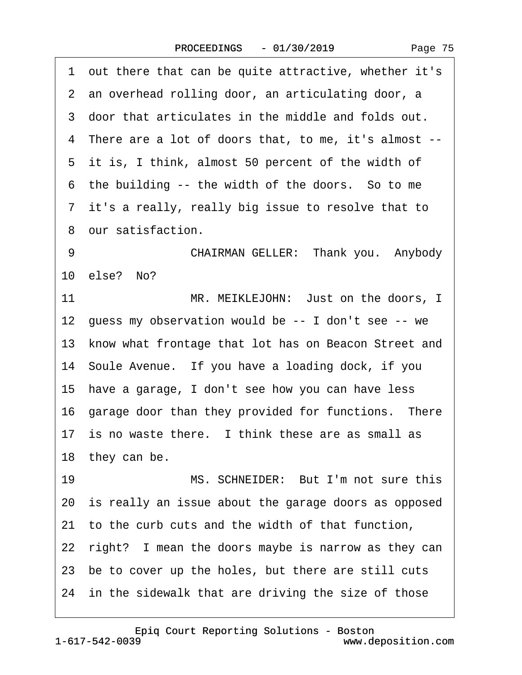|  | Page 75 |  |
|--|---------|--|
|--|---------|--|

<span id="page-74-0"></span>·1· out there that can be quite attractive, whether it's ·2· an overhead rolling door, an articulating door, a ·3· door that articulates in the middle and folds out. ·4· There are a lot of doors that, to me, it's almost -- 5 it is, I think, almost 50 percent of the width of 6 the building -- the width of the doors. So to me ·7· it's a really, really big issue to resolve that to ·8· our satisfaction. 9 **CHAIRMAN GELLER: Thank you.** Anybody 10· else?· No? 11 MR. MEIKLEJOHN: Just on the doors, I 12 guess my observation would be -- I don't see -- we 13 know what frontage that lot has on Beacon Street and 14 Soule Avenue. If you have a loading dock, if you 15 have a garage, I don't see how you can have less 16 garage door than they provided for functions. There 17 is no waste there. I think these are as small as 18 they can be. 19 MS. SCHNEIDER: But I'm not sure this 20 is really an issue about the garage doors as opposed 21· to the curb cuts and the width of that function, 22 right? I mean the doors maybe is narrow as they can 23 be to cover up the holes, but there are still cuts 24 in the sidewalk that are driving the size of those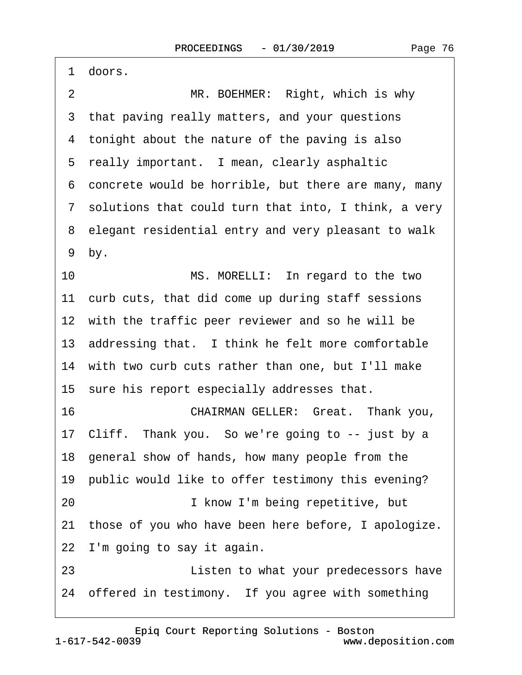<span id="page-75-0"></span> $\mathbf{I}$ 

| 1 doors.                                                |
|---------------------------------------------------------|
| $\overline{2}$<br>MR. BOEHMER: Right, which is why      |
| 3 that paving really matters, and your questions        |
| 4 tonight about the nature of the paving is also        |
| 5 really important. I mean, clearly asphaltic           |
| 6 concrete would be horrible, but there are many, many  |
| 7 solutions that could turn that into, I think, a very  |
| 8 elegant residential entry and very pleasant to walk   |
| 9 by.                                                   |
| 10<br>MS. MORELLI: In regard to the two                 |
| 11 curb cuts, that did come up during staff sessions    |
| 12 with the traffic peer reviewer and so he will be     |
| 13 addressing that. I think he felt more comfortable    |
| 14 with two curb cuts rather than one, but I'll make    |
| 15 sure his report especially addresses that.           |
| 16<br>CHAIRMAN GELLER: Great. Thank you,                |
| 17 Cliff. Thank you. So we're going to -- just by a     |
| 18 general show of hands, how many people from the      |
| 19 public would like to offer testimony this evening?   |
| 20<br>I know I'm being repetitive, but                  |
| 21 those of you who have been here before, I apologize. |
| 22 I'm going to say it again.                           |
| 23<br>Listen to what your predecessors have             |
| 24 offered in testimony. If you agree with something    |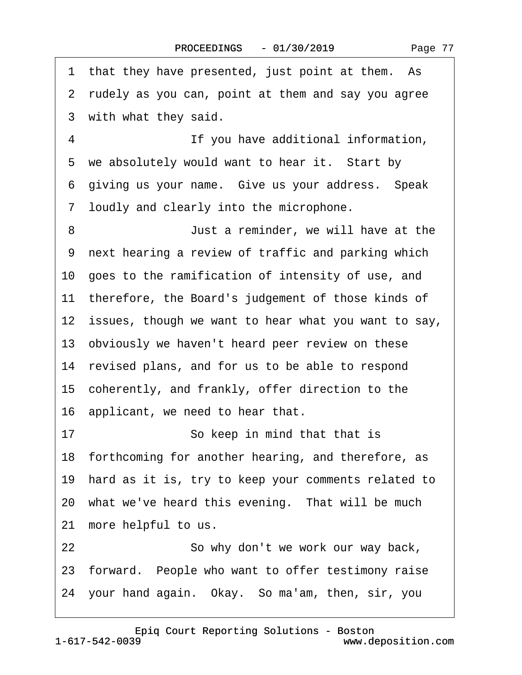<span id="page-76-0"></span>1 that they have presented, just point at them. As 2 rudely as you can, point at them and say you agree 3 with what they said. ·4· · · · · · · · ·If you have additional information, 5 we absolutely would want to hear it. Start by 6 giving us your name. Give us your address. Speak ·7· loudly and clearly into the microphone. ·8· · · · · · · · ·Just a reminder, we will have at the 9 next hearing a review of traffic and parking which 10· goes to the ramification of intensity of use, and 11 therefore, the Board's judgement of those kinds of 12 issues, though we want to hear what you want to say, 13 obviously we haven't heard peer review on these 14 revised plans, and for us to be able to respond 15· coherently, and frankly, offer direction to the 16 applicant, we need to hear that. 17 · · · · · So keep in mind that that is 18 forthcoming for another hearing, and therefore, as 19 hard as it is, try to keep your comments related to 20 what we've heard this evening. That will be much 21 more helpful to us. 22 **So why don't we work our way back,** 23 forward. People who want to offer testimony raise 24· your hand again.· Okay.· So ma'am, then, sir, you

1-617-542-0039 [Epiq Court Reporting Solutions - Boston](http://www.deposition.com)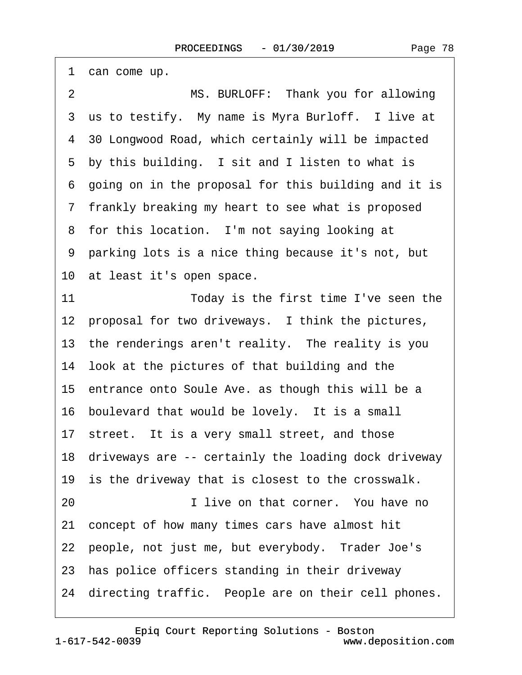<span id="page-77-0"></span>

| 1 can come up.                                          |
|---------------------------------------------------------|
| MS. BURLOFF: Thank you for allowing<br>$\overline{2}$   |
| 3 us to testify. My name is Myra Burloff. I live at     |
| 4 30 Longwood Road, which certainly will be impacted    |
| 5 by this building. I sit and I listen to what is       |
| 6 going on in the proposal for this building and it is  |
| 7 frankly breaking my heart to see what is proposed     |
| 8 for this location. I'm not saying looking at          |
| 9 parking lots is a nice thing because it's not, but    |
| 10 at least it's open space.                            |
| 11<br>Today is the first time I've seen the             |
| 12 proposal for two driveways. I think the pictures,    |
| 13 the renderings aren't reality. The reality is you    |
| 14 look at the pictures of that building and the        |
| 15 entrance onto Soule Ave. as though this will be a    |
| 16 boulevard that would be lovely. It is a small        |
| 17 street. It is a very small street, and those         |
| 18 driveways are -- certainly the loading dock driveway |
| 19 is the driveway that is closest to the crosswalk.    |
| I live on that corner. You have no<br>20                |
| 21 concept of how many times cars have almost hit       |
| 22 people, not just me, but everybody. Trader Joe's     |
| 23 has police officers standing in their driveway       |
| 24 directing traffic. People are on their cell phones.  |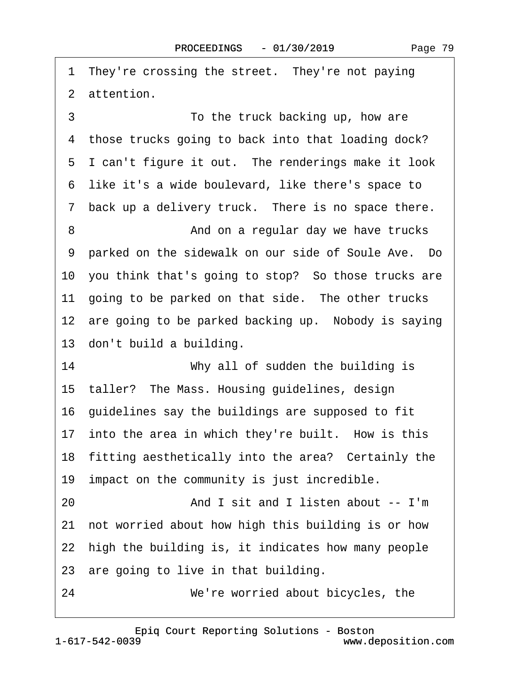<span id="page-78-0"></span>1 They're crossing the street. They're not paying 2 attention. ·3· · · · · · · · ·To the truck backing up, how are

4 those trucks going to back into that loading dock? 5 I can't figure it out. The renderings make it look ·6· like it's a wide boulevard, like there's space to 7 back up a delivery truck. There is no space there. ·8· · · · · · · · ·And on a regular day we have trucks 9 parked on the sidewalk on our side of Soule Ave. Do 10 you think that's going to stop? So those trucks are 11 going to be parked on that side. The other trucks 12 are going to be parked backing up. Nobody is saying 13 don't build a building.

14 **Why all of sudden the building is** 15 taller? The Mass. Housing guidelines, design 16· guidelines say the buildings are supposed to fit 17 into the area in which they're built. How is this 18 fitting aesthetically into the area? Certainly the 19 impact on the community is just incredible.

20· · · · · · · · ·And I sit and I listen about -- I'm

21· not worried about how high this building is or how

22 high the building is, it indicates how many people

23 are going to live in that building.

24 *We're worried about bicycles, the*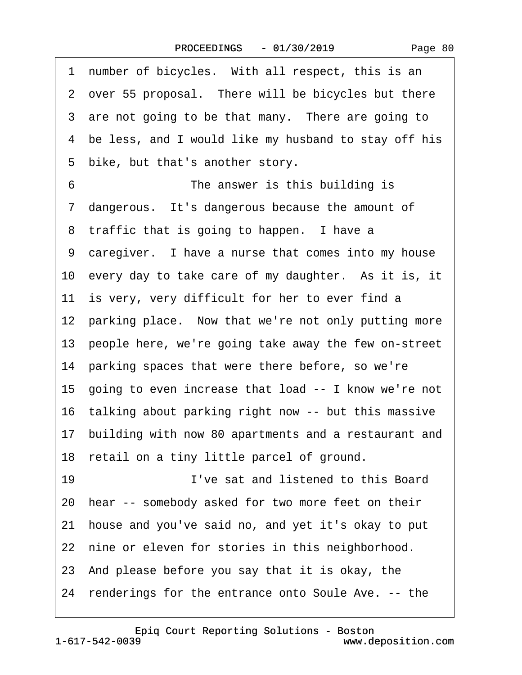<span id="page-79-0"></span>

| 1 number of bicycles. With all respect, this is an      |
|---------------------------------------------------------|
| 2 over 55 proposal. There will be bicycles but there    |
| 3 are not going to be that many. There are going to     |
| 4 be less, and I would like my husband to stay off his  |
| bike, but that's another story.<br>5                    |
| The answer is this building is<br>6                     |
| 7 dangerous. It's dangerous because the amount of       |
| 8 traffic that is going to happen. I have a             |
| 9 caregiver. I have a nurse that comes into my house    |
| 10 every day to take care of my daughter. As it is, it  |
| 11 is very, very difficult for her to ever find a       |
| 12 parking place. Now that we're not only putting more  |
| 13 people here, we're going take away the few on-street |
| 14 parking spaces that were there before, so we're      |
| 15 going to even increase that load -- I know we're not |
| 16 talking about parking right now -- but this massive  |
| 17 building with now 80 apartments and a restaurant and |
| 18 retail on a tiny little parcel of ground.            |
| I've sat and listened to this Board<br>19               |
| 20 hear -- somebody asked for two more feet on their    |
| 21 house and you've said no, and yet it's okay to put   |
| 22 nine or eleven for stories in this neighborhood.     |
| 23 And please before you say that it is okay, the       |
| 24 renderings for the entrance onto Soule Ave. -- the   |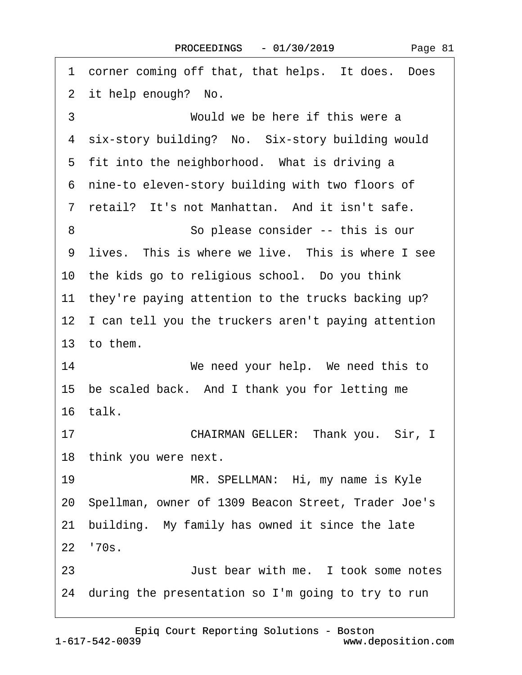<span id="page-80-0"></span>

| 1 corner coming off that, that helps. It does. Does    |
|--------------------------------------------------------|
| 2 it help enough? No.                                  |
| 3<br>Would we be here if this were a                   |
| 4 six-story building? No. Six-story building would     |
| 5 fit into the neighborhood. What is driving a         |
| 6 nine-to eleven-story building with two floors of     |
| 7 retail? It's not Manhattan. And it isn't safe.       |
| 8<br>So please consider -- this is our                 |
| 9 lives. This is where we live. This is where I see    |
| 10 the kids go to religious school. Do you think       |
| 11 they're paying attention to the trucks backing up?  |
| 12 I can tell you the truckers aren't paying attention |
| 13 to them.                                            |
| 14<br>We need your help. We need this to               |
| 15 be scaled back. And I thank you for letting me      |
| 16 talk.                                               |
| CHAIRMAN GELLER: Thank you. Sir, I<br>17               |
| 18 think you were next.                                |
| 19<br>MR. SPELLMAN: Hi, my name is Kyle                |
| 20 Spellman, owner of 1309 Beacon Street, Trader Joe's |
| building. My family has owned it since the late<br>21  |
| 22 '70s.                                               |
| Just bear with me. I took some notes<br>23             |
| 24 during the presentation so I'm going to try to run  |
|                                                        |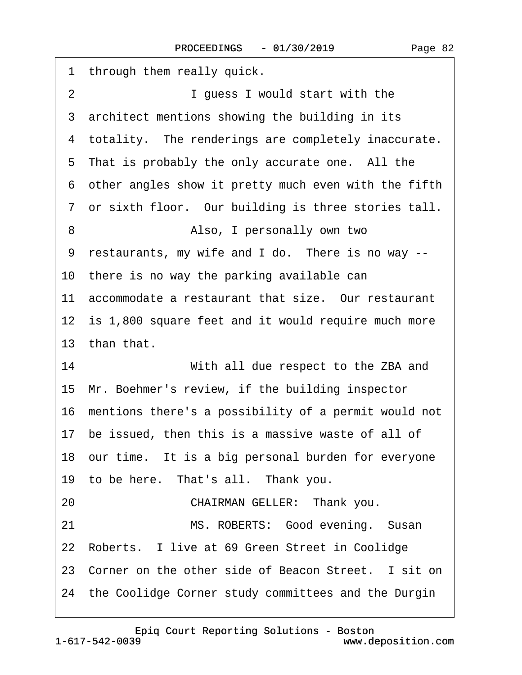<span id="page-81-0"></span>

| 1 through them really quick.                            |
|---------------------------------------------------------|
| $\overline{2}$<br>I guess I would start with the        |
| 3 architect mentions showing the building in its        |
|                                                         |
| 4 totality. The renderings are completely inaccurate.   |
| 5 That is probably the only accurate one. All the       |
| 6 other angles show it pretty much even with the fifth  |
| 7 or sixth floor. Our building is three stories tall.   |
| Also, I personally own two<br>8                         |
| restaurants, my wife and I do. There is no way --<br>9  |
| 10 there is no way the parking available can            |
| 11 accommodate a restaurant that size. Our restaurant   |
| 12 is 1,800 square feet and it would require much more  |
| 13 than that.                                           |
| 14<br>With all due respect to the ZBA and               |
| 15 Mr. Boehmer's review, if the building inspector      |
| 16 mentions there's a possibility of a permit would not |
| 17 be issued, then this is a massive waste of all of    |
| 18 our time. It is a big personal burden for everyone   |
| 19 to be here. That's all. Thank you.                   |
| CHAIRMAN GELLER: Thank you.<br>20                       |
| 21<br>MS. ROBERTS: Good evening. Susan                  |
| 22 Roberts. I live at 69 Green Street in Coolidge       |
| 23 Corner on the other side of Beacon Street. I sit on  |
| 24 the Coolidge Corner study committees and the Durgin  |
|                                                         |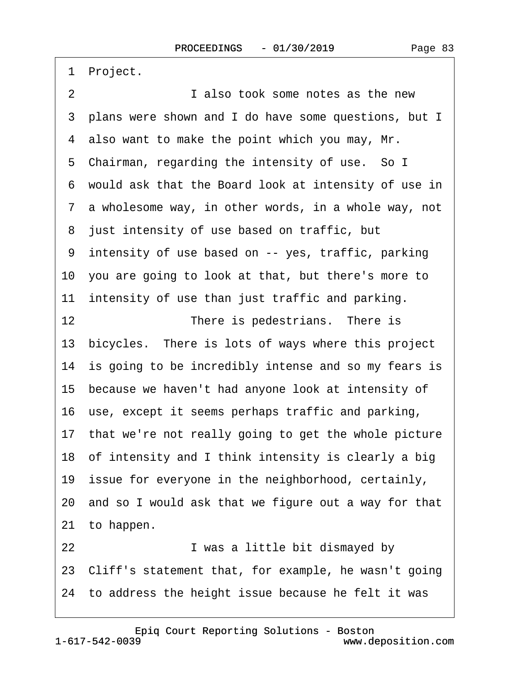<span id="page-82-0"></span>1 Project. 2 **I** also took some notes as the new 3 plans were shown and I do have some questions, but I 4 also want to make the point which you may, Mr. 5 Chairman, regarding the intensity of use. So I ·6· would ask that the Board look at intensity of use in 7 a wholesome way, in other words, in a whole way, not 8 just intensity of use based on traffic, but ·9· intensity of use based on -- yes, traffic, parking 10· you are going to look at that, but there's more to 11 intensity of use than just traffic and parking. 12 **• There is pedestrians.** There is 13· bicycles.· There is lots of ways where this project 14 is going to be incredibly intense and so my fears is 15 because we haven't had anyone look at intensity of 16· use, except it seems perhaps traffic and parking, 17 that we're not really going to get the whole picture 18· of intensity and I think intensity is clearly a big 19 issue for everyone in the neighborhood, certainly, 20· and so I would ask that we figure out a way for that 21 to happen. 22 **I** was a little bit dismayed by 23· Cliff's statement that, for example, he wasn't going 24 to address the height issue because he felt it was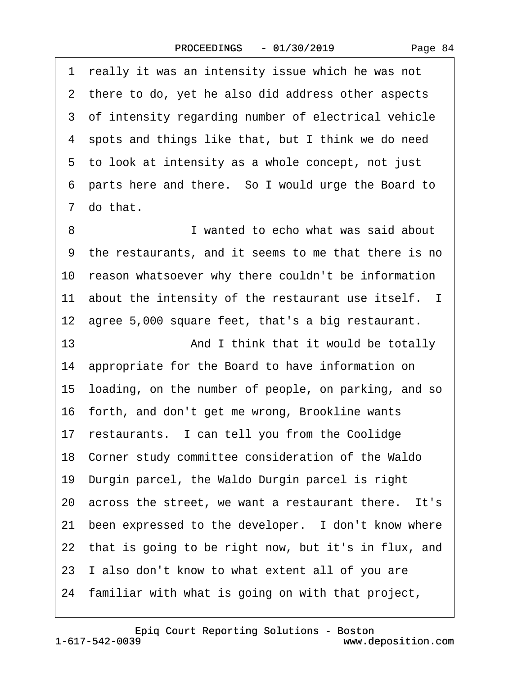<span id="page-83-0"></span>1 really it was an intensity issue which he was not 2 there to do, yet he also did address other aspects 3 of intensity regarding number of electrical vehicle ·4· spots and things like that, but I think we do need 5 to look at intensity as a whole concept, not just ·6· parts here and there.· So I would urge the Board to 7 do that. 8 **I** wanted to echo what was said about

·9· the restaurants, and it seems to me that there is no 10 reason whatsoever why there couldn't be information 11 about the intensity of the restaurant use itself. I 12 agree 5,000 square feet, that's a big restaurant. 13 **• 13** And I think that it would be totally 14 appropriate for the Board to have information on 15· loading, on the number of people, on parking, and so 16 forth, and don't get me wrong, Brookline wants 17 restaurants. I can tell you from the Coolidge 18· Corner study committee consideration of the Waldo 19· Durgin parcel, the Waldo Durgin parcel is right 20 across the street, we want a restaurant there. It's 21 been expressed to the developer. I don't know where 22 that is going to be right now, but it's in flux, and 23 I also don't know to what extent all of you are 24· familiar with what is going on with that project,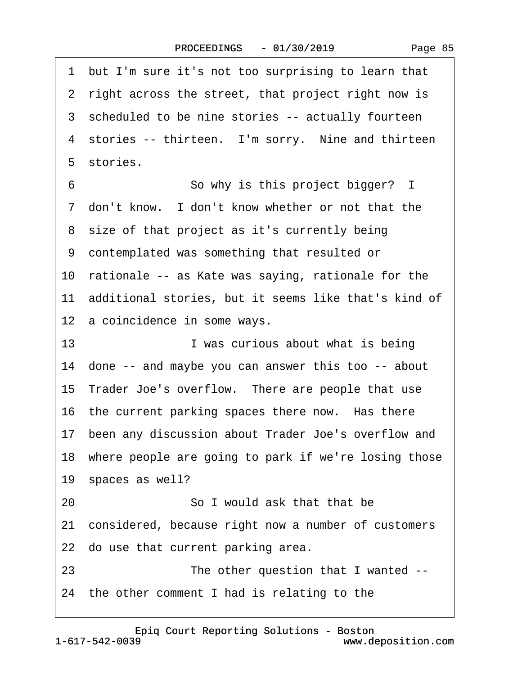<span id="page-84-0"></span>·1· but I'm sure it's not too surprising to learn that 2 right across the street, that project right now is 3 scheduled to be nine stories -- actually fourteen 4 stories -- thirteen. I'm sorry. Nine and thirteen 5 stories. 6 **· · · · · · So why is this project bigger?** I 7 don't know. I don't know whether or not that the 8 size of that project as it's currently being ·9· contemplated was something that resulted or 10 rationale -- as Kate was saying, rationale for the 11 additional stories, but it seems like that's kind of 12 a coincidence in some ways. 13 **I** was curious about what is being 14· done -- and maybe you can answer this too -- about 15 Trader Joe's overflow. There are people that use 16 the current parking spaces there now. Has there 17 been any discussion about Trader Joe's overflow and 18 where people are going to park if we're losing those 19 spaces as well? 20 **· · · · · · So I would ask that that be** 21· considered, because right now a number of customers 22 do use that current parking area. 23 The other question that I wanted --24· the other comment I had is relating to the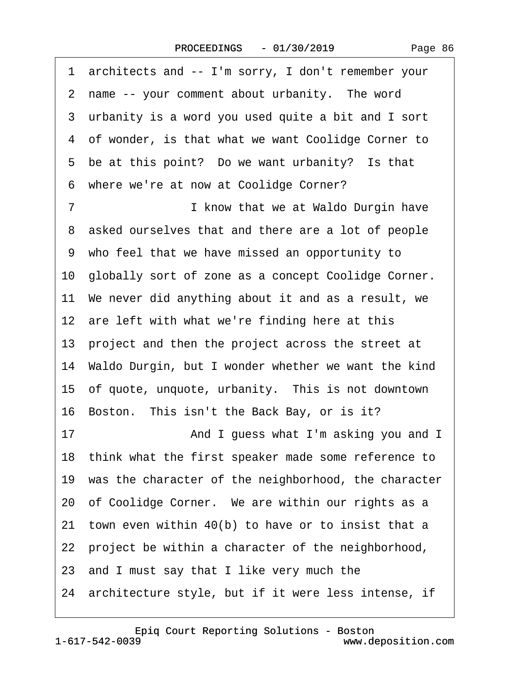|  | Page 86 |
|--|---------|
|--|---------|

<span id="page-85-0"></span>·1· architects and -- I'm sorry, I don't remember your 2 name -- your comment about urbanity. The word 3 urbanity is a word you used quite a bit and I sort 4 of wonder, is that what we want Coolidge Corner to 5 be at this point? Do we want urbanity? Is that 6 where we're at now at Coolidge Corner? 7 **I know that we at Waldo Durgin have** 8 asked ourselves that and there are a lot of people ·9· who feel that we have missed an opportunity to 10· globally sort of zone as a concept Coolidge Corner. 11 We never did anything about it and as a result, we 12 are left with what we're finding here at this 13 project and then the project across the street at 14· Waldo Durgin, but I wonder whether we want the kind 15 of quote, unquote, urbanity. This is not downtown 16 Boston. This isn't the Back Bay, or is it? 17 **• • • • • • And I guess what I'm asking you and I** 18· think what the first speaker made some reference to 19 was the character of the neighborhood, the character 20 of Coolidge Corner. We are within our rights as a 21 town even within 40(b) to have or to insist that a 22 project be within a character of the neighborhood, 23· and I must say that I like very much the 24 architecture style, but if it were less intense, if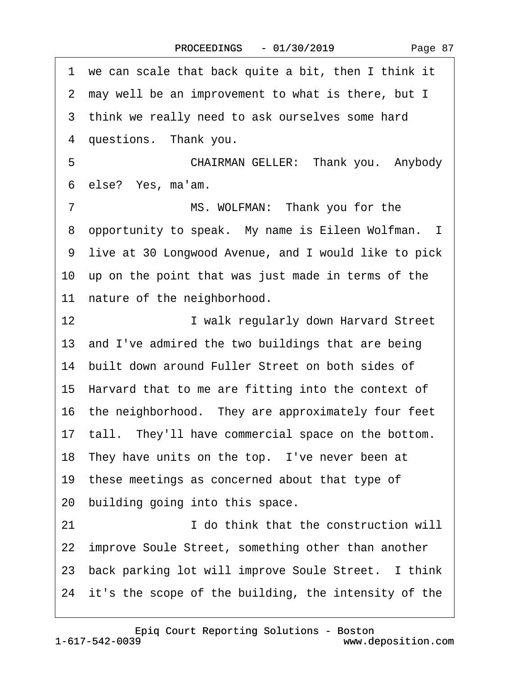| Page 87 |  |
|---------|--|
|---------|--|

<span id="page-86-0"></span>·1· we can scale that back quite a bit, then I think it ·2· may well be an improvement to what is there, but I 3 think we really need to ask ourselves some hard 4 questions. Thank you. 5 **• • • • CHAIRMAN GELLER:** Thank you. Anybody 6 else? Yes, ma'am. 7 MS. WOLFMAN: Thank you for the 8 opportunity to speak. My name is Eileen Wolfman. I ·9· live at 30 Longwood Avenue, and I would like to pick 10 up on the point that was just made in terms of the 11 nature of the neighborhood. 12 **I** walk regularly down Harvard Street 13 and I've admired the two buildings that are being 14 built down around Fuller Street on both sides of 15· Harvard that to me are fitting into the context of 16· the neighborhood.· They are approximately four feet 17 tall. They'll have commercial space on the bottom. 18 They have units on the top. I've never been at 19 these meetings as concerned about that type of 20 building going into this space. 21· · · · · · · · ·I do think that the construction will 22 improve Soule Street, something other than another 23 back parking lot will improve Soule Street. I think 24 it's the scope of the building, the intensity of the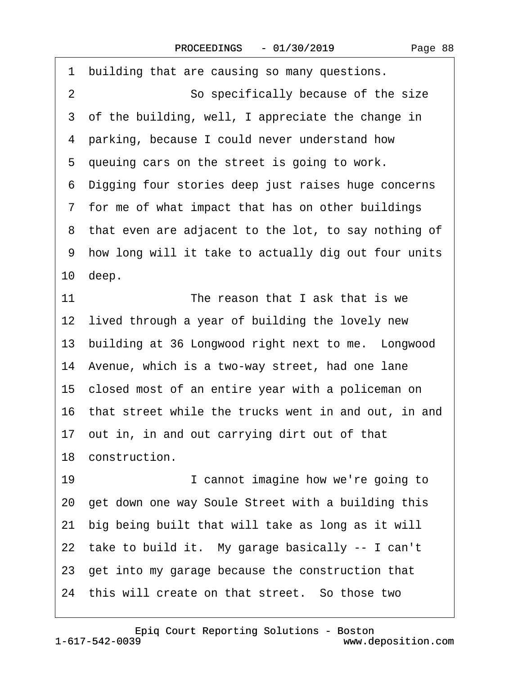<span id="page-87-0"></span>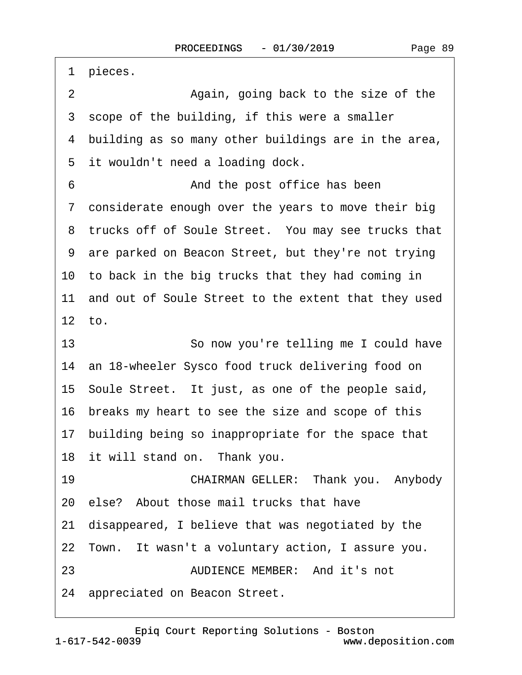<span id="page-88-0"></span>1 pieces. 2 **Again, going back to the size of the** 3 scope of the building, if this were a smaller 4 building as so many other buildings are in the area, 5 it wouldn't need a loading dock. 6 6 **And the post office has been** 7 considerate enough over the years to move their big 8 trucks off of Soule Street. You may see trucks that ·9· are parked on Beacon Street, but they're not trying 10 to back in the big trucks that they had coming in 11 and out of Soule Street to the extent that they used  $12$  to. 13 **· · · · · So now you're telling me I could have** 14 an 18-wheeler Sysco food truck delivering food on 15· Soule Street.· It just, as one of the people said, 16 breaks my heart to see the size and scope of this 17 building being so inappropriate for the space that 18 it will stand on. Thank you. 19 **• • • CHAIRMAN GELLER:** Thank you. Anybody 20· else?· About those mail trucks that have 21· disappeared, I believe that was negotiated by the 22 Town. It wasn't a voluntary action, I assure you. 23 **AUDIENCE MEMBER:** And it's not 24 appreciated on Beacon Street.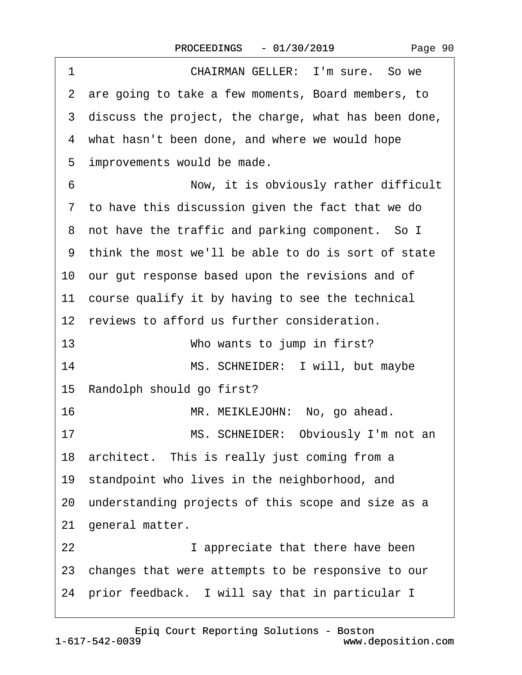| Page 90 |  |
|---------|--|
|---------|--|

<span id="page-89-0"></span>

| 1  | CHAIRMAN GELLER: I'm sure. So we                       |
|----|--------------------------------------------------------|
|    | 2 are going to take a few moments, Board members, to   |
|    | 3 discuss the project, the charge, what has been done, |
|    | 4 what hasn't been done, and where we would hope       |
|    | 5 improvements would be made.                          |
| 6  | Now, it is obviously rather difficult                  |
|    | 7 to have this discussion given the fact that we do    |
|    | 8 not have the traffic and parking component. So I     |
|    | 9 think the most we'll be able to do is sort of state  |
|    | 10 our gut response based upon the revisions and of    |
|    | 11 course qualify it by having to see the technical    |
|    | 12 reviews to afford us further consideration.         |
| 13 | Who wants to jump in first?                            |
| 14 | MS. SCHNEIDER: I will, but maybe                       |
|    | 15 Randolph should go first?                           |
| 16 | MR. MEIKLEJOHN: No, go ahead.                          |
| 17 | MS. SCHNEIDER: Obviously I'm not an                    |
|    | 18 architect. This is really just coming from a        |
|    | 19 standpoint who lives in the neighborhood, and       |
|    | 20 understanding projects of this scope and size as a  |
|    | 21 general matter.                                     |
| 22 | I appreciate that there have been                      |
|    | 23 changes that were attempts to be responsive to our  |
|    | 24 prior feedback. I will say that in particular I     |
|    |                                                        |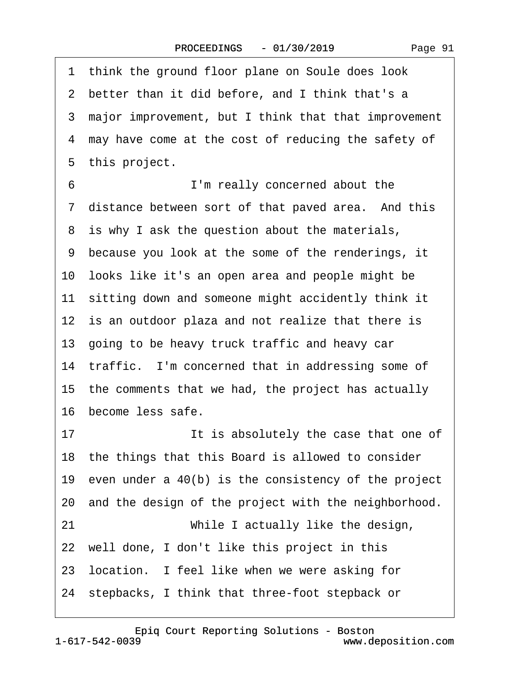<span id="page-90-0"></span>1 think the ground floor plane on Soule does look 2 better than it did before, and I think that's a ·3· major improvement, but I think that that improvement 4 may have come at the cost of reducing the safety of 5 this project. ·6· · · · · · · · ·I'm really concerned about the 7 distance between sort of that paved area. And this 8 is why I ask the question about the materials, ·9· because you look at the some of the renderings, it 10· looks like it's an open area and people might be 11 sitting down and someone might accidently think it 12 is an outdoor plaza and not realize that there is 13· going to be heavy truck traffic and heavy car 14 traffic. I'm concerned that in addressing some of 15 the comments that we had, the project has actually 16· become less safe. 17 **It is absolutely the case that one of** 18 the things that this Board is allowed to consider 19 even under a  $40(b)$  is the consistency of the project 20 and the design of the project with the neighborhood. 21 **While I actually like the design,** 22 well done, I don't like this project in this 23 location. I feel like when we were asking for 24· stepbacks, I think that three-foot stepback or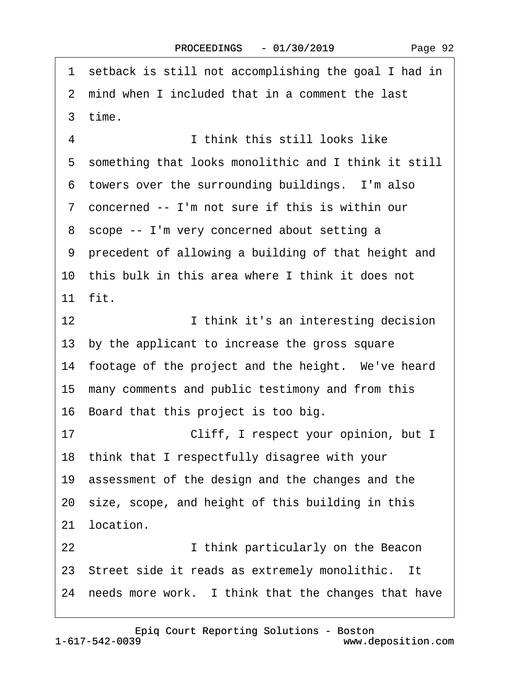<span id="page-91-0"></span>1 setback is still not accomplishing the goal I had in 2 mind when I included that in a comment the last ·3· time. ·4· · · · · · · · ·I think this still looks like 5 something that looks monolithic and I think it still 6 towers over the surrounding buildings. I'm also ·7· concerned -- I'm not sure if this is within our ·8· scope -- I'm very concerned about setting a ·9· precedent of allowing a building of that height and 10 this bulk in this area where I think it does not 11· fit. 12 **I** think it's an interesting decision 13 by the applicant to increase the gross square 14 footage of the project and the height. We've heard 15 many comments and public testimony and from this 16 Board that this project is too big. 17 **• Cliff, I respect your opinion, but I** 18· think that I respectfully disagree with your 19 assessment of the design and the changes and the 20· size, scope, and height of this building in this 21 location. 22 **I** think particularly on the Beacon 23 Street side it reads as extremely monolithic. It 24 needs more work. I think that the changes that have

1-617-542-0039 [Epiq Court Reporting Solutions - Boston](http://www.deposition.com)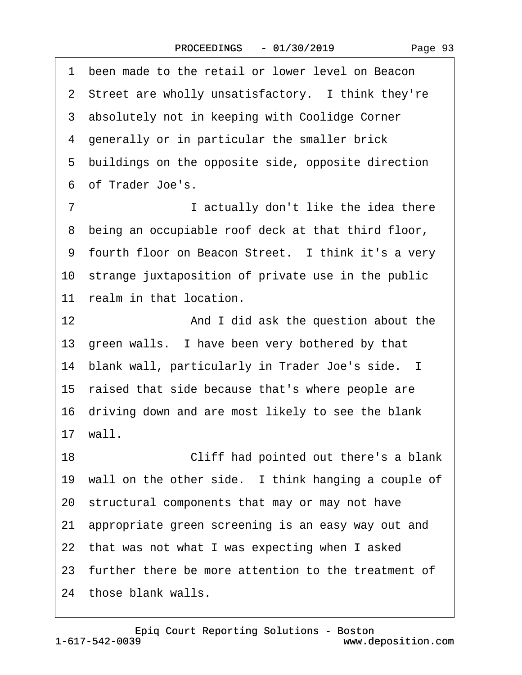<span id="page-92-0"></span>1 been made to the retail or lower level on Beacon 2 Street are wholly unsatisfactory. I think they're 3 absolutely not in keeping with Coolidge Corner 4 generally or in particular the smaller brick 5 buildings on the opposite side, opposite direction ·6· of Trader Joe's. ·7· · · · · · · · ·I actually don't like the idea there 8 being an occupiable roof deck at that third floor, 9 fourth floor on Beacon Street. I think it's a very 10 strange juxtaposition of private use in the public 11 realm in that location. 12 **And I did ask the question about the** 13 green walls. I have been very bothered by that 14· blank wall, particularly in Trader Joe's side. I 15 raised that side because that's where people are 16· driving down and are most likely to see the blank 17· wall. 18 **• Cliff had pointed out there's a blank** 19 wall on the other side. I think hanging a couple of 20· structural components that may or may not have 21· appropriate green screening is an easy way out and 22 that was not what I was expecting when I asked 23· further there be more attention to the treatment of

24 those blank walls.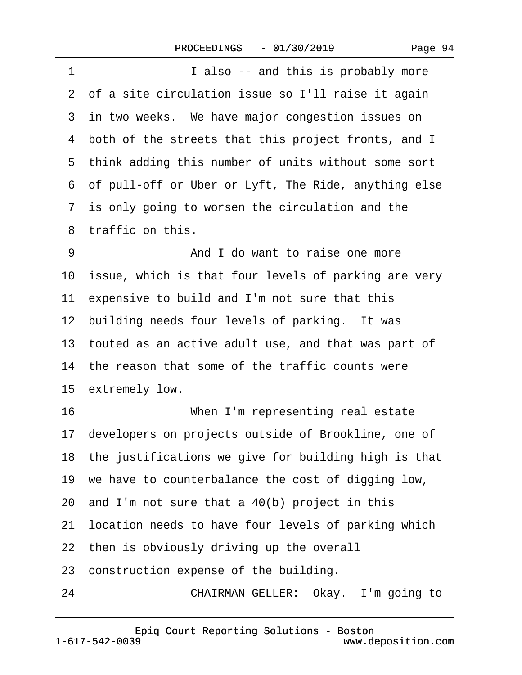<span id="page-93-0"></span>

| 1<br>I also -- and this is probably more                |
|---------------------------------------------------------|
| 2 of a site circulation issue so I'll raise it again    |
| 3 in two weeks. We have major congestion issues on      |
| 4 both of the streets that this project fronts, and I   |
| 5 think adding this number of units without some sort   |
| 6 of pull-off or Uber or Lyft, The Ride, anything else  |
| 7 is only going to worsen the circulation and the       |
| 8 traffic on this.                                      |
| 9<br>And I do want to raise one more                    |
| 10 issue, which is that four levels of parking are very |
| 11 expensive to build and I'm not sure that this        |
| 12 building needs four levels of parking. It was        |
| 13 touted as an active adult use, and that was part of  |
| 14 the reason that some of the traffic counts were      |
| 15 extremely low.                                       |
| 16<br>When I'm representing real estate                 |
| 17 developers on projects outside of Brookline, one of  |
| 18 the justifications we give for building high is that |
| 19 we have to counterbalance the cost of digging low,   |
| 20 and I'm not sure that a 40(b) project in this        |
| 21 location needs to have four levels of parking which  |
| 22 then is obviously driving up the overall             |
| 23 construction expense of the building.                |
| CHAIRMAN GELLER: Okay. I'm going to<br>24               |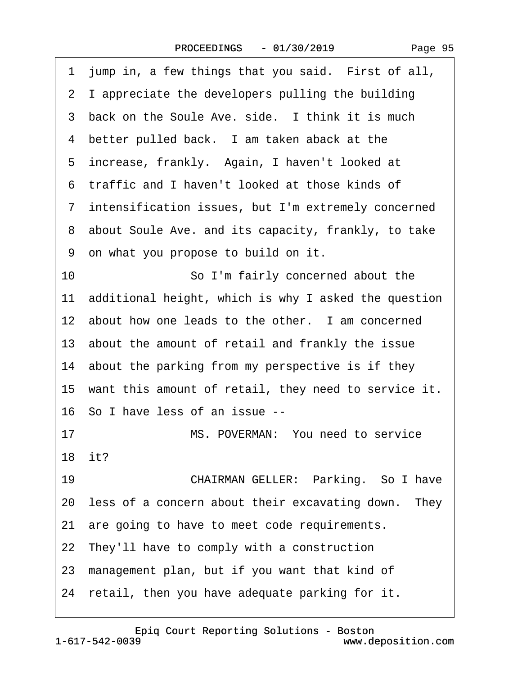<span id="page-94-0"></span>

| 1 jump in, a few things that you said. First of all,    |
|---------------------------------------------------------|
| 2 I appreciate the developers pulling the building      |
| 3 back on the Soule Ave. side. I think it is much       |
| 4 better pulled back. I am taken aback at the           |
| 5 increase, frankly. Again, I haven't looked at         |
| 6 traffic and I haven't looked at those kinds of        |
| 7 intensification issues, but I'm extremely concerned   |
| 8 about Soule Ave. and its capacity, frankly, to take   |
| 9 on what you propose to build on it.                   |
| 10<br>So I'm fairly concerned about the                 |
| 11 additional height, which is why I asked the question |
| 12 about how one leads to the other. I am concerned     |
| 13 about the amount of retail and frankly the issue     |
| 14 about the parking from my perspective is if they     |
| 15 want this amount of retail, they need to service it. |
| 16 So I have less of an issue --                        |
| 17<br>MS. POVERMAN: You need to service                 |
| 18 it?                                                  |
| 19<br>CHAIRMAN GELLER: Parking. So I have               |
| 20 less of a concern about their excavating down. They  |
| 21 are going to have to meet code requirements.         |
| 22 They'll have to comply with a construction           |
| 23 management plan, but if you want that kind of        |
| 24 retail, then you have adequate parking for it.       |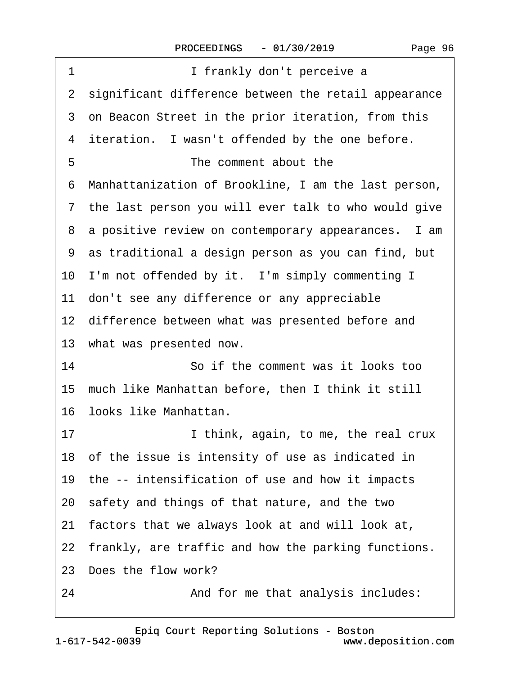<span id="page-95-0"></span>

| 1<br>I frankly don't perceive a                        |
|--------------------------------------------------------|
| 2 significant difference between the retail appearance |
| 3 on Beacon Street in the prior iteration, from this   |
| 4 iteration. I wasn't offended by the one before.      |
| 5<br>The comment about the                             |
| 6 Manhattanization of Brookline, I am the last person, |
| 7 the last person you will ever talk to who would give |
| 8 a positive review on contemporary appearances. I am  |
| 9 as traditional a design person as you can find, but  |
| 10 I'm not offended by it. I'm simply commenting I     |
| 11 don't see any difference or any appreciable         |
| 12 difference between what was presented before and    |
| 13 what was presented now.                             |
| 14<br>So if the comment was it looks too               |
| 15 much like Manhattan before, then I think it still   |
| 16 looks like Manhattan.                               |
| 17<br>I think, again, to me, the real crux             |
| 18 of the issue is intensity of use as indicated in    |
| 19 the -- intensification of use and how it impacts    |
| 20 safety and things of that nature, and the two       |
| 21 factors that we always look at and will look at,    |
| 22 frankly, are traffic and how the parking functions. |
| 23 Does the flow work?                                 |
| 24<br>And for me that analysis includes:               |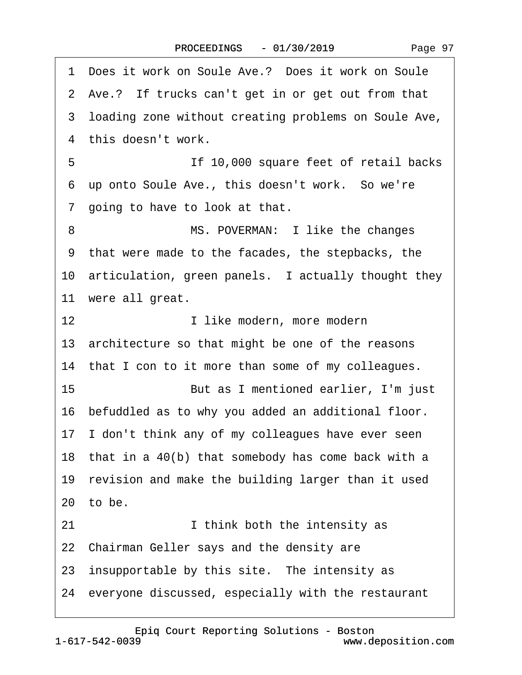|  | Page 97 |
|--|---------|
|--|---------|

<span id="page-96-0"></span>·1· Does it work on Soule Ave.?· Does it work on Soule 2 Ave.? If trucks can't get in or get out from that ·3· loading zone without creating problems on Soule Ave, 4 this doesn't work. ·5· · · · · · · · ·If 10,000 square feet of retail backs 6 up onto Soule Ave., this doesn't work. So we're 7 going to have to look at that. 8 MS. POVERMAN: I like the changes ·9· that were made to the facades, the stepbacks, the 10 articulation, green panels. I actually thought they 11 were all great. 12 **I like modern, more modern** 13 architecture so that might be one of the reasons 14 that I con to it more than some of my colleagues. 15· · · · · · · · ·But as I mentioned earlier, I'm just 16 befuddled as to why you added an additional floor. 17 I don't think any of my colleagues have ever seen 18 that in a 40(b) that somebody has come back with a 19 revision and make the building larger than it used  $20$  to be. 21 **I** think both the intensity as 22 Chairman Geller says and the density are 23 insupportable by this site. The intensity as 24· everyone discussed, especially with the restaurant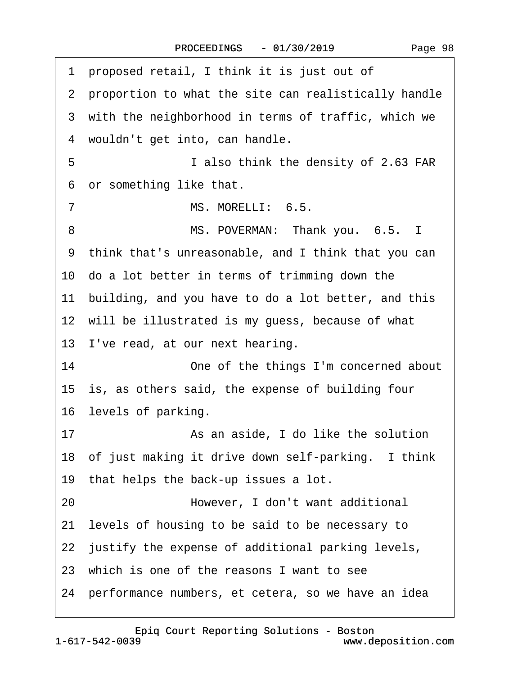<span id="page-97-0"></span>

| proposed retail, I think it is just out of<br>1        |
|--------------------------------------------------------|
| 2 proportion to what the site can realistically handle |
| 3 with the neighborhood in terms of traffic, which we  |
| 4 wouldn't get into, can handle.                       |
| 5<br>I also think the density of 2.63 FAR              |
| 6 or something like that.                              |
| MS. MORELLI: 6.5.<br>$\overline{7}$                    |
| MS. POVERMAN: Thank you. 6.5. I<br>8                   |
| 9 think that's unreasonable, and I think that you can  |
| 10 do a lot better in terms of trimming down the       |
| 11 building, and you have to do a lot better, and this |
| 12 will be illustrated is my guess, because of what    |
| 13 I've read, at our next hearing.                     |
| 14<br>One of the things I'm concerned about            |
| 15 is, as others said, the expense of building four    |
| 16 levels of parking.                                  |
| 17<br>As an aside, I do like the solution              |
| 18 of just making it drive down self-parking. I think  |
| 19 that helps the back-up issues a lot.                |
| 20<br>However, I don't want additional                 |
| 21 levels of housing to be said to be necessary to     |
| 22 justify the expense of additional parking levels,   |
| 23 which is one of the reasons I want to see           |
| 24 performance numbers, et cetera, so we have an idea  |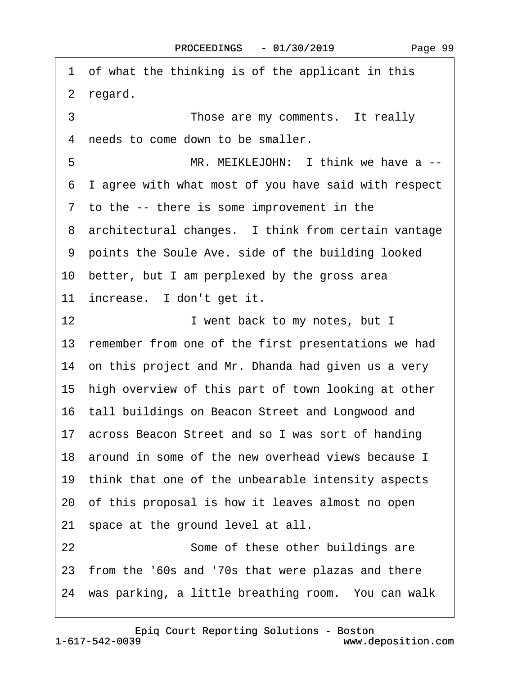<span id="page-98-0"></span>·1· of what the thinking is of the applicant in this 2 regard. 3 **Those are my comments.** It really 4 needs to come down to be smaller. 5 MR. MEIKLEJOHN: I think we have a --·6· I agree with what most of you have said with respect 7 to the -- there is some improvement in the 8 architectural changes. I think from certain vantage ·9· points the Soule Ave. side of the building looked 10· better, but I am perplexed by the gross area 11 increase. I don't get it. 12 **I** went back to my notes, but I 13 remember from one of the first presentations we had 14 on this project and Mr. Dhanda had given us a very 15 high overview of this part of town looking at other 16 tall buildings on Beacon Street and Longwood and 17· across Beacon Street and so I was sort of handing 18 around in some of the new overhead views because I 19 think that one of the unbearable intensity aspects 20· of this proposal is how it leaves almost no open 21 space at the ground level at all. 22 **Some of these other buildings are** 23· from the '60s and '70s that were plazas and there 24 was parking, a little breathing room. You can walk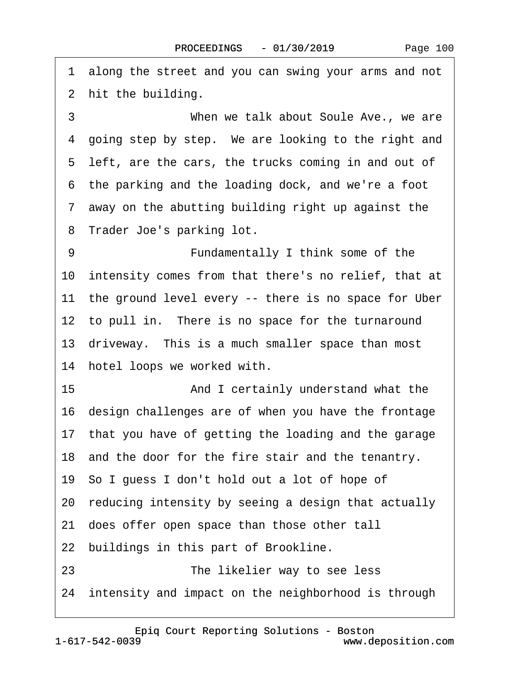<span id="page-99-0"></span>·1· along the street and you can swing your arms and not 2 hit the building.

3 **When we talk about Soule Ave., we are** 4 going step by step. We are looking to the right and 5 left, are the cars, the trucks coming in and out of ·6· the parking and the loading dock, and we're a foot ·7· away on the abutting building right up against the 8 Trader Joe's parking lot.

9 **• • • • • Fundamentally I think some of the** 10 intensity comes from that there's no relief, that at 11 the ground level every -- there is no space for Uber 12 to pull in. There is no space for the turnaround 13· driveway.· This is a much smaller space than most 14 hotel loops we worked with. 15 • **And I certainly understand what the** 16 design challenges are of when you have the frontage 17· that you have of getting the loading and the garage 18 and the door for the fire stair and the tenantry. 19· So I guess I don't hold out a lot of hope of 20· reducing intensity by seeing a design that actually 21· does offer open space than those other tall 22 buildings in this part of Brookline. 23 **• 23** • The likelier way to see less

24 intensity and impact on the neighborhood is through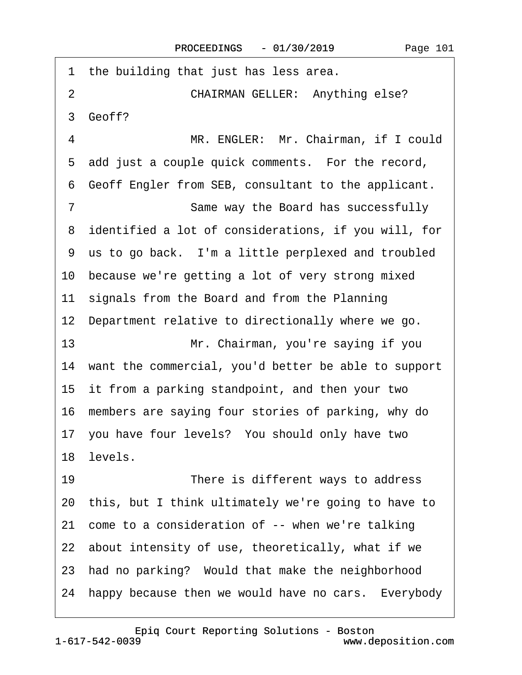<span id="page-100-0"></span>1 the building that just has less area. 2 **CHAIRMAN GELLER: Anything else?** 3 Geoff? 4 MR. ENGLER: Mr. Chairman, if I could 5 add just a couple quick comments. For the record, ·6· Geoff Engler from SEB, consultant to the applicant. 7 **Same way the Board has successfully** ·8· identified a lot of considerations, if you will, for 9 us to go back. I'm a little perplexed and troubled 10· because we're getting a lot of very strong mixed 11 signals from the Board and from the Planning 12 Department relative to directionally where we go. 13· · · · · · · · ·Mr. Chairman, you're saying if you 14 want the commercial, you'd better be able to support 15 it from a parking standpoint, and then your two 16· members are saying four stories of parking, why do 17· you have four levels?· You should only have two 18· levels. 19 **• There is different ways to address** 20· this, but I think ultimately we're going to have to 21 come to a consideration of -- when we're talking 22 about intensity of use, theoretically, what if we 23 had no parking? Would that make the neighborhood 24 happy because then we would have no cars. Everybody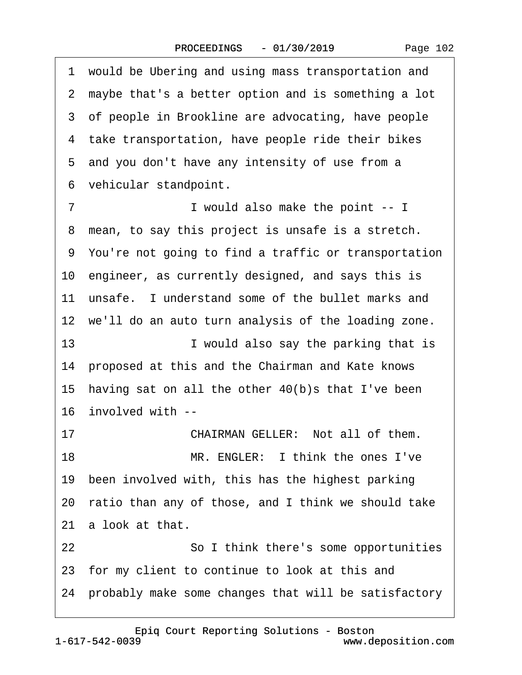<span id="page-101-0"></span>1 would be Ubering and using mass transportation and 2 maybe that's a better option and is something a lot 3 of people in Brookline are advocating, have people 4 take transportation, have people ride their bikes 5 and you don't have any intensity of use from a 6 vehicular standpoint. 7 **I** would also make the point -- I 8 mean, to say this project is unsafe is a stretch. ·9· You're not going to find a traffic or transportation 10· engineer, as currently designed, and says this is 11 unsafe. I understand some of the bullet marks and 12 we'll do an auto turn analysis of the loading zone. 13 **I** would also say the parking that is 14 proposed at this and the Chairman and Kate knows 15 having sat on all the other  $40(b)s$  that I've been 16 involved with --17 **• • • • CHAIRMAN GELLER:** Not all of them. 18 **MR. ENGLER:** I think the ones I've 19 been involved with, this has the highest parking 20· ratio than any of those, and I think we should take 21 a look at that. 22 **So I think there's some opportunities** 23 for my client to continue to look at this and 24· probably make some changes that will be satisfactory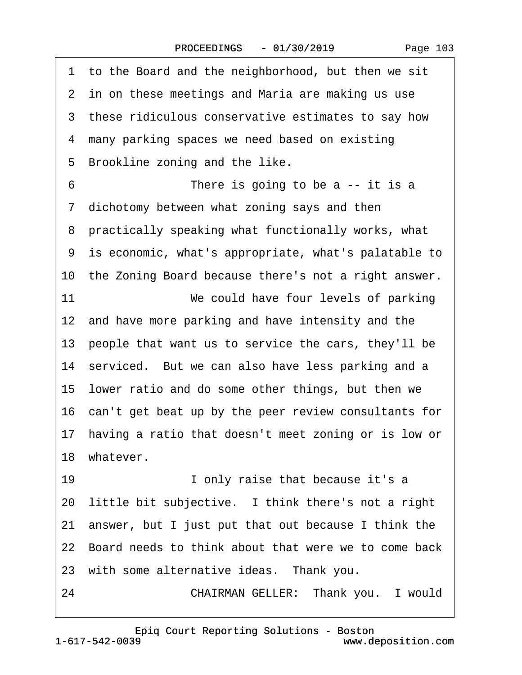<span id="page-102-0"></span>1 to the Board and the neighborhood, but then we sit 2 in on these meetings and Maria are making us use 3 these ridiculous conservative estimates to say how 4 many parking spaces we need based on existing 5 Brookline zoning and the like.  $6\hskip1.6cm$  There is going to be a -- it is a 7 dichotomy between what zoning says and then ·8· practically speaking what functionally works, what ·9· is economic, what's appropriate, what's palatable to 10 the Zoning Board because there's not a right answer. 11 **We could have four levels of parking** 12 and have more parking and have intensity and the 13 people that want us to service the cars, they'll be 14 serviced. But we can also have less parking and a 15· lower ratio and do some other things, but then we 16· can't get beat up by the peer review consultants for 17 having a ratio that doesn't meet zoning or is low or 18 whatever. 19 **· · · · · · · ·** I only raise that because it's a 20 little bit subjective. I think there's not a right 21 answer, but I just put that out because I think the 22· Board needs to think about that were we to come back 23 with some alternative ideas. Thank you. 24 **CHAIRMAN GELLER: Thank you.** I would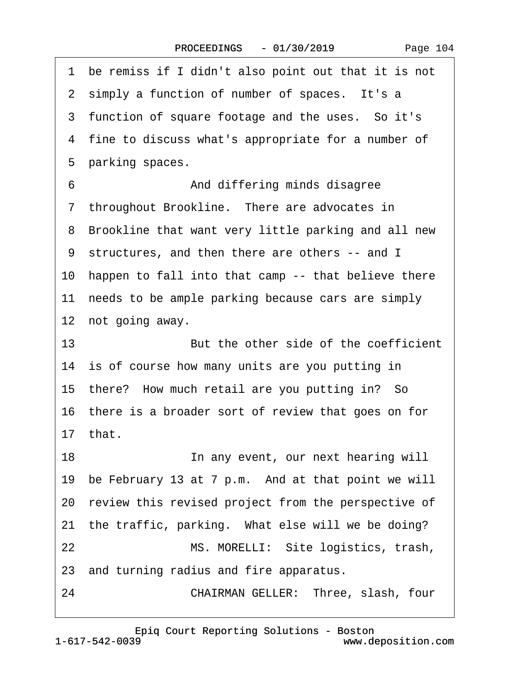<span id="page-103-0"></span>1 be remiss if I didn't also point out that it is not 2 simply a function of number of spaces. It's a 3 function of square footage and the uses. So it's 4 fine to discuss what's appropriate for a number of 5 parking spaces. ·6· · · · · · · · ·And differing minds disagree 7 throughout Brookline. There are advocates in 8 Brookline that want very little parking and all new ·9· structures, and then there are others -- and I 10 happen to fall into that camp -- that believe there 11 needs to be ample parking because cars are simply 12 not going away. 13· · · · · · · · ·But the other side of the coefficient 14 is of course how many units are you putting in 15 there? How much retail are you putting in? So 16 there is a broader sort of review that goes on for 17· that. 18 **In any event, our next hearing will** 19 be February 13 at 7 p.m. And at that point we will 20 review this revised project from the perspective of 21 the traffic, parking. What else will we be doing? 22 MS. MORELLI: Site logistics, trash, 23· and turning radius and fire apparatus. 24 **CHAIRMAN GELLER: Three, slash, four**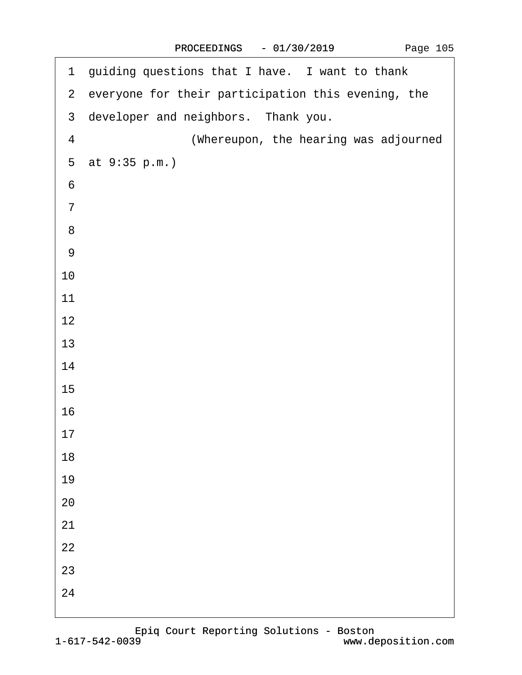<span id="page-104-0"></span>

| 1 guiding questions that I have. I want to thank     |
|------------------------------------------------------|
| 2 everyone for their participation this evening, the |
| 3 developer and neighbors. Thank you.                |
| (Whereupon, the hearing was adjourned<br>4           |
| 5 at 9:35 p.m.)                                      |
| 6                                                    |
| $\overline{7}$                                       |
| 8                                                    |
| 9                                                    |
| 10                                                   |
| 11                                                   |
| 12                                                   |
| 13                                                   |
| 14                                                   |
| 15                                                   |
| 16                                                   |
| 17                                                   |
| 18                                                   |
| 19                                                   |
| 20                                                   |
| 21                                                   |
| 22                                                   |
| 23                                                   |
| 24                                                   |
|                                                      |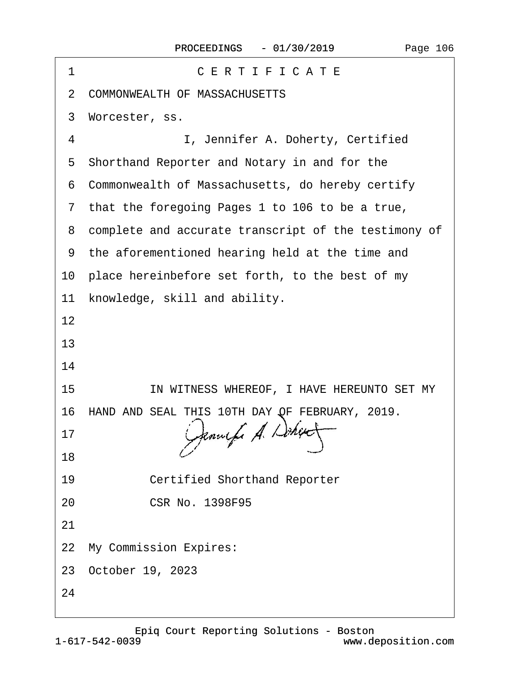| CERTIFICATE<br>1                                       |
|--------------------------------------------------------|
| 2 COMMONWEALTH OF MASSACHUSETTS                        |
| Worcester, ss.<br>3                                    |
| I, Jennifer A. Doherty, Certified<br>4                 |
| Shorthand Reporter and Notary in and for the<br>5      |
| 6 Commonwealth of Massachusetts, do hereby certify     |
| 7 that the foregoing Pages 1 to 106 to be a true,      |
| 8 complete and accurate transcript of the testimony of |
| 9 the aforementioned hearing held at the time and      |
| 10 place hereinbefore set forth, to the best of my     |
| 11 knowledge, skill and ability.                       |
| 12                                                     |
| 13                                                     |
| 14                                                     |
| IN WITNESS WHEREOF, I HAVE HEREUNTO SET MY<br>15       |
| 16 HAND AND SEAL THIS 10TH DAY OF FEBRUARY, 2019.      |
| 17                                                     |
| 18                                                     |
| 19<br><b>Certified Shorthand Reporter</b>              |
| <b>CSR No. 1398F95</b><br>20                           |
| 21                                                     |
| 22 My Commission Expires:                              |
| 23 October 19, 2023                                    |
| 24                                                     |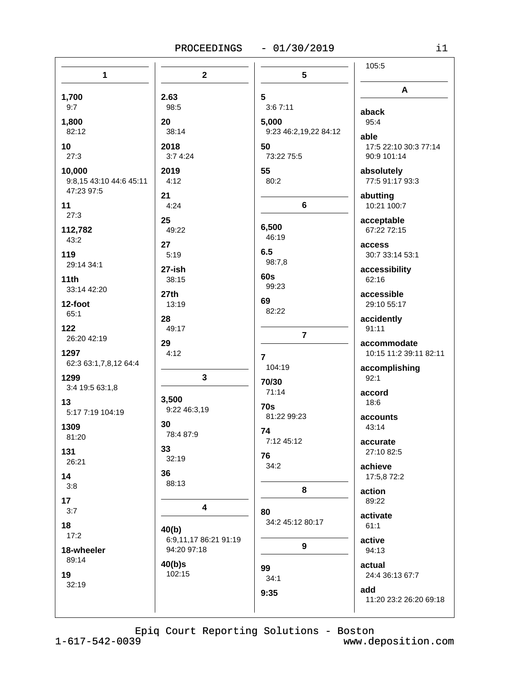## PROCEEDINGS - 01/30/2019

| $\mathbf{1}$                                    | $\mathbf{2}$                                  | 5                                         | 105:5                                        |
|-------------------------------------------------|-----------------------------------------------|-------------------------------------------|----------------------------------------------|
| 1,700                                           | 2.63                                          | $5\phantom{.0}$                           | A                                            |
| 9:7<br>1,800<br>82:12                           | 98:5<br>20<br>38:14                           | 3:67:11<br>5,000<br>9:23 46:2,19,22 84:12 | aback<br>95:4                                |
| 10<br>27:3                                      | 2018<br>3:74:24                               | 50<br>73:22 75:5                          | able<br>17:5 22:10 30:3 77:14<br>90:9 101:14 |
| 10,000<br>9:8,15 43:10 44:6 45:11<br>47:23 97:5 | 2019<br>4:12                                  | 55<br>80:2                                | absolutely<br>77:5 91:17 93:3                |
| 11<br>27:3                                      | 21<br>4:24                                    | 6                                         | abutting<br>10:21 100:7                      |
| 112,782<br>43:2                                 | 25<br>49:22<br>27                             | 6,500<br>46:19                            | acceptable<br>67:22 72:15                    |
| 119<br>29:14 34:1                               | 5:19<br>27-ish                                | 6.5<br>98:7,8                             | access<br>30:7 33:14 53:1<br>accessibility   |
| 11th<br>33:14 42:20                             | 38:15<br>27th                                 | 60s<br>99:23                              | 62:16<br>accessible                          |
| 12-foot<br>65:1                                 | 13:19<br>28                                   | 69<br>82:22                               | 29:10 55:17<br>accidently                    |
| 122<br>26:20 42:19                              | 49:17<br>29                                   | $\overline{7}$                            | 91:11<br>accommodate                         |
| 1297<br>62:3 63:1,7,8,12 64:4                   | 4:12                                          | $\overline{7}$<br>104:19                  | 10:15 11:2 39:11 82:11<br>accomplishing      |
| 1299<br>3:4 19:5 63:1,8                         | 3                                             | 70/30<br>71:14                            | 92:1<br>accord                               |
| 13<br>5:17 7:19 104:19                          | 3,500<br>9:22 46:3,19<br>30                   | <b>70s</b><br>81:22 99:23                 | 18:6<br>accounts                             |
| 1309<br>81:20                                   | 78:4 87:9<br>33                               | 74<br>7:12 45:12                          | 43:14<br>accurate                            |
| 131<br>26:21<br>14                              | 32:19<br>36                                   | 76<br>34:2                                | 27:10 82:5<br>achieve<br>17:5,8 72:2         |
| 3:8<br>17 <sub>2</sub>                          | 88:13                                         | 8                                         | action<br>89:22                              |
| 3:7<br>18                                       | $\overline{\mathbf{4}}$                       | 80<br>34:2 45:12 80:17                    | activate<br>61:1                             |
| 17:2<br>18-wheeler                              | 40(b)<br>6:9,11,17 86:21 91:19<br>94:20 97:18 | 9                                         | active<br>94:13                              |
| 89:14<br>19                                     | 40(b)s<br>102:15                              | 99<br>34:1                                | actual<br>24:4 36:13 67:7                    |
| 32:19                                           |                                               | 9:35                                      | add<br>11:20 23:2 26:20 69:18                |

Epiq Court Reporting Solutions - Boston  $1 - 617 - 542 - 0039$ www.deposition.com

 $i1$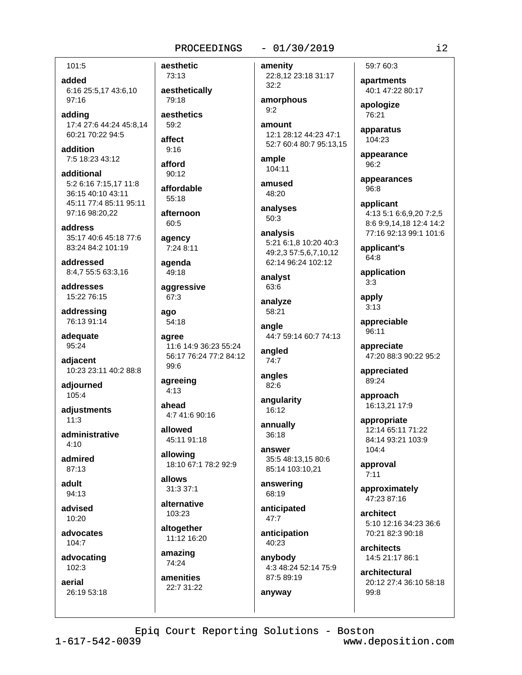### PROCEEDINGS

## 101:5

added 6:16 25:5,17 43:6,10 97:16

adding 17:4 27:6 44:24 45:8,14 60:21 70:22 94:5

addition 7:5 18:23 43:12

additional 5:2 6:16 7:15,17 11:8 36:15 40:10 43:11 45:11 77:4 85:11 95:11 97:16 98:20,22

address 35:17 40:6 45:18 77:6 83:24 84:2 101:19

addressed 8:4,7 55:5 63:3,16

addresses 15:22 76:15

addressing 76:13 91:14

adequate 95:24

adiacent 10:23 23:11 40:2 88:8

adjourned 105:4

adiustments  $11:3$ 

administrative  $4:10$ 

admired  $87.13$ 

adult 94:13

advised  $10.20$ 

advocates  $104:7$ 

advocating  $102:3$ 

aerial 26:19 53:18 aesthetic 73:13 aesthetically 79:18 aesthetics  $59:2$ affect  $9:16$ afford  $90:12$ affordable 55:18 afternoon  $60:5$ agency 7:24 8:11 agenda 49:18 aggressive 67:3 ago 54:18 agree 11:6 14:9 36:23 55:24 56:17 76:24 77:2 84:12 99:6 agreeing  $4:13$ ahead 4:7 41:6 90:16

allowed 45:11 91:18

allowing 18:10 67:1 78:2 92:9

allows 31:3 37:1

alternative

103:23 altogether 11:12 16:20

amazing 74:24

amenities 22:7 31:22 amenity 22:8,12 23:18 31:17  $32:2$ 

 $-01/30/2019$ 

amorphous  $9:2$ 

amount 12:1 28:12 44:23 47:1 52:7 60:4 80:7 95:13.15

ample 104:11

amused 48:20

analyses 50:3

analysis 5:21 6:1,8 10:20 40:3 49:2.3 57:5,6,7,10,12 62:14 96:24 102:12

analyst 63:6

analyze 58:21

angle 44:7 59:14 60:7 74:13

angled  $74:7$ 

angles 82:6

angularity 16:12

annually  $36:18$ 

answer 35:5 48:13.15 80:6 85:14 103:10,21

answering 68:19

anticipated  $47:7$ 

anticipation 40:23

anyway

anybody 4:3 48:24 52:14 75:9 87:5 89:19

# 59:7 60:3

apartments 40:1 47:22 80:17

apologize 76:21

apparatus 104:23

appearance 96:2

appearances 96:8

applicant 4:13 5:1 6:6,9,20 7:2,5 8:6 9:9,14,18 12:4 14:2 77:16 92:13 99:1 101:6

applicant's  $64:8$ 

application  $3:3$ 

apply  $3:13$ 

appreciable  $96:11$ 

appreciate 47:20 88:3 90:22 95:2

appreciated 89:24

approach 16:13,21 17:9

appropriate 12:14 65:11 71:22 84:14 93:21 103:9 104:4

approval  $7:11$ 

approximately 47:23 87:16

architect 5:10 12:16 34:23 36:6 70:21 82:3 90:18

architects 14:5 21:17 86:1

architectural 20:12 27:4 36:10 58:18 99:8

Epiq Court Reporting Solutions - Boston

 $1 - 617 - 542 - 0039$ 

www.deposition.com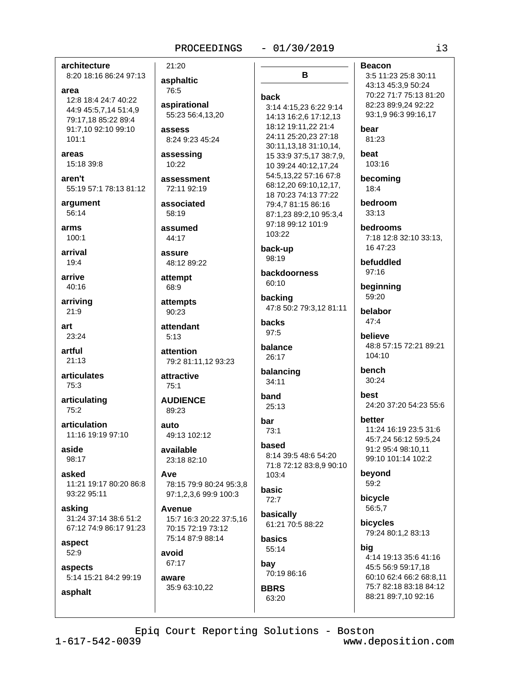#### $-01/30/2019$

# architecture

8:20 18:16 86:24 97:13

## area

12:8 18:4 24:7 40:22 44:9 45:5,7,14 51:4,9 79:17,18 85:22 89:4 91:7,10 92:10 99:10  $101:1$ 

#### areas 15:18 39:8

aren't 55:19 57:1 78:13 81:12

argument 56:14

arms  $100:1$ 

arrival 19:4

arrive 40:16

arriving  $21:9$ 

art  $23.24$ 

artful  $21:13$ 

**articulates** 75:3

articulating  $75:2$ 

articulation 11:16 19:19 97:10

aside 98:17

asked 11:21 19:17 80:20 86:8 93:22 95:11

asking 31:24 37:14 38:6 51:2 67:12 74:9 86:17 91:23

aspect 52:9

asphalt

aspects 5:14 15:21 84:2 99:19

# 21:20 asphaltic 76:5 aspirational 55:23 56:4.13.20 assess 8:24 9:23 45:24 assessing  $10:22$ assessment 72:11 92:19

associated 58:19

assumed 44:17

**ASSIITA** 

48:12 89:22 attempt

68:9 attempts

90:23 attendant  $5:13$ 

attention 79:2 81:11,12 93:23

attractive  $75:1$ 

**AUDIENCE** 89:23

 $A$ uto 49:13 102:12

available 23:18 82:10

Ave 78:15 79:9 80:24 95:3.8 97:1,2,3,6 99:9 100:3

Avenue 15:7 16:3 20:22 37:5,16 70:15 72:19 73:12 75:14 87:9 88:14

avoid 67:17

aware

35:9 63:10,22

B back 3:14 4:15,23 6:22 9:14 14:13 16:2,6 17:12,13 18:12 19:11,22 21:4 24:11 25:20,23 27:18 30:11,13,18 31:10,14, 15 33:9 37:5,17 38:7,9, 10 39:24 40:12,17,24 54:5.13.22 57:16 67:8 68:12.20 69:10.12.17. 18 70:23 74:13 77:22 79:4,7 81:15 86:16 87:1,23 89:2,10 95:3,4 97:18 99:12 101:9 103:22 back-up 98:19 backdoorness

 $60:10$ backing 47:8 50:2 79:3,12 81:11

**backs** 97:5

balance 26:17

balancing  $34:11$ 

band 25:13

#### bar 73:1

based 8:14 39:5 48:6 54:20 71:8 72:12 83:8,9 90:10 103:4

basic  $72:7$ 

basically 61:21 70:5 88:22

basics 55:14 bay

70:19 86:16 **BBRS** 63:20

**Beacon** 

3:5 11:23 25:8 30:11 43:13 45:3,9 50:24 70:22 71:7 75:13 81:20 82:23 89:9,24 92:22 93:1,9 96:3 99:16,17

hear 81:23

**beat** 103:16

becoming 18:4

bedroom  $33:13$ 

**bedrooms** 7:18 12:8 32:10 33:13, 16 47:23

befuddled  $97:16$ 

beginning 59:20

belabor  $47:4$ 

**believe** 48:8 57:15 72:21 89:21 104:10

bench  $30:24$ 

best 24:20 37:20 54:23 55:6

better

11:24 16:19 23:5 31:6 45:7.24 56:12 59:5.24 91:2 95:4 98:10,11 99:10 101:14 102:2

beyond 59:2

bicycle 56:5.7

bicycles 79:24 80:1,2 83:13

big

4:14 19:13 35:6 41:16 45:5 56:9 59:17,18 60:10 62:4 66:2 68:8,11 75:7 82:18 83:18 84:12 88:21 89:7,10 92:16

Epiq Court Reporting Solutions - Boston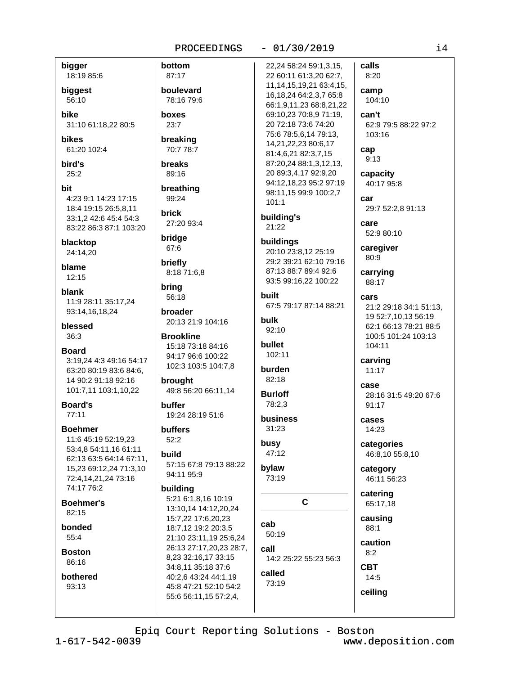#### bigger calls bottom 22,24 58:24 59:1,3,15, 18:19 85:6 87:17 22 60:11 61:3,20 62:7, 8:20 11, 14, 15, 19, 21 63: 4, 15, boulevard biggest camp 16, 18, 24 64: 2, 3, 7 65: 8 78:16 79:6 104:10 56:10 66:1,9,11,23 68:8,21,22 **bike** boxes can't 69:10.23 70:8.9 71:19. 20 72:18 73:6 74:20 62:9 79:5 88:22 97:2 31:10 61:18,22 80:5  $23:7$ 75:6 78:5,6,14 79:13, 103:16 breaking hikes 14,21,22,23 80:6,17 61:20 102:4 70:7 78:7 cap 81:4,6,21 82:3,7,15  $9:13$ bird's **breaks** 87:20,24 88:1,3,12,13, 20 89:3,4,17 92:9,20  $25:2$ 89:16 capacity 94:12,18,23 95:2 97:19 40:17 95:8 breathing bit 98:11,15 99:9 100:2,7 4:23 9:1 14:23 17:15 99:24 car  $101:1$ 29:7 52:2,8 91:13 18:4 19:15 26:5,8,11 **brick** building's 33:1,2 42:6 45:4 54:3 27:20 93:4 care 21:22 83:22 86:3 87:1 103:20 52:9 80:10 bridge blacktop buildings 67:6 caregiver 24:14,20 20:10 23:8,12 25:19 80:9 29:2 39:21 62:10 79:16 briefly blame 87:13 88:7 89:4 92:6 8:18 71:6,8 carrying  $12:15$ 93:5 99:16,22 100:22 88:17 bring blank built 56:18 cars 11:9 28:11 35:17,24 67:5 79:17 87:14 88:21 21:2 29:18 34:1 51:13, 93:14,16,18,24 broader 19 52:7,10,13 56:19 bulk 20:13 21:9 104:16 blessed 62:1 66:13 78:21 88:5  $92:10$  $36.3$ **Brookline** 100:5 101:24 103:13 bullet 15:18 73:18 84:16 104:11 **Board** 102:11 94:17 96:6 100:22 3:19.24 4:3 49:16 54:17 carving 102:3 103:5 104:7,8 burden 63:20 80:19 83:6 84:6,  $11:17$ 14 90:2 91:18 92:16 82:18 brought case 101:7,11 103:1,10,22 49:8 56:20 66:11.14 **Burloff** 28:16 31:5 49:20 67:6 **Board's** buffer 78:2,3 91:17  $77:11$ 19:24 28:19 51:6 business cases  $31:23$ **Boehmer** buffers 14:23 11:6 45:19 52:19,23  $52.2$ busy categories 53:4,8 54:11,16 61:11 47:12 build 46:8,10 55:8,10 62:13 63:5 64:14 67:11, 57:15 67:8 79:13 88:22 bylaw 15,23 69:12,24 71:3,10 category 94:11 95:9 73:19 72:4,14,21,24 73:16 46:11 56:23 74:17 76:2 building catering 5:21 6:1.8.16 10:19  $\mathbf C$ Boehmer's 65:17,18 13:10.14 14:12.20.24  $82:15$ causing 15:7,22 17:6,20,23 cab bonded 18:7,12 19:2 20:3,5 88:1 50:19 55:4 21:10 23:11.19 25:6.24 caution 26:13 27:17,20,23 28:7, call **Boston**  $8:2$ 8,23 32:16,17 33:15 14:2 25:22 55:23 56:3 86:16 **CBT** 34:8,11 35:18 37:6 called bothered 40:2,6 43:24 44:1,19  $14:5$ 73:19 93:13 45:8 47:21 52:10 54:2 ceiling 55:6 56:11,15 57:2,4,

PROCEEDINGS

 $-01/30/2019$ 

Epiq Court Reporting Solutions - Boston

 $1 - 617 - 542 - 0039$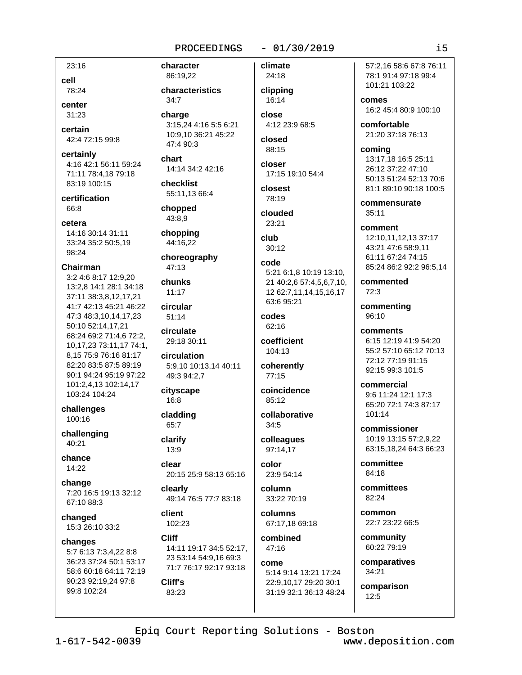23:16 cell 78:24

center  $31:23$ 

certain 42:4 72:15 99:8

certainly 4:16 42:1 56:11 59:24 71:11 78:4,18 79:18 83:19 100:15

certification 66:8

cetera

14:16 30:14 31:11 33:24 35:2 50:5,19 98:24

#### Chairman

3:2 4:6 8:17 12:9.20 13:2,8 14:1 28:1 34:18 37:11 38:3,8,12,17,21 41:7 42:13 45:21 46:22 47:3 48:3,10,14,17,23 50:10 52:14,17,21 68:24 69:2 71:4,6 72:2, 10,17,23 73:11,17 74:1, 8,15 75:9 76:16 81:17 82:20 83:5 87:5 89:19 90:1 94:24 95:19 97:22 101:2,4,13 102:14,17 103:24 104:24

challenges 100:16

challenging 40:21

chance 14:22

change 7:20 16:5 19:13 32:12 67:10 88:3

changed 15:3 26:10 33:2

changes 5:7 6:13 7:3,4,22 8:8 36:23 37:24 50:1 53:17 58:6 60:18 64:11 72:19 90:23 92:19.24 97:8 99:8 102:24

character 86:19,22

characteristics  $34:7$ 

charge 3:15,24 4:16 5:5 6:21 10:9.10 36:21 45:22 47:4 90:3

chart 14:14 34:2 42:16

checklist 55:11,13 66:4

chopped 43:8,9

chopping 44:16,22

choreography  $47:13$ 

chunks  $11:17$ 

circular  $51:14$ 

circulate 29:18 30:11

circulation 5:9,10 10:13,14 40:11 49:3 94:2,7

cityscape 16:8

cladding 65:7

clarify 13:9

clear 20:15 25:9 58:13 65:16

clearly 49:14 76:5 77:7 83:18

client 102:23

**Cliff** 14:11 19:17 34:5 52:17, 23 53:14 54:9,16 69:3 71:7 76:17 92:17 93:18

Cliff's 83:23 climate 24:18

 $-01/30/2019$ 

clipping 16:14 close

4:12 23:9 68:5 closed

88:15

closer 17:15 19:10 54:4

closest 78:19

clouded 23:21

club  $30:12$ 

code 5:21 6:1,8 10:19 13:10, 21 40:2,6 57:4,5,6,7,10, 12 62:7,11,14,15,16,17 63:6 95:21

codes 62:16

coefficient 104:13

coherently  $77:15$ 

coincidence 85:12

collaborative  $34:5$ colleagues

97:14,17 color

23:9 54:14

column 33:22 70:19

columns 67:17,18 69:18

combined 47:16

come 5:14 9:14 13:21 17:24 22:9,10,17 29:20 30:1

31:19 32:1 36:13 48:24

57:2.16 58:6 67:8 76:11 78:1 91:4 97:18 99:4 101:21 103:22

comes 16:2 45:4 80:9 100:10

comfortable 21:20 37:18 76:13

coming 13:17,18 16:5 25:11 26:12 37:22 47:10 50:13 51:24 52:13 70:6 81:1 89:10 90:18 100:5

commensurate  $35:11$ 

comment 12:10,11,12,13 37:17 43:21 47:6 58:9,11 61:11 67:24 74:15 85:24 86:2 92:2 96:5,14

commented 72:3

commenting 96:10

comments 6:15 12:19 41:9 54:20 55:2 57:10 65:12 70:13 72:12 77:19 91:15 92:15 99:3 101:5

commercial 9:6 11:24 12:1 17:3 65:20 72:1 74:3 87:17 101:14

commissioner 10:19 13:15 57:2.9.22 63:15,18,24 64:3 66:23

committee 84:18

committees 82:24

common 22:7 23:22 66:5

community 60:22 79:19

comparatives 34:21

comparison  $12:5$ 

Epiq Court Reporting Solutions - Boston

 $1 - 617 - 542 - 0039$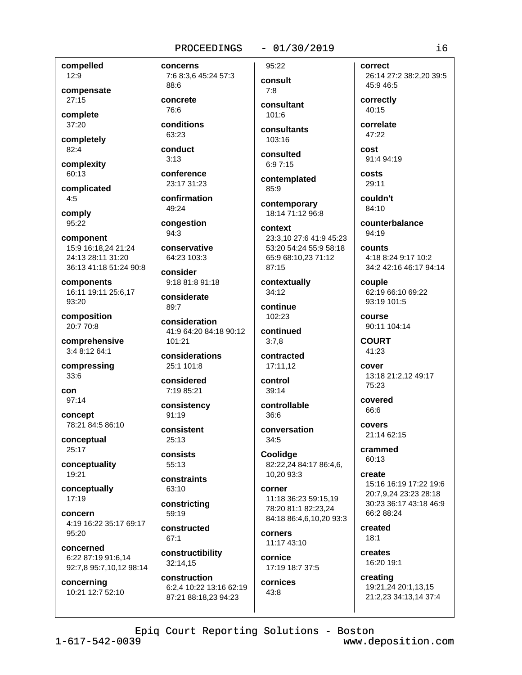#### $-01/30/2019$

compelled 12:9

compensate  $27:15$ 

complete 37:20

completely  $82:4$ 

complexity

60:13 complicated

 $4:5$ 

comply 95:22

component 15:9 16:18.24 21:24 24:13 28:11 31:20 36:13 41:18 51:24 90:8

components 16:11 19:11 25:6.17  $93:20$ 

composition 20:7 70:8

comprehensive 3:4 8:12 64:1

compressing  $33:6$ 

 $con$  $97:14$ 

concept 78:21 84:5 86:10

conceptual 25:17

conceptuality 19:21

conceptually  $17:19$ 

concern 4:19 16:22 35:17 69:17 95:20

concerned 6:22 87:19 91:6,14 92:7,8 95:7,10,12 98:14

concerning 10:21 12:7 52:10

7:6 8:3,6 45:24 57:3 88:6 concrete 76:6

conditions 63:23

conduct  $3:13$ 

concerns

conference 23:17 31:23

confirmation 49:24

congestion  $94:3$ 

conservative 64:23 103:3

consider 9:18 81:8 91:18

considerate 89:7

consideration 41:9 64:20 84:18 90:12 101:21

considerations 25:1 101:8

considered 7:19 85:21

consistency  $91:19$ 

consistent  $25.13$ 

consists  $55:13$ 

constraints 63:10

constricting  $59:19$ 

constructed  $67:1$ 

constructibility 32:14.15

construction 6:2,4 10:22 13:16 62:19 87:21 88:18,23 94:23

consult  $7:8$ consultant

95:22

 $101.6$ 

consultants  $103:16$ 

consulted  $6:97:15$ 

contemplated 85:9

contemporary 18:14 71:12 96:8

context 23:3.10 27:6 41:9 45:23 53:20 54:24 55:9 58:18 65:9 68:10,23 71:12 87:15

contextually 34:12

continue 102:23

continued  $3:7,8$ 

> contracted 17:11,12

control  $39.14$ 

controllable  $36:6$ 

conversation  $34:5$ 

Coolidge 82:22,24 84:17 86:4,6, 10,20 93:3

corner 11:18 36:23 59:15.19 78:20 81:1 82:23.24 84:18 86:4,6,10,20 93:3

corners 11:17 43:10

cornice 17:19 18:7 37:5

cornices  $43:8$ 

correct 26:14 27:2 38:2,20 39:5 45:9 46:5

correctly  $40:15$ 

correlate 47:22

cost 91:4 94:19

costs 29:11

couldn't 84:10

counterbalance 94:19

counts 4:18 8:24 9:17 10:2 34:2 42:16 46:17 94:14

couple 62:19 66:10 69:22 93:19 101:5

course 90:11 104:14

**COURT** 41:23

cover 13:18 21:2,12 49:17 75:23

covered 66:6

covers 21:14 62:15

crammed 60:13

create 15:16 16:19 17:22 19:6 20:7.9.24 23:23 28:18 30:23 36:17 43:18 46:9 66:2 88:24

created  $18:1$ 

creates 16:20 19:1

creating 19:21,24 20:1,13,15 21:2,23 34:13,14 37:4

Epiq Court Reporting Solutions - Boston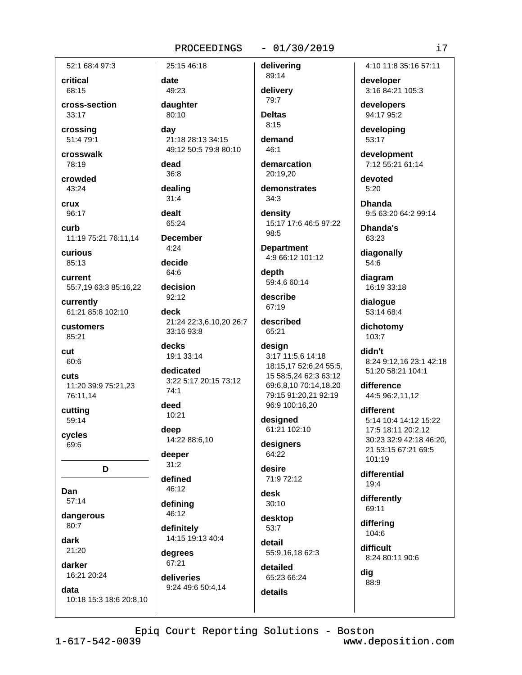#### $-01/30/2019$

52:1 68:4 97:3

critical 68:15

cross-section  $33.17$ 

crossing 51:4 79:1

crosswalk 78:19

crowded 43:24

crux 96:17

curb 11:19 75:21 76:11,14

**CULIOUS** 85:13

current 55:7,19 63:3 85:16,22

currently 61:21 85:8 102:10

customers 85:21

cut 60:6

cuts 11:20 39:9 75:21,23 76:11.14

cutting 59:14

cycles 69:6

D

Dan 57:14

dangerous  $80:7$ 

dark

 $21:20$ darker

16:21 20:24

data

10:18 15:3 18:6 20:8,10

date 49:23 daughter

25:15 46:18

day 21:18 28:13 34:15 49:12 50:5 79:8 80:10

dead  $36:8$ 

80:10

dealing  $31:4$ 

dealt 65:24

**December** 

 $4.24$ decide

64:6

decision  $92:12$ 

deck 21:24 22:3,6,10,20 26:7 33:16 93:8

decks 19:1 33:14

dedicated 3:22 5:17 20:15 73:12  $74.1$ 

deed 10:21

deep 14:22 88:6,10

deeper  $31:2$ 

defined 46:12

defining

46:12 definitely 14:15 19:13 40:4

degrees 67:21

deliveries 9:24 49:6 50:4,14 delivery 79:7 **Deltas** 

89:14

delivering

 $8:15$ 

demand  $46:1$ 

demarcation 20:19,20

demonstrates  $34:3$ density

15:17 17:6 46:5 97:22 98:5

**Department** 4:9 66:12 101:12

depth 59:4,6 60:14

describe 67:19

described 65:21

#### design 3:17 11:5,6 14:18 18:15,17 52:6,24 55:5, 15 58:5,24 62:3 63:12 69:6,8,10 70:14,18,20 79:15 91:20,21 92:19 96:9 100:16.20

designed 61:21 102:10

designers 64:22

desire 71:9 72:12

desk  $30:10$ 

desktop 53:7

detail 55:9,16,18 62:3

detailed 65:23 66:24

details

Epiq Court Reporting Solutions - Boston

 $1 - 617 - 542 - 0039$ 

4:10 11:8 35:16 57:11

developer 3:16 84:21 105:3

developers 94:17 95:2

developing 53:17

development 7:12 55:21 61:14

devoted  $5:20$ 

**Dhanda** 9:5 63:20 64:2 99:14

Dhanda's 63:23

diagonally 54:6

16:19 33:18

dialogue

dichotomy 103:7

didn't 8:24 9:12,16 23:1 42:18 51:20 58:21 104:1

difference 44:5 96:2,11,12

different 5:14 10:4 14:12 15:22 17:5 18:11 20:2.12 30:23 32:9 42:18 46:20. 21 53:15 67:21 69:5 101:19

differential  $19:4$ 

differently 69:11

difficult 8:24 80:11 90:6

www.deposition.com

88:9

differing 104:6

dig

i7

diagram

53:14 68:4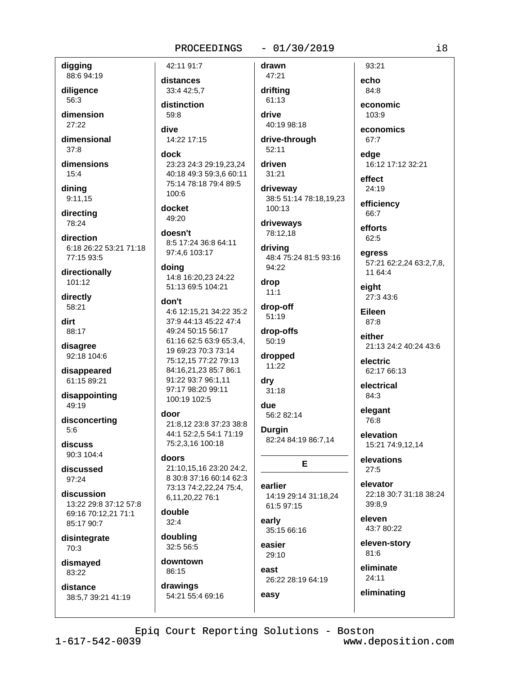#### $-01/30/2019$

drawn

digging 88:6 94:19

diligence 56:3

dimension  $27:22$ 

dimensional  $37:8$ 

dimensions  $15:4$ 

dinina  $9:11.15$ 

directing 78:24

direction 6:18 26:22 53:21 71:18 77:15 93:5

directionally 101:12

directly 58:21

dirt 88:17

disagree 92:18 104:6

disappeared 61:15 89:21

disappointing 49:19

disconcerting  $5:6$ 

discuss 90:3 104:4

discussed 97:24

discussion 13:22 29:8 37:12 57:8 69:16 70:12.21 71:1 85:17 90:7

disintegrate 70:3

dismayed  $83.22$ 

distance 38:5.7 39:21 41:19 distances 33:4 42:5,7 distinction  $59.8$ 

42:11 91:7

dive 14:22 17:15

dock 23:23 24:3 29:19,23,24 40:18 49:3 59:3,6 60:11 75:14 78:18 79:4 89:5 100:6

docket 49:20

doesn't 8:5 17:24 36:8 64:11

97:4.6 103:17 doing

14:8 16:20,23 24:22 51:13 69:5 104:21

#### don't

4:6 12:15,21 34:22 35:2 37:9 44:13 45:22 47:4 49:24 50:15 56:17 61:16 62:5 63:9 65:3,4, 19 69:23 70:3 73:14 75:12.15 77:22 79:13 84:16,21,23 85:7 86:1 91:22 93:7 96:1,11 97:17 98:20 99:11 100:19 102:5

#### door

21:8,12 23:8 37:23 38:8 44:1 52:2,5 54:1 71:19 75:2.3.16 100:18

#### doors

21:10.15.16 23:20 24:2. 8 30:8 37:16 60:14 62:3 73:13 74:2,22,24 75:4, 6,11,20,22 76:1

double  $32:4$ 

doubling 32:5 56:5

downtown 86:15 drawings

54:21 55:4 69:16

47:21 drifting 61:13 drive

40:19 98:18 drive-through

 $52:11$ 

driven  $31:21$ 

drivewav 38:5 51:14 78:18.19.23 100:13

driveways 78:12,18

driving 48:4 75:24 81:5 93:16 94:22

drop  $11:1$ drop-off

51:19 drop-offs

dropped 11:22

50:19

dry  $31:18$ 

due 56:2 82:14

**Durgin** 82:24 84:19 86:7,14

## E

earlier 14:19 29:14 31:18.24 61:5 97:15

early 35:15 66:16

easier 29:10 east

easy

26:22 28:19 64:19

echo 84:8 economic

93:21

 $103.9$ 

economics 67:7

edge 16:12 17:12 32:21

effect 24:19

efficiency 66:7

efforts 62:5

egress 57:21 62:2,24 63:2,7,8, 11 64:4

eiaht 27:3 43:6

Eileen 87:8

either 21:13 24:2 40:24 43:6

electric 62:17 66:13

electrical 84:3

elegant 76:8

elevation 15:21 74:9,12,14

elevations  $27:5$ 

elevator 22:18 30:7 31:18 38:24 39:8.9

eleven 43:7 80:22

eleven-story  $81:6$ 

 $24:11$ 

eliminating

# eliminate

Epiq Court Reporting Solutions - Boston

 $1 - 617 - 542 - 0039$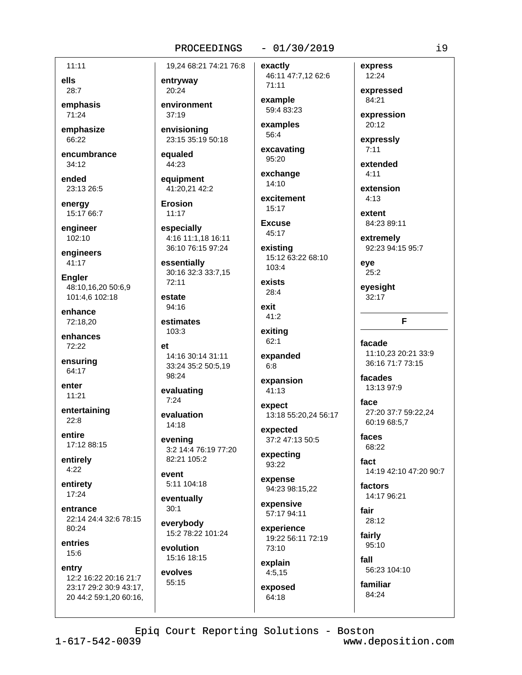#### $-01/30/2019$

 $11:11$ 

ells 28:7

emphasis  $71:24$ 

emphasize 66:22

encumbrance  $34:12$ 

ended 23:13 26:5

energy 15:17 66:7

engineer 102:10

engineers  $41:17$ 

**Engler** 48:10,16,20 50:6,9 101:4.6 102:18

enhance 72:18,20

enhances 72:22

ensuring 64:17

enter  $11:21$ 

entertaining  $22:8$ 

entire 17:12 88:15

entirely  $4:22$ 

entirety  $17:24$ 

entrance 22:14 24:4 32:6 78:15 80:24

entries 15:6

entry 12:2 16:22 20:16 21:7 23:17 29:2 30:9 43:17, 20 44:2 59:1,20 60:16,

19,24 68:21 74:21 76:8

entryway 20:24

environment  $37.19$ 

envisioning 23:15 35:19 50:18

equaled 44:23

equipment 41:20.21 42:2

Erosion  $11:17$ 

especially 4:16 11:1,18 16:11 36:10 76:15 97:24

essentially 30:16 32:3 33:7,15 72:11

estate 94:16

estimates  $103:3$ 

 $\mathbf{r}$ 14:16 30:14 31:11 33:24 35:2 50:5,19 98:24

evaluating  $7:24$ 

evaluation  $14:18$ 

evening 3:2 14:4 76:19 77:20 82:21 105:2

event 5:11 104:18

eventually  $30:1$ 

everybody 15:2 78:22 101:24

evolution 15:16 18:15

evolves 55:15

exactly 46:11 47:7,12 62:6 71:11

example 59:4 83:23

examples 56:4

excavating 95:20

exchange 14:10

excitement  $15:17$ 

**Excuse** 45:17

existina 15:12 63:22 68:10 103:4

exists 28:4

exit 41:2

exiting  $62:1$ 

expanded  $6:8$ 

expansion  $41:13$ 

expect 13:18 55:20,24 56:17

expected 37:2 47:13 50:5

expecting 93:22

expense 94:23 98:15,22

expensive 57:17 94:11

experience 19:22 56:11 72:19 73:10

explain  $4:5,15$ 

exposed 64:18

12:24 expressed 84:21

express

expression 20:12

expressly

 $7:11$ 

extended  $4:11$ 

extension  $4:13$ 

> extent 84:23 89:11

extremely 92:23 94:15 95:7

eve  $25:2$ 

eyesight  $32:17$ 

#### F

facade 11:10.23 20:21 33:9 36:16 71:7 73:15

facades 13:13 97:9

face 27:20 37:7 59:22.24 60:19 68:5,7

faces 68:22

fact 14:19 42:10 47:20 90:7

factors 14:17 96:21

fair 28:12

fairly 95:10

> fall 56:23 104:10

familiar 84:24

Epiq Court Reporting Solutions - Boston

www.deposition.com

 $\frac{1}{9}$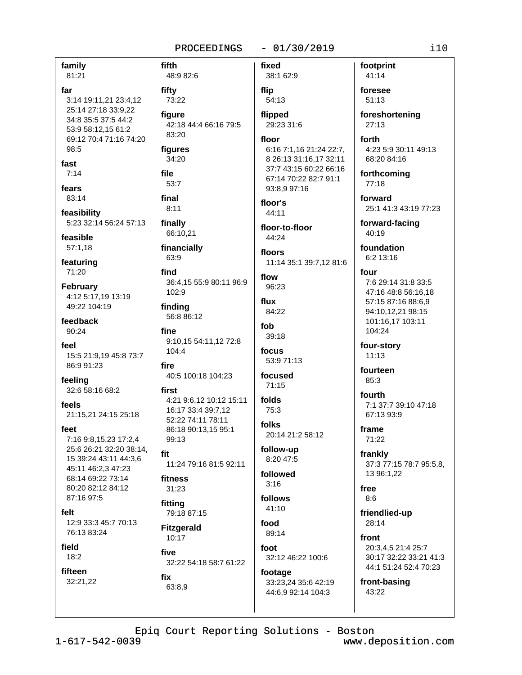#### $-01/30/2019$ PROCEEDINGS

family

81:21 far 3:14 19:11.21 23:4.12 25:14 27:18 33:9.22 34:8 35:5 37:5 44:2 53:9 58:12,15 61:2 69:12 70:4 71:16 74:20 98:5

fast  $7:14$ 

fears

83:14 feasibility

5:23 32:14 56:24 57:13 feasible

57:1,18

featuring 71:20

February 4:12 5:17,19 13:19 49:22 104:19

feedback  $90.24$ 

feel 15:5 21:9.19 45:8 73:7 86:9 91:23

feeling 32:6 58:16 68:2

feels 21:15,21 24:15 25:18

feet

7:16 9:8,15,23 17:2,4 25:6 26:21 32:20 38:14, 15 39:24 43:11 44:3,6 45:11 46:2,3 47:23 68:14 69:22 73:14 80:20 82:12 84:12 87:16 97:5

felt

12:9 33:3 45:7 70:13 76:13 83:24

field

 $18:2$ 

fifteen 32:21,22 fifth fixed 48:9 82:6 fifty 73:22 figure 42:18 44:4 66:16 79:5 83:20 figures 34:20 file 53:7 final  $8:11$ finally 66:10,21 financially 63:9 find 36:4,15 55:9 80:11 96:9 102:9 finding 56:8 86:12 fine 9:10.15 54:11.12 72:8 104:4 fire 40:5 100:18 104:23 first 4:21 9:6,12 10:12 15:11 16:17 33:4 39:7.12 52:22 74:11 78:11 86:18 90:13,15 95:1 99:13 11:24 79:16 81:5 92:11 fitness  $31:23$ fitting 79:18 87:15

**Fitzgerald** 10:17 five 32:22 54:18 58:7 61:22 fix

63:8,9

fit

38:1 62:9 flip 54:13

flipped 29:23 31:6

#### floor 6:16 7:1,16 21:24 22:7, 8 26:13 31:16,17 32:11 37:7 43:15 60:22 66:16 67:14 70:22 82:7 91:1

93:8,9 97:16 floor's 44:11

floor-to-floor  $44.24$ 

floors 11:14 35:1 39:7,12 81:6

flow 96:23 flux

84:22 fob  $39.18$ 

focus 53:9 71:13

focused  $71:15$ 

folds  $75:3$ 

folks 20:14 21:2 58:12

follow-up 8:20 47:5 followed

 $3:16$ follows

41:10 food

89:14 foot 32:12 46:22 100:6

footage 33:23,24 35:6 42:19 44:6.9 92:14 104:3

footprint 41:14 foresee

 $51:13$ foreshortening

27:13

forth 4:23 5:9 30:11 49:13 68:20 84:16

forthcoming 77:18

forward 25:1 41:3 43:19 77:23

forward-facing 40:19

foundation  $6:2$  13:16

four 7:6 29:14 31:8 33:5 47:16 48:8 56:16.18 57:15 87:16 88:6,9 94:10,12,21 98:15 101:16,17 103:11 104:24

four-story  $11:13$ 

fourteen 85:3

fourth 7:1 37:7 39:10 47:18 67:13 93:9

frame 71:22

frankly 37:3 77:15 78:7 95:5,8, 13 96:1,22

free  $8:6$ 

friendlied-up 28:14

front 20:3,4,5 21:4 25:7 30:17 32:22 33:21 41:3 44:1 51:24 52:4 70:23

front-basing 43:22

Epiq Court Reporting Solutions - Boston

 $1 - 617 - 542 - 0039$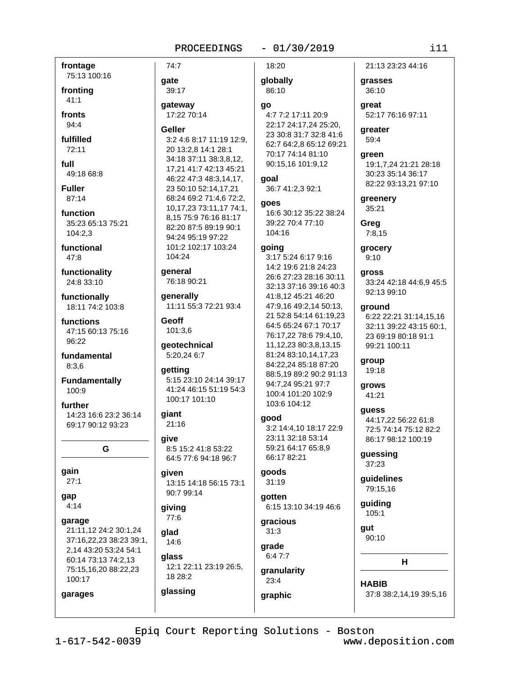#### $-01/30/2019$ PROCEEDINGS

frontage 75:13 100:16

fronting  $41:1$ 

fronts  $94:4$ 

fulfilled  $72:11$ 

full 49:18 68:8

**Fuller** 87:14

function 35:23 65:13 75:21 104:2,3

functional  $47.8$ 

functionality 24:8 33:10

functionally 18:11 74:2 103:8

functions 47:15 60:13 75:16 96:22

fundamental  $8:3,6$ 

**Fundamentally** 100:9

further 14:23 16:6 23:2 36:14 69:17 90:12 93:23

G

gain

 $27:1$ 

gap  $4:14$ 

garage

garages

21:11,12 24:2 30:1,24 37:16,22,23 38:23 39:1, 2,14 43:20 53:24 54:1 60:14 73:13 74:2.13 75:15.16.20 88:22.23 100:17

 $74:7$ qate 39:17 gateway 17:22 70:14 Geller 3:2 4:6 8:17 11:19 12:9. 20 13:2,8 14:1 28:1

34:18 37:11 38:3,8,12, 17,21 41:7 42:13 45:21 46:22 47:3 48:3,14,17, 23 50:10 52:14,17,21 68:24 69:2 71:4,6 72:2, 10, 17, 23 73: 11, 17 74: 1, 8.15 75:9 76:16 81:17 82:20 87:5 89:19 90:1 94.24 95.19 97.22 101:2 102:17 103:24 104:24

qeneral 76:18 90:21

generally 11:11 55:3 72:21 93:4

Geoff 101:3,6

geotechnical 5:20,24 6:7

qetting 5:15 23:10 24:14 39:17 41:24 46:15 51:19 54:3 100:17 101:10

#### **giant** 21:16

aive 8:5 15:2 41:8 53:22 64:5 77:6 94:18 96:7

#### given 13:15 14:18 56:15 73:1 90:7 99:14

giving 77:6

glassing

glad  $14:6$ 

glass 12:1 22:11 23:19 26:5, 18 28:2

18:20

globally 86:10

#### go

4:7 7:2 17:11 20:9 22:17 24:17,24 25:20, 23 30:8 31:7 32:8 41:6 62:7 64:2.8 65:12 69:21 70:17 74:14 81:10 90:15,16 101:9,12

goal 36:7 41:2,3 92:1

qoes 16:6 30:12 35:22 38:24 39:22 70:4 77:10 104:16

#### qoinq

3:17 5:24 6:17 9:16 14:2 19:6 21:8 24:23 26:6 27:23 28:16 30:11 32:13 37:16 39:16 40:3 41:8,12 45:21 46:20 47:9,16 49:2,14 50:13, 21 52:8 54:14 61:19.23 64:5 65:24 67:1 70:17 76:17.22 78:6 79:4.10. 11, 12, 23 80: 3, 8, 13, 15 81:24 83:10,14,17,23 84:22,24 85:18 87:20 88:5.19 89:2 90:2 91:13 94:7,24 95:21 97:7 100:4 101:20 102:9 103:6 104:12

## good

3:2 14:4.10 18:17 22:9 23:11 32:18 53:14 59:21 64:17 65:8.9 66:17 82:21

#### qoods  $31:19$

gotten

6:15 13:10 34:19 46:6

gracious  $31:3$ 

grade  $6:47:7$ 

granularity 23:4 graphic

#### 21:13 23:23 44:16

grasses 36:10

areat 52:17 76:16 97:11

greater 59:4

green 19:1,7,24 21:21 28:18 30:23 35:14 36:17 82:22 93:13,21 97:10

greenery 35:21

Greg  $7:8,15$ 

grocery  $9:10$ 

gross 33:24 42:18 44:6,9 45:5 92:13 99:10

#### ground

6:22 22:21 31:14,15,16 32:11 39:22 43:15 60:1. 23 69:19 80:18 91:1 99:21 100:11

group 19:18

grows 41:21

# guess

44:17,22 56:22 61:8 72:5 74:14 75:12 82:2 86:17 98:12 100:19

guessing  $37:23$ 

quidelines 79:15,16

guiding  $105:1$ 

gut  $90:10$ 

н

**HABIB** 37:8 38:2,14,19 39:5,16

Epiq Court Reporting Solutions - Boston

 $1 - 617 - 542 - 0039$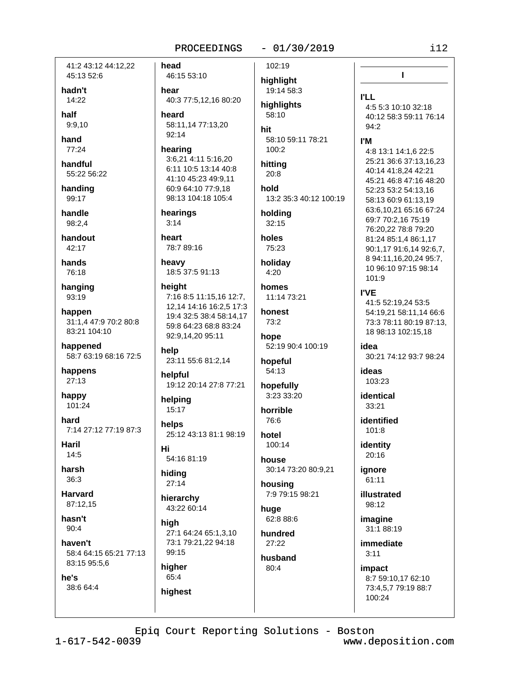41:2 43:12 44:12.22 45:13 52:6

hadn't 14:22

half

 $9:9,10$ 

hand 77:24

handful 55:22 56:22

handing 99:17

handle 98:2.4

handout  $42:17$ 

hands 76:18

hanging 93:19

happen 31:1.4 47:9 70:2 80:8 83:21 104:10

happened 58:7 63:19 68:16 72:5

happens  $27:13$ 

happy 101:24

hard 7:14 27:12 77:19 87:3

Haril  $14:5$ 

harsh  $36:3$ 

**Harvard** 87:12.15

hasn't  $90:4$ 

haven't 58:4 64:15 65:21 77:13 83:15 95:5.6

he's 38:6 64:4 head 46:15 53:10 hear 40:3 77:5.12.16 80:20 heard 58:11,14 77:13,20  $92:14$ hearing

3:6,21 4:11 5:16,20 6:11 10:5 13:14 40:8 41:10 45:23 49:9.11 60:9 64:10 77:9,18 98:13 104:18 105:4

hearings  $3:14$ 

heart 78:7 89:16

heavy 18:5 37:5 91:13

height 7:16 8:5 11:15,16 12:7, 12.14 14:16 16:2.5 17:3 19:4 32:5 38:4 58:14.17 59:8 64:23 68:8 83:24 92:9,14,20 95:11

help 23:11 55:6 81:2,14

helpful 19:12 20:14 27:8 77:21

helpina 15:17

helps 25:12 43:13 81:1 98:19 Hi

54:16 81:19 hiding  $27:14$ 

hierarchy

43:22 60:14 high

27:1 64:24 65:1,3,10 73:1 79:21.22 94:18 99:15

higher 65:4

highest

highlight 19:14 58:3

> highlights 58:10

hit 58:10 59:11 78:21  $100:2$ 

hitting 20:8

hold 13:2 35:3 40:12 100:19

holdina  $32:15$ 

holes 75:23

holiday  $4:20$ 

homes 11:14 73:21

honest 73:2

hope 52:19 90:4 100:19

54:13

3:23 33:20

76:6

hotel 100:14

30:14 73:20 80:9,21

7:9 79:15 98:21

62:8 88:6

27:22

 $80:4$ 

102:19

 $-01/30/2019$ 

 $94:2$ **I'M** 

**I'LL** 

hopeful

hopefully

horrible

house

housina

huae

hundred

husband

4:8 13:1 14:1.6 22:5 25:21 36:6 37:13.16.23 40:14 41:8,24 42:21 45:21 46:8 47:16 48:20 52:23 53:2 54:13,16 58:13 60:9 61:13,19 63:6,10,21 65:16 67:24 69:7 70:2,16 75:19

 $\mathbf{I}$ 

4:5 5:3 10:10 32:18

40:12 58:3 59:11 76:14

76:20,22 78:8 79:20 81:24 85:1,4 86:1,17 90:1,17 91:6,14 92:6,7, 8 94:11, 16, 20, 24 95: 7, 10 96:10 97:15 98:14  $101:9$ 

**I'VE** 

41:5 52:19,24 53:5 54:19,21 58:11,14 66:6 73:3 78:11 80:19 87:13. 18 98:13 102:15,18

idea 30:21 74:12 93:7 98:24

ideas 103:23

identical  $33.21$ 

identified 101:8

identity  $20:16$ 

ignore 61:11

illustrated 98:12

> imagine 31:1 88:19

immediate  $3:11$ 

impact 8:7 59:10.17 62:10 73:4.5.7 79:19 88:7 100:24

Epiq Court Reporting Solutions - Boston

 $1 - 617 - 542 - 0039$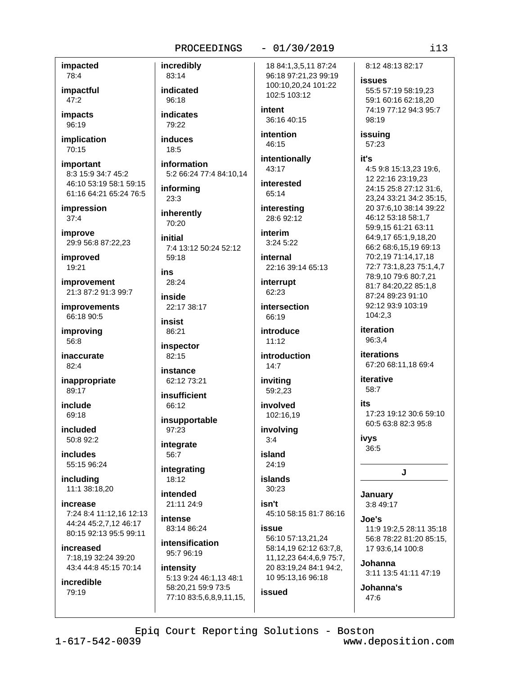#### impacted 78:4

impactful  $47:2$ 

impacts 96:19

implication  $70:15$ 

important 8:3 15:9 34:7 45:2 46:10 53:19 58:1 59:15 61:16 64:21 65:24 76:5

impression  $37:4$ 

improve 29:9 56:8 87:22,23

improved 19:21

improvement 21:3 87:2 91:3 99:7

improvements 66:18 90:5

improving 56:8

inaccurate  $82.4$ 

inappropriate  $89.17$ 

include 69:18

included  $50.892.2$ 

includes 55:15 96:24

including 11:1 38:18,20

increase 7:24 8:4 11:12.16 12:13 44:24 45:2,7,12 46:17 80:15 92:13 95:5 99:11

increased 7:18,19 32:24 39:20 43:4 44:8 45:15 70:14

incredible 79:19

incredibly 83:14 indicated  $96:18$ 

indicates 79:22

**induces**  $18:5$ 

information 5:2 66:24 77:4 84:10,14

informina  $23:3$ 

inherently 70:20

initial 7:4 13:12 50:24 52:12

 $59.18$ 

ins  $28.24$ 

inside 22:17 38:17

insist 86:21

inspector 82:15

instance 62:12 73:21

insufficient 66:12

insupportable 97:23 integrate

56:7

integrating 18:12

intended 21:11 24:9

intense 83:14 86:24

intensification 95:7 96:19

intensity 5:13 9:24 46:1,13 48:1 58:20,21 59:9 73:5 77:10 83:5,6,8,9,11,15, 18 84:1,3,5,11 87:24 96:18 97:21,23 99:19 100:10,20,24 101:22

intent

36:16 40:15

102:5 103:12

intention 46:15

intentionally 43:17

interested 65:14

interesting 28:6 92:12

interim  $3:245:22$ 

internal 22:16 39:14 65:13

interrupt 62:23

intersection 66:19

introduce  $11:12$ 

introduction  $14:7$ 

inviting 59:2.23

involved 102:16,19

involving  $3:4$ 

island 24:19

islands  $30:23$ 

isn't 45:10 58:15 81:7 86:16

issue 56:10 57:13,21,24 58:14,19 62:12 63:7,8, 11, 12, 23 64: 4, 6, 9 75: 7, 20 83:19,24 84:1 94:2, 10 95:13,16 96:18

issued

Johanna

47:6

Epiq Court Reporting Solutions - Boston

www.deposition.com

8:12 48:13 82:17

 $113$ 

**issues** 

55:5 57:19 58:19.23 59:1 60:16 62:18,20 74:19 77:12 94:3 95:7 98:19

issuing 57:23

#### it's

4:5 9:8 15:13,23 19:6, 12 22:16 23:19,23 24:15 25:8 27:12 31:6, 23,24 33:21 34:2 35:15, 20 37:6,10 38:14 39:22 46:12 53:18 58:1.7 59:9.15 61:21 63:11 64:9,17 65:1,9,18,20 66:2 68:6,15,19 69:13 70:2.19 71:14.17.18 72:7 73:1,8,23 75:1,4,7 78:9,10 79:6 80:7,21 81:7 84:20,22 85:1,8 87:24 89:23 91:10 92:12 93:9 103:19 104:2,3

iteration 96:3.4

**iterations** 67:20 68:11,18 69:4

iterative 58:7

ite

17:23 19:12 30:6 59:10 60:5 63:8 82:3 95:8

ivys  $36:5$ 

J

January 3:8 49:17

Joe's 11:9 19:2.5 28:11 35:18 56:8 78:22 81:20 85:15, 17 93:6,14 100:8

3:11 13:5 41:11 47:19

Johanna's

#### $-01/30/2019$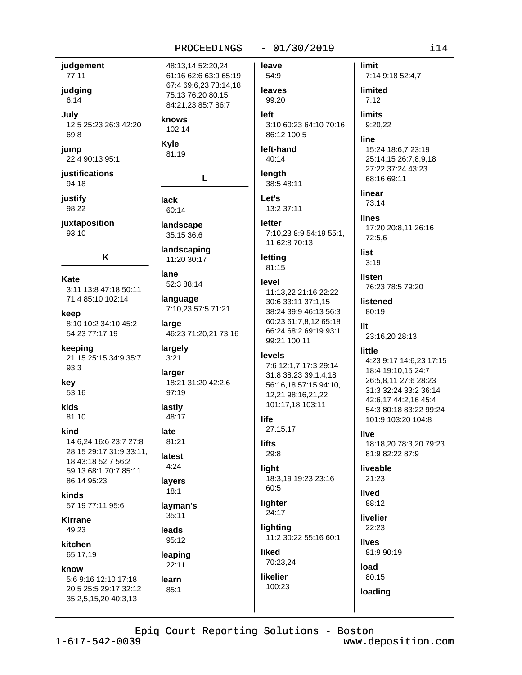#### $-01/30/2019$

judgement 77:11

judging

 $6:14$ 

July 12:5 25:23 26:3 42:20 69:8

jump 22:4 90:13 95:1

justifications 94:18

justify 98:22

juxtaposition 93:10

K

Kate 3:11 13:8 47:18 50:11 71:4 85:10 102:14

keep 8:10 10:2 34:10 45:2 54:23 77:17,19

keeping 21:15 25:15 34:9 35:7 93:3

kev  $53:16$ 

kids

81:10 kind

> 14:6.24 16:6 23:7 27:8 28:15 29:17 31:9 33:11, 18 43:18 52:7 56:2 59:13 68:1 70:7 85:11 86:14 95:23

kinds 57:19 77:11 95:6

**Kirrane** 49:23

kitchen 65:17,19

#### know

5:6 9:16 12:10 17:18 20:5 25:5 29:17 32:12 35:2,5,15,20 40:3,13

48:13,14 52:20,24 61:16 62:6 63:9 65:19 67:4 69:6,23 73:14,18 75:13 76:20 80:15 84:21,23 85:7 86:7

knows 102:14

**Kvle** 81:19

# L

**lack** 60:14

landscape 35:15 36:6

landscaping

11:20 30:17

lane 52:3 88:14

language 7:10,23 57:5 71:21

large 46:23 71:20,21 73:16

largely  $3:21$ 

larger 18:21 31:20 42:2,6 97:19

#### lastly 48:17

late

81:21 latest  $4:24$ 

layers  $18:1$ 

layman's

 $35:11$ **leads** 

95:12 leaping

## $22:11$ learn

 $85:1$ 

86:12 100:5 left-hand  $40:14$ 

leave

54:9

leaves

99:20

**left** 

#### length 38:5 48:11

Let's 13:2 37:11

#### letter 7:10.23 8:9 54:19 55:1. 11 62:8 70:13

3:10 60:23 64:10 70:16

letting 81:15

#### level

11:13,22 21:16 22:22 30:6 33:11 37:1.15 38:24 39:9 46:13 56:3 60:23 61:7,8,12 65:18 66:24 68:2 69:19 93:1 99:21 100:11

#### levels

7:6 12:1,7 17:3 29:14 31:8 38:23 39:1,4,18 56:16,18 57:15 94:10, 12,21 98:16,21,22 101:17,18 103:11

## life

27:15,17

**lifts**  $29:8$ 

#### liaht 18:3,19 19:23 23:16

60:5

#### lighter 24:17

lighting 11:2 30:22 55:16 60:1

liked 70:23,24

# **likelier** 100:23

**limit** 

7:14 9:18 52:4,7

limited  $7:12$ 

**limits** 

9:20,22

# line

15:24 18:6,7 23:19 25:14.15 26:7.8.9.18 27:22 37:24 43:23 68:16 69:11

linear 73:14

**lines** 17:20 20:8,11 26:16 72:5.6

list  $3:19$ 

**listen** 76:23 78:5 79:20

listened  $80:19$ 

lit 23:16,20 28:13

#### little

4:23 9:17 14:6,23 17:15 18:4 19:10,15 24:7 26:5,8,11 27:6 28:23 31:3 32:24 33:2 36:14 42:6.17 44:2.16 45:4 54:3 80:18 83:22 99:24 101:9 103:20 104:8

#### live

18:18,20 78:3,20 79:23 81:9 82:22 87:9

liveable 21:23

lived 88:12

livelier  $22:23$ 

lives  $81.990.19$ 

load

80:15 loading

Epiq Court Reporting Solutions - Boston www.deposition.com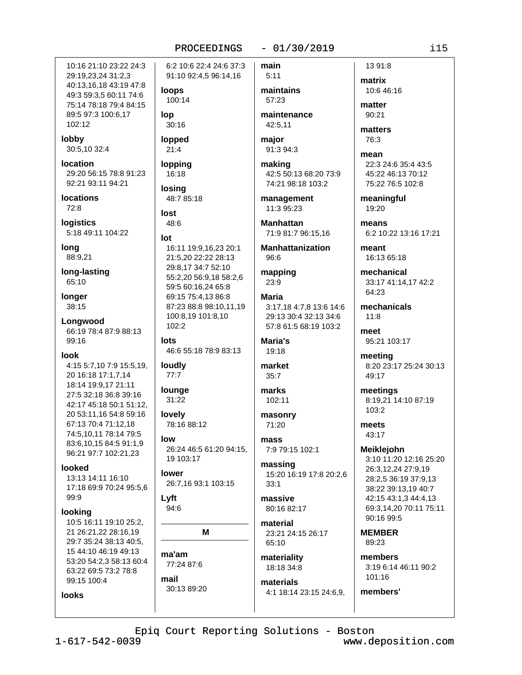10:16 21:10 23:22 24:3 29:19,23,24 31:2,3 40:13,16,18 43:19 47:8 49:3 59:3,5 60:11 74:6 75:14 78:18 79:4 84:15 89:5 97:3 100:6,17 102:12

lobby 30:5,10 32:4

location 29:20 56:15 78:8 91:23 92:21 93:11 94:21

**locations** 72:8

**logistics** 5:18 49:11 104:22

long 88:9,21

long-lasting 65:10

longer 38:15

Longwood 66:19 78:4 87:9 88:13 99:16

look

4:15 5:7,10 7:9 15:5,19, 20 16:18 17:1,7,14 18:14 19:9,17 21:11 27:5 32:18 36:8 39:16 42:17 45:18 50:1 51:12, 20 53:11,16 54:8 59:16 67:13 70:4 71:12,18 74:5,10,11 78:14 79:5 83:6.10.15 84:5 91:1.9 96:21 97:7 102:21,23

looked 13:13 14:11 16:10 17:18 69:9 70:24 95:5,6 99:9

#### lookina

10:5 16:11 19:10 25:2. 21 26:21.22 28:16.19 29:7 35:24 38:13 40:5, 15 44:10 46:19 49:13 53:20 54:2.3 58:13 60:4 63:22 69:5 73:2 78:8 99:15 100:4

**looks** 

6:2 10:6 22:4 24:6 37:3 91:10 92:4,5 96:14,16

loops 100:14

lop  $30:16$ 

lopped  $21:4$ 

lopping

16:18 **losina** 48:7 85:18

lost 48:6

lot 16:11 19:9.16.23 20:1 21:5,20 22:22 28:13 29:8,17 34:7 52:10 55:2,20 56:9,18 58:2,6 59:5 60:16,24 65:8 69:15 75:4,13 86:8 87:23 88:8 98:10,11,19 100:8,19 101:8,10  $102:2$ 

lots 46:6 55:18 78:9 83:13

loudly  $77:7$ 

lounge  $31:22$ lovely

78:16 88:12

low 26:24 46:5 61:20 94:15, 19 103:17

lower 26:7,16 93:1 103:15

Lyft  $94:6$ 

M

ma'am 77:24 87:6

mail 30:13 89:20 main  $5:11$ 

> maintains 57:23

> > maintenance 42:5,11

 $-01/30/2019$ 

maior 91:3 94:3

making 42:5 50:13 68:20 73:9 74:21 98:18 103:2

management 11:3 95:23

**Manhattan** 71:9 81:7 96:15,16

**Manhattanization**  $96.6$ 

mapping  $23:9$ 

**Maria** 3:17,18 4:7,8 13:6 14:6 29:13 30:4 32:13 34:6 57:8 61:5 68:19 103:2

Maria's 19:18

market  $35:7$ 

marks 102:11

masonry 71:20

mass 7:9 79:15 102:1

massing 15:20 16:19 17:8 20:2,6  $33:1$ 

massive 80:16 82:17

material 23:21 24:15 26:17  $65:10$ 

materiality 18:18 34:8

materials 4:1 18:14 23:15 24:6,9,

13 91:8 matrix 10:6 46:16

matter  $90:21$ 

matters 76:3

mean 22:3 24:6 35:4 43:5 45:22 46:13 70:12 75:22 76:5 102:8

meaningful 19:20

means 6:2 10:22 13:16 17:21

meant 16:13 65:18

mechanical 33:17 41:14,17 42:2 64:23

mechanicals  $11:8$ 

meet 95:21 103:17

meeting 8:20 23:17 25:24 30:13 49:17

meetings 8:19,21 14:10 87:19  $103:2$ 

meets 43:17

**Meiklejohn** 3:10 11:20 12:16 25:20 26:3,12,24 27:9,19 28:2,5 36:19 37:9,13 38:22 39:13,19 40:7 42:15 43:1.3 44:4.13 69:3.14.20 70:11 75:11 90:16 99:5

**MEMBER** 89:23

members'

members 3:19 6:14 46:11 90:2 101:16

Epiq Court Reporting Solutions - Boston

 $1 - 617 - 542 - 0039$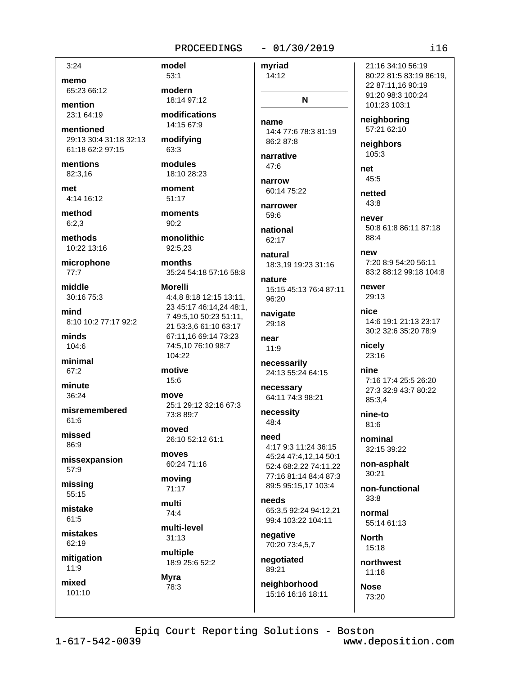#### $-01/30/2019$

 $3:24$ 

memo 65:23 66:12

mention 23:1 64:19

mentioned 29:13 30:4 31:18 32:13 61:18 62:2 97:15

mentions 82:3,16

met 4:14 16:12

method  $6:2.3$ 

methods 10:22 13:16

microphone  $77:7$ 

middle 30:16 75:3

mind 8:10 10:2 77:17 92:2

minds 104:6

minimal 67:2

minute 36:24

misremembered  $61:6$ 

missed 86:9

missexpansion 57:9

missing  $55:15$ 

mistake  $61:5$ 

mistakes 62:19

mitigation  $11:9$ 

mixed  $101:10$  modern 18:14 97:12 modifications 14:15 67:9 modifying 63:3

modules 18:10 28:23

model

 $53:1$ 

moment 51:17

moments  $90:2$ 

monolithic 92:5.23

months 35:24 54:18 57:16 58:8

#### **Morelli** 4:4.8 8:18 12:15 13:11. 23 45:17 46:14,24 48:1, 7 49:5,10 50:23 51:11, 21 53:3.6 61:10 63:17 67:11.16 69:14 73:23 74:5,10 76:10 98:7

104:22 motive

# 15:6

move 25:1 29:12 32:16 67:3 73:8 89:7

moved 26:10 52:12 61:1

moves 60:24 71:16

moving  $71:17$ 

multi  $74.4$ 

multi-level  $31:13$ 

multiple 18:9 25:6 52:2

**Myra** 78:3 mvriad 14:12 N

name 14:4 77:6 78:3 81:19 86:2 87:8

narrative  $47.6$ 

narrow 60:14 75:22

narrower 59:6

national 62:17

natural 18:3.19 19:23 31:16

nature 15:15 45:13 76:4 87:11 96:20

navigate 29:18

near  $11:9$ 

necessarily 24:13 55:24 64:15

necessary 64:11 74:3 98:21

necessity 48:4

need 4:17 9:3 11:24 36:15

45:24 47:4,12,14 50:1 52:4 68:2.22 74:11.22 77:16 81:14 84:4 87:3 89:5 95:15,17 103:4

needs 65:3,5 92:24 94:12,21 99:4 103:22 104:11

negative 70:20 73:4,5,7

negotiated 89:21

neighborhood 15:16 16:16 18:11 21:16 34:10 56:19 80:22 81:5 83:19 86:19, 22 87:11,16 90:19 91:20 98:3 100:24 101:23 103:1

neighboring 57:21 62:10

neighbors  $105:3$ 

net 45:5

netted  $43:8$ never

50:8 61:8 86:11 87:18 88:4

new 7:20 8:9 54:20 56:11 83:2 88:12 99:18 104:8

newer 29:13

nice 14:6 19:1 21:13 23:17 30:2 32:6 35:20 78:9

nicely 23:16

nine 7:16 17:4 25:5 26:20 27:3 32:9 43:7 80:22 85:3.4

nine-to  $81.6$ 

nominal 32:15 39:22

non-asphalt  $30:21$ 

non-functional  $33.8$ 

normal 55:14 61:13

**North**  $15:18$ 

northwest  $11:18$ 

**Nose** 73:20

Epiq Court Reporting Solutions - Boston

 $1 - 617 - 542 - 0039$ 

www.deposition.com

 $116$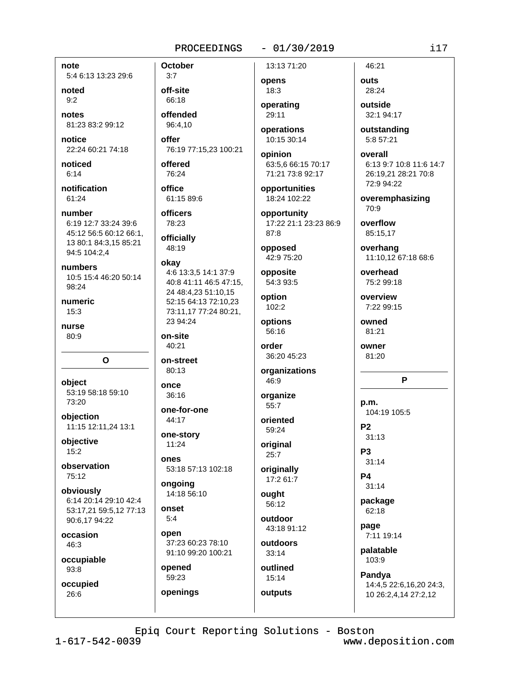note 5:4 6:13 13:23 29:6

noted  $9:2$ 

notes 81:23 83:2 99:12

notice 22:24 60:21 74:18

noticed  $6:14$ 

notification 61:24

number 6:19 12:7 33:24 39:6 45:12 56:5 60:12 66:1, 13 80:1 84:3,15 85:21 94:5 104:2.4

numbers 10:5 15:4 46:20 50:14 98:24

numeric  $15:3$ 

nurse  $80.9$ 

object 53:19 58:18 59:10 73:20

O

objection 11:15 12:11,24 13:1

obiective 15:2

observation 75:12

obviously 6:14 20:14 29:10 42:4 53:17,21 59:5,12 77:13 90:6,17 94:22

occasion 46:3

occupiable 93:8

occupied 26:6

**October**  $3:7$ off-site 66:18 offended 96:4,10

offer 76:19 77:15,23 100:21

offered 76:24

office 61:15 89:6

officers 78:23

officially 48:19

#### okay

4:6 13:3.5 14:1 37:9 40:8 41:11 46:5 47:15, 24 48:4,23 51:10,15 52:15 64:13 72:10,23 73:11,17 77:24 80:21, 23 94:24

on-site 40:21

on-street

80:13 once

36:16 one-for-one

44:17

one-story 11:24

ones 53:18 57:13 102:18

ongoing 14:18 56:10

onset  $5.4$ 

open 37:23 60:23 78:10 91:10 99:20 100:21

opened 59:23 openings 13:13 71:20

opens  $18:3$ operating

29:11 operations 10:15 30:14

opinion 63:5,6 66:15 70:17 71:21 73:8 92:17

opportunities 18:24 102:22

opportunity 17:22 21:1 23:23 86:9 87:8

opposed 42:9 75:20

#### opposite 54:3 93:5

option  $102:2$ 

options 56:16

order 36:20 45:23

organizations 46:9

organize  $55:7$ 

oriented 59:24

original  $25:7$ originally

17:2 61:7

ought 56:12

outdoor 43:18 91:12

outdoors  $33:14$ 

outlined  $15:14$ 

outputs

# $-01/30/2019$

5:8 57:21

#### overall 6:13 9:7 10:8 11:6 14:7 26:19,21 28:21 70:8 72:9 94:22

overemphasizing 70:9

overflow 85:15,17

46:21

28:24

outside

32:1 94:17

outstanding

outs

overhang 11:10.12 67:18 68:6

overhead 75:2 99:18

overview 7:22 99:15

owned  $81:21$ 

owner 81:20

## P

p.m. 104:19 105:5

 $P<sub>2</sub>$  $31:13$ P<sub>3</sub>

 $31:14$ 

P<sub>4</sub>  $31:14$ 

package 62:18

page 7:11 19:14

palatable 103:9

Pandya 14:4,5 22:6,16,20 24:3,

10 26:2,4,14 27:2,12

Epiq Court Reporting Solutions - Boston

 $1 - 617 - 542 - 0039$ 

www.deposition.com

 $i17$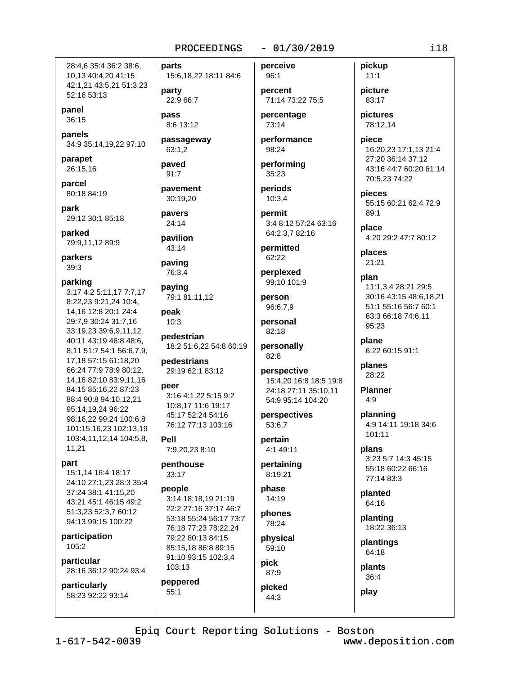28:4.6 35:4 36:2 38:6. 10,13 40:4,20 41:15 42:1,21 43:5,21 51:3,23 52:16 53:13

panel 36:15

panels 34:9 35:14,19,22 97:10

parapet 26:15,16

parcel 80:18 84:19

park 29:12 30:1 85:18

parked 79:9,11,12 89:9

parkers 39:3

#### parking

3:17 4:2 5:11,17 7:7,17 8:22,23 9:21,24 10:4, 14, 16 12: 8 20: 1 24: 4 29:7,9 30:24 31:7,16 33:19.23 39:6.9.11.12 40:11 43:19 46:8 48:6, 8,11 51:7 54:1 56:6,7,9, 17.18 57:15 61:18.20 66:24 77:9 78:9 80:12, 14,16 82:10 83:9,11,16 84:15 85:16,22 87:23 88:4 90:8 94:10,12,21 95:14,19,24 96:22 98:16,22 99:24 100:6,8 101:15,16,23 102:13,19 103:4,11,12,14 104:5,8, 11.21

#### part

15:1.14 16:4 18:17 24:10 27:1,23 28:3 35:4 37:24 38:1 41:15,20 43:21 45:1 46:15 49:2 51:3,23 52:3,7 60:12 94:13 99:15 100:22

participation 105:2

particular 28:16 36:12 90:24 93:4

particularly 58:23 92:22 93:14 parts 15:6,18,22 18:11 84:6

party 22:9 66:7

pass 8:6 13:12

passageway 63:1,2

paved

91:7 pavement

30:19.20

pavers 24:14

pavilion 43:14

paving 76:3,4

paying 79:1 81:11.12

peak  $10:3$ 

pedestrian 18:2 51:6,22 54:8 60:19

pedestrians 29:19 62:1 83:12

#### peer

3:16 4:1,22 5:15 9:2 10:8,17 11:6 19:17 45:17 52:24 54:16 76:12 77:13 103:16

Pell 7:9,20,23 8:10

penthouse 33:17

#### people

3:14 18:18.19 21:19 22:2 27:16 37:17 46:7 53:18 55:24 56:17 73:7 76:18 77:23 78:22,24 79:22 80:13 84:15 85:15,18 86:8 89:15 91:10 93:15 102:3,4 103:13

#### peppered  $55:1$

perceive

 $96:1$ 

```
percent
71:14 73:22 75:5
```
 $-01/30/2019$ 

percentage 73:14

performance 98:24

performing 35:23

periods  $10:3.4$ 

permit 3:4 8:12 57:24 63:16 64:2,3,7 82:16

permitted 62:22

perplexed 99:10 101:9

person 96:6,7,9

personal 82:18

personally 82:8

perspective 15:4,20 16:8 18:5 19:8 24:18 27:11 35:10,11 54:9 95:14 104:20

perspectives 53:6,7

#### pertain 4:1 49:11

pertaining

8:19,21

phase 14:19

phones 78:24

physical 59:10

pick 87:9

picked 44:3

picture 83:17

pictures 78:12,14

pickup

 $11:1$ 

piece 16:20,23 17:1,13 21:4 27:20 36:14 37:12 43:16 44:7 60:20 61:14 70:5,23 74:22

pieces 55:15 60:21 62:4 72:9 89:1

place 4:20 29:2 47:7 80:12

places 21:21

plan 11:1,3,4 28:21 29:5 30:16 43:15 48:6,18,21 51:1 55:16 56:7 60:1 63:3 66:18 74:6,11  $95:23$ 

plane 6:22 60:15 91:1

planes 28:22

**Planner**  $4:9$ 

planning 4:9 14:11 19:18 34:6 101:11

plans 3:23 5:7 14:3 45:15 55:18 60:22 66:16 77:14 83:3

planted 64:16

> planting 18:22 36:13

plantings 64:18

plants 36:4

play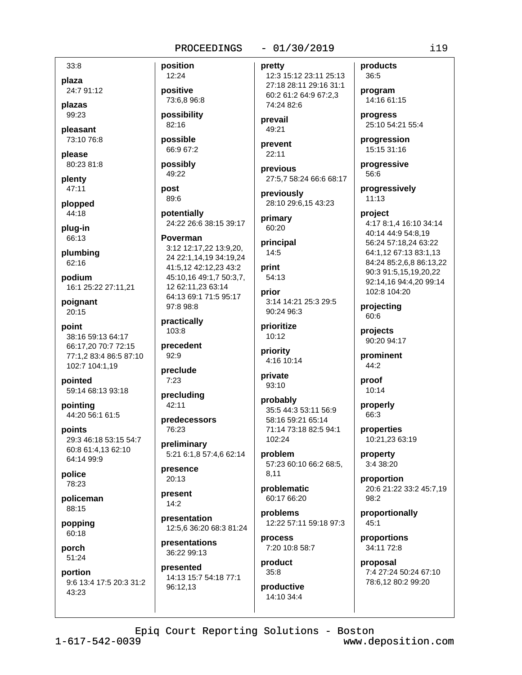$33:8$ 

plaza 24:7 91:12

plazas 99:23

pleasant 73:10 76:8

please 80:23 81:8

plenty  $47:11$ 

plopped 44:18

plug-in 66:13

plumbing 62:16

podium 16:1 25:22 27:11,21

poignant 20:15

point 38:16 59:13 64:17 66:17,20 70:7 72:15 77:1,2 83:4 86:5 87:10 102:7 104:1,19

pointed 59:14 68:13 93:18

pointing 44:20 56:1 61:5

points 29:3 46:18 53:15 54:7 60:8 61:4,13 62:10 64:14 99:9

police 78:23

policeman 88:15

popping 60:18

porch 51:24

portion 9:6 13:4 17:5 20:3 31:2 43:23

12:24 positive 73:6,8 96:8

position

possibility 82:16

possible 66:9 67:2

possibly 49:22

post 89:6

potentially 24:22 26:6 38:15 39:17

Poverman 3:12 12:17,22 13:9,20. 24 22:1,14,19 34:19,24 41:5,12 42:12,23 43:2 45:10,16 49:1,7 50:3,7, 12 62:11,23 63:14 64:13 69:1 71:5 95:17 97:8 98:8

practically  $103:8$ 

precedent  $92:9$ 

preclude  $7:23$ 

precluding 42:11

predecessors 76:23

preliminary 5:21 6:1,8 57:4,6 62:14

presence 20:13

present  $14:2$ 

presentation 12:5,6 36:20 68:3 81:24

presentations 36:22 99:13

presented 14:13 15:7 54:18 77:1 96:12,13

pretty

12:3 15:12 23:11 25:13 27:18 28:11 29:16 31:1 60:2 61:2 64:9 67:2,3 74:24 82:6

 $-01/30/2019$ 

prevail 49:21

prevent  $22:11$ 

previous 27:5,7 58:24 66:6 68:17

previously 28:10 29:6.15 43:23

primary 60:20

principal  $14:5$ 

print 54:13

prior 3:14 14:21 25:3 29:5 90:24 96:3

prioritize  $10:12$ 

priority 4:16 10:14

private 93:10

probably 35:5 44:3 53:11 56:9 58:16 59:21 65:14 71:14 73:18 82:5 94:1 102:24

problem 57:23 60:10 66:2 68:5. 8.11

problematic 60:17 66:20

problems 12:22 57:11 59:18 97:3

process 7:20 10:8 58:7

product  $35:8$ 

productive 14:10 34:4

products 36:5 program

14:16 61:15

progress 25:10 54:21 55:4

progression 15:15 31:16

progressive 56:6

progressively  $11:13$ 

project 4:17 8:1,4 16:10 34:14 40:14 44:9 54:8,19 56:24 57:18,24 63:22 64:1,12 67:13 83:1,13

84:24 85:2,6,8 86:13,22 90:3 91:5,15,19,20,22 92:14,16 94:4,20 99:14 102:8 104:20

projecting 60:6

projects 90:20 94:17

prominent  $44:2$ 

proof 10:14

> properly 66:3

properties 10:21,23 63:19

property 3:4 38:20

proportion 20:6 21:22 33:2 45:7,19 98:2

proportionally 45:1

proportions 34:11 72:8

proposal 7:4 27:24 50:24 67:10 78:6,12 80:2 99:20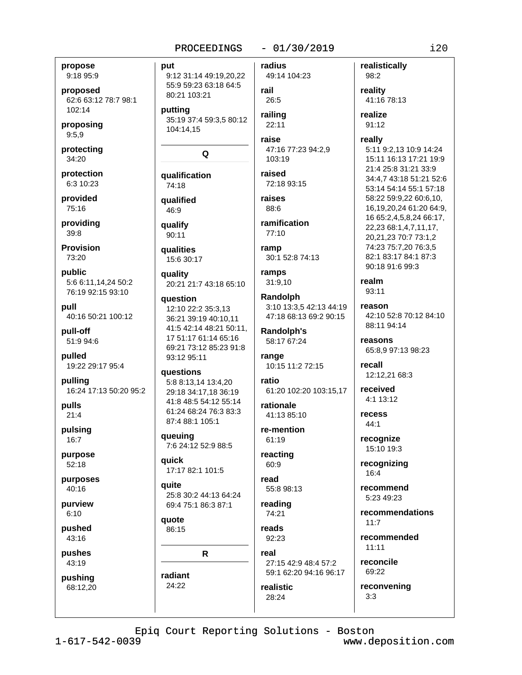#### $-01/30/2019$ PROCEEDINGS

#### propose 9:18 95:9

proposed 62:6 63:12 78:7 98:1 102:14

proposing  $9:5,9$ 

protecting 34:20

protection 6:3 10:23

provided 75:16

providing  $39:8$ 

**Provision**  $73.20$ 

public 5:6 6:11,14,24 50:2 76:19 92:15 93:10

pull 40:16 50:21 100:12

pull-off 51:9 94:6

pulled 19:22 29:17 95:4

pulling 16:24 17:13 50:20 95:2

pulls  $21:4$ 

pulsing 16:7

purpose  $52:18$ 

purposes 40:16

purview  $6:10$ 

pushed 43:16

pushes 43:19

pushing 68:12,20 put 9:12 31:14 49:19,20,22 55:9 59:23 63:18 64:5 80:21 103:21

putting 35:19 37:4 59:3,5 80:12 104:14,15

# $\Omega$

qualification 74:18

qualified  $46:9$ 

qualify 90:11

qualities 15:6 30:17

quality 20:21 21:7 43:18 65:10

auestion 12:10 22:2 35:3.13 36:21 39:19 40:10,11 41:5 42:14 48:21 50:11, 17 51:17 61:14 65:16 69:21 73:12 85:23 91:8 93:12 95:11

questions 5:8 8:13,14 13:4,20 29:18 34:17,18 36:19 41:8 48:5 54:12 55:14 61:24 68:24 76:3 83:3 87:4 88:1 105:1

queuing 7:6 24:12 52:9 88:5

quick 17:17 82:1 101:5

quite 25:8 30:2 44:13 64:24 69:4 75:1 86:3 87:1

quote 86:15

 $\mathsf{R}$ 

radiant 24:22

49:14 104:23 rail 26:5 railing

radius

22:11 raise

47:16 77:23 94:2,9 103:19

raised 72:18 93:15

raises 88:6

ramification 77:10

ramp 30:1 52:8 74:13

ramps 31:9,10

Randolph 3:10 13:3,5 42:13 44:19 47:18 68:13 69:2 90:15

Randolph's 58:17 67:24

range 10:15 11:2 72:15

ratio 61:20 102:20 103:15,17

rationale 41:13 85:10

re-mention 61:19

reacting 60:9

read 55:8 98:13 reading

74:21 reads

28:24

92:23 real

27:15 42:9 48:4 57:2 59:1 62:20 94:16 96:17 realistic

reality 41:16 78:13 realize 91:12 really

realistically

98:2

5:11 9:2,13 10:9 14:24 15:11 16:13 17:21 19:9 21:4 25:8 31:21 33:9 34:4,7 43:18 51:21 52:6 53:14 54:14 55:1 57:18 58:22 59:9,22 60:6,10, 16,19,20,24 61:20 64:9, 16 65:2,4,5,8,24 66:17, 22,23 68:1,4,7,11,17, 20,21,23 70:7 73:1,2 74:23 75:7,20 76:3,5 82:1 83:17 84:1 87:3 90:18 91:6 99:3

realm 93:11

reason

42:10 52:8 70:12 84:10 88:11 94:14

reasons 65:8,9 97:13 98:23

recall 12:12,21 68:3

received 4:1 13:12

recess 44:1

recognize 15:10 19:3

recognizing  $16:4$ 

recommend 5:23 49:23

recommendations  $11:7$ 

recommended  $11:11$ 

reconcile 69:22

reconvening  $3:3$ 

Epiq Court Reporting Solutions - Boston

 $1 - 617 - 542 - 0039$ 

www.deposition.com

 $i20$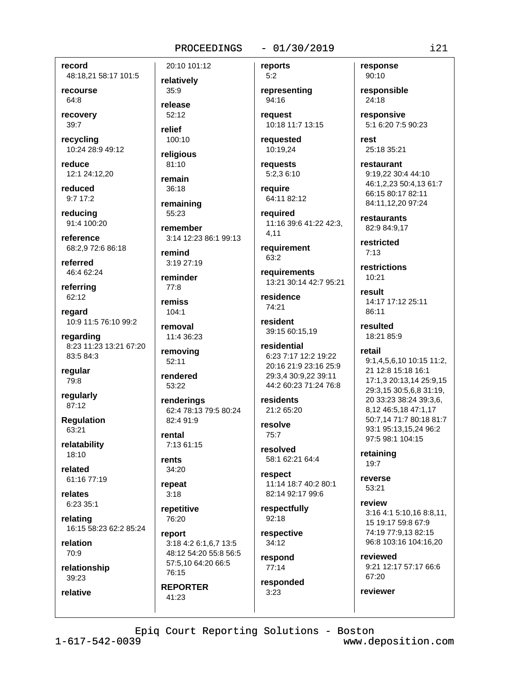record 48:18,21 58:17 101:5

recourse 64:8

recovery 39:7

recycling 10:24 28:9 49:12

reduce 12:1 24:12,20

reduced  $9:7$  17:2

reducina 91:4 100:20

reference 68:2.9 72:6 86:18

referred 46:4 62:24

referring 62:12

regard 10:9 11:5 76:10 99:2

regarding 8:23 11:23 13:21 67:20 83:5 84:3

regular 79:8

regularly 87:12

**Regulation** 63:21

relatability 18:10

related

61:16 77:19 relates

6:23 35:1

relating 16:15 58:23 62:2 85:24

relation 70:9

relationship

39:23 relative relatively  $35:9$ 

20:10 101:12

release  $52.12$ 

relief 100:10

religious  $81:10$ 

remain 36:18

remaining 55:23

remember 3:14 12:23 86:1 99:13

remind  $3:1927:19$ 

reminder  $77:8$ 

remiss 104:1

removal 11:4 36:23

removing 52:11

rendered 53:22

renderinas 62:4 78:13 79:5 80:24 82:4 91:9

rental 7:13 61:15

rents 34:20

repeat  $3:18$ 

repetitive 76:20

report 3:18 4:2 6:1,6,7 13:5 48:12 54:20 55:8 56:5 57:5.10 64:20 66:5 76:15 **REPORTER** 

 $41:23$ 

#### $-01/30/2019$

reports

 $5:2$ representing 94:16

request 10:18 11:7 13:15

reauested 10:19,24

requests 5:2,3 6:10

reauire 64:11 82:12

reauired 11:16 39:6 41:22 42:3, 4.11

requirement  $63.2$ 

requirements 13:21 30:14 42:7 95:21

residence 74:21

resident 39:15 60:15.19

residential 6:23 7:17 12:2 19:22 20:16 21:9 23:16 25:9 29:3,4 30:9,22 39:11 44:2 60:23 71:24 76:8

residents 21:2 65:20

resolve  $75:7$ 

resolved 58:1 62:21 64:4

respect 11:14 18:7 40:2 80:1 82:14 92:17 99:6

respectfully  $92.18$ 

respective  $34:12$ respond

 $77:14$ responded

 $3:23$ 

response 90:10

responsible 24:18

responsive 5:1 6:20 7:5 90:23

rest 25:18 35:21

restaurant 9:19,22 30:4 44:10 46:1,2,23 50:4,13 61:7 66:15 80:17 82:11 84:11.12.20 97:24

restaurants 82:9 84:9.17

restricted  $7:13$ 

restrictions 10:21

result 14:17 17:12 25:11 86:11

resulted  $18.2185.9$ 

#### retail

9:1,4,5,6,10 10:15 11:2, 21 12:8 15:18 16:1 17:1,3 20:13,14 25:9,15 29:3,15 30:5,6,8 31:19, 20 33:23 38:24 39:3.6. 8.12 46:5.18 47:1.17 50:7.14 71:7 80:18 81:7 93:1 95:13,15,24 96:2 97:5 98:1 104:15

retaining  $19:7$ 

reverse 53:21

review 3:16 4:1 5:10,16 8:8,11, 15 19:17 59:8 67:9 74:19 77:9,13 82:15 96:8 103:16 104:16,20

reviewed 9:21 12:17 57:17 66:6 67:20

reviewer

Epiq Court Reporting Solutions - Boston

 $1 - 617 - 542 - 0039$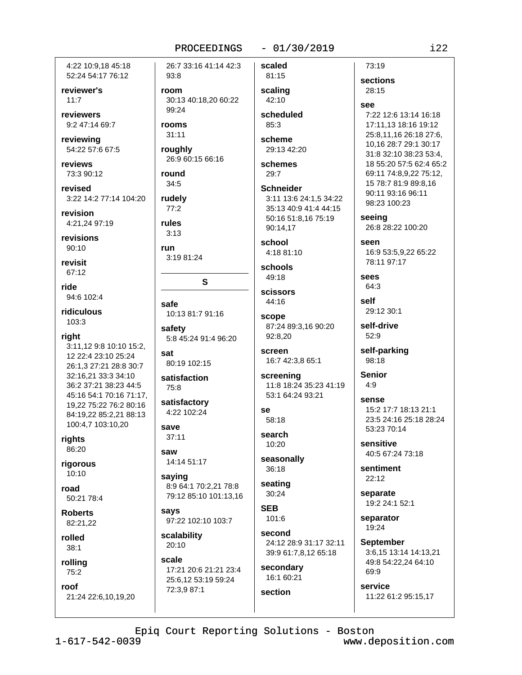4:22 10:9.18 45:18 52:24 54:17 76:12

reviewer's  $11:7$ 

reviewers 9:2 47:14 69:7

reviewing 54:22 57:6 67:5

reviews 73:3 90:12

revised 3:22 14:2 77:14 104:20

revision 4:21,24 97:19

revisions  $90:10$ 

revisit 67:12

ride 94:6 102:4

ridiculous 103:3

right 3:11,12 9:8 10:10 15:2, 12 22:4 23:10 25:24 26:1,3 27:21 28:8 30:7 32:16,21 33:3 34:10 36:2 37:21 38:23 44:5 45:16 54:1 70:16 71:17, 19.22 75:22 76:2 80:16 84:19.22 85:2.21 88:13 100:4,7 103:10,20

rights

86:20 rigorous

 $10:10$ road

50:21 78:4

**Roberts** 82:21,22

rolled  $38:1$ 

## rolling 75:2

roof 21:24 22:6.10.19.20 26:7 33:16 41:14 42:3  $93:8$ 

room 30:13 40:18.20 60:22 99:24

rooms

 $31:11$ roughly

26:9 60:15 66:16

round 34:5

rudely  $77:2$ rules

 $3:13$ run

3:19 81:24

# safe 10:13 81:7 91:16

S

safety 5:8 45:24 91:4 96:20

sat 80:19 102:15

satisfaction 75:8

satisfactory 4:22 102:24

save  $37:11$ 

saw 14:14 51:17

saying 8:9 64:1 70:2.21 78:8 79:12 85:10 101:13,16

says 97:22 102:10 103:7

scalability 20:10

scale 17:21 20:6 21:21 23:4 25:6,12 53:19 59:24 72:3,9 87:1

scaled

 $-01/30/2019$ 

81:15 scaling 42:10

scheduled 85:3

scheme 29:13 42:20

schemes  $29:7$ 

**Schneider** 3:11 13:6 24:1.5 34:22 35:13 40:9 41:4 44:15 50:16 51:8,16 75:19 90:14.17

school 4:18 81:10

schools 49:18

scissors 44:16

scope 87:24 89:3.16 90:20 92:8.20

screen 16:7 42:3,8 65:1

screening 11:8 18:24 35:23 41:19 53:1 64:24 93:21

se 58:18

search 10:20

seasonally 36:18

seating  $30:24$ 

**SEB**  $101.6$ 

second 24:12 28:9 31:17 32:11 39:9 61:7,8,12 65:18

secondary 16:1 60:21

section

73:19

sections 28:15

see

7:22 12:6 13:14 16:18 17:11,13 18:16 19:12 25:8,11,16 26:18 27:6, 10.16 28:7 29:1 30:17 31:8 32:10 38:23 53:4, 18 55:20 57:5 62:4 65:2 69:11 74:8.9.22 75:12. 15 78:7 81:9 89:8,16 90:11 93:16 96:11 98:23 100:23

seeing

26:8 28:22 100:20

SAAN 16:9 53:5.9.22 65:22 78:11 97:17

sees 64:3

self 29:12 30:1

self-drive 52:9

self-parking 98:18

**Senior**  $4:9$ 

> sense 15:2 17:7 18:13 21:1 23:5 24:16 25:18 28:24 53:23 70:14

sensitive 40:5 67:24 73:18

sentiment 22:12

separate 19:2 24:1 52:1

separator 19:24

**September** 3:6,15 13:14 14:13,21 49:8 54:22,24 64:10 69:9

service 11:22 61:2 95:15,17

Epiq Court Reporting Solutions - Boston

 $1 - 617 - 542 - 0039$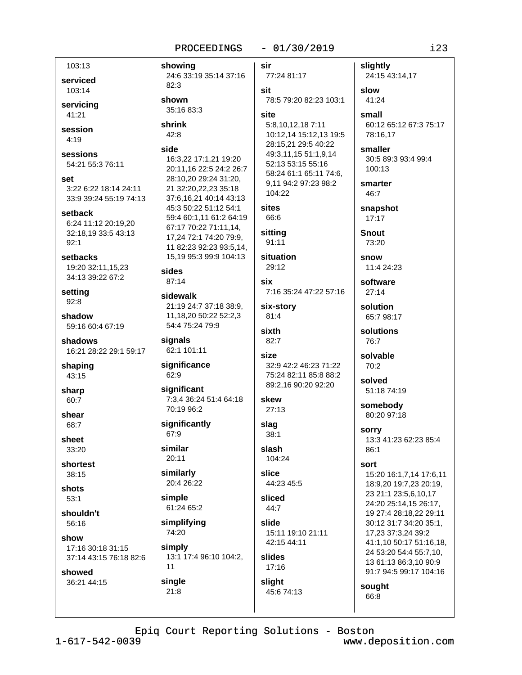#### $-01/30/2019$

103:13 showing serviced 82:3 103:14 shown servicing 35:16 83:3 41:21 shrink session  $42:8$  $4:19$ side sessions 16:3,22 17:1,21 19:20 54:21 55:3 76:11 28:10,20 29:24 31:20, set 3:22 6:22 18:14 24:11 21 32:20,22,23 35:18 33:9 39:24 55:19 74:13 45:3 50:22 51:12 54:1 setback 6:24 11:12 20:19,20 67:17 70:22 71:11.14. 32:18,19 33:5 43:13  $92:1$ setbacks 19:20 32:11,15,23 sides 34:13 39:22 67:2 87:14 setting sidewalk  $92:8$ 21:19 24:7 37:18 38:9. 11.18.20 50:22 52:2.3 shadow 59:16 60:4 67:19 54:4 75:24 79:9 shadows signals 62:1 101:11 16:21 28:22 29:1 59:17 significance shaping 62:9 43:15 significant sharp 60:7 70:19 96:2 shear significantly 68:7 67:9 sheet similar 33:20 20:11 shortest  $38:15$ similarly 20:4 26:22 shots simple  $53:1$ 61:24 65:2 shouldn't simplifying 56:16 74:20 show simply 17:16 30:18 31:15 13:1 17:4 96:10 104:2, 37:14 43:15 76:18 82:6  $11$ showed single 36:21 44:15  $21:8$  $1 - 617 - 542 - 0039$ 

sir 24:6 33:19 35:14 37:16 77:24 81:17 sit 78:5 79:20 82:23 103:1 site 5:8,10,12,18 7:11 10:12,14 15:12,13 19:5 28:15.21 29:5 40:22 49:3,11,15 51:1,9,14 52:13 53:15 55:16 20:11.16 22:5 24:2 26:7 58:24 61:1 65:11 74:6. 9,11 94:2 97:23 98:2  $104.22$ 37:6,16,21 40:14 43:13 sites 59:4 60:1.11 61:2 64:19 66:6 sitting 17,24 72:1 74:20 79:9, 91:11 11 82:23 92:23 93:5,14, 15.19 95:3 99:9 104:13 situation 29:12 six 7:16 35:24 47:22 57:16 six-story  $81:4$ sixth 82:7 size 32:9 42:2 46:23 71:22 75:24 82:11 85:8 88:2 89:2,16 90:20 92:20 7:3,4 36:24 51:4 64:18 skew  $27:13$ slag 38:1 slash 104:24 slice 44:23 45:5 sliced  $44:7$ slide 15:11 19:10 21:11 42:15 44:11 slides 17:16 slight 45:6 74:13

slightly 24:15 43:14,17 slow 41:24 small 60:12 65:12 67:3 75:17 78:16.17 smaller 30:5 89:3 93:4 99:4 100:13 smarter 46:7 snapshot  $17:17$ **Snout** 73:20 snow 11:4 24:23 software  $27:14$ solution 65:7 98:17 solutions 76:7 solvable 70:2 solved 51:18 74:19 somebody 80:20 97:18 sorry 13:3 41:23 62:23 85:4 86:1 sort 15:20 16:1,7,14 17:6,11 18:9,20 19:7,23 20:19, 23 21:1 23:5,6,10,17 24:20 25:14.15 26:17. 19 27:4 28:18.22 29:11 30:12 31:7 34:20 35:1, 17,23 37:3,24 39:2 41:1,10 50:17 51:16,18, 24 53:20 54:4 55:7,10, 13 61:13 86:3,10 90:9 91:7 94:5 99:17 104:16

sought 66:8

Epiq Court Reporting Solutions - Boston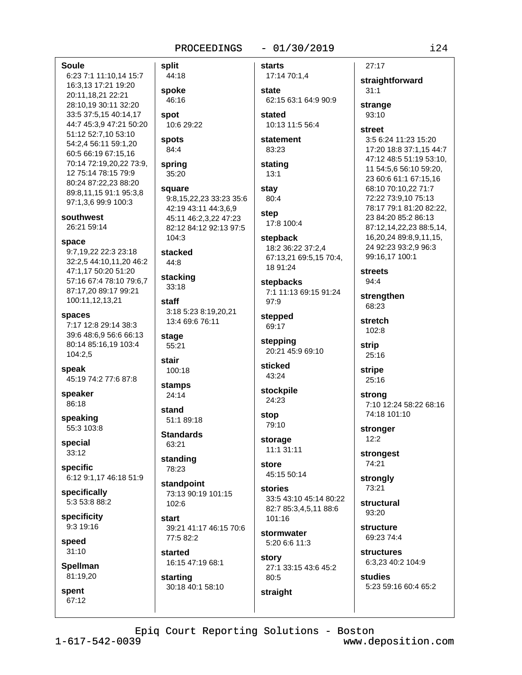#### $-01/30/2019$

**Soule** 

6:23 7:1 11:10,14 15:7 16:3,13 17:21 19:20 20:11.18.21 22:21 28:10,19 30:11 32:20 33:5 37:5,15 40:14,17 44:7 45:3.9 47:21 50:20 51:12 52:7,10 53:10 54:2,4 56:11 59:1,20 60:5 66:19 67:15,16 70:14 72:19,20,22 73:9, 12 75:14 78:15 79:9 80:24 87:22.23 88:20 89:8,11,15 91:1 95:3,8 97:1,3,6 99:9 100:3

#### southwest

26:21 59:14

#### space

9:7,19,22 22:3 23:18 32:2,5 44:10,11,20 46:2 47:1,17 50:20 51:20 57:16 67:4 78:10 79:6,7 87:17.20 89:17 99:21 100:11,12,13,21

#### spaces

7:17 12:8 29:14 38:3 39:6 48:6.9 56:6 66:13 80:14 85:16.19 103:4 104:2,5

speak 45:19 74:2 77:6 87:8

speaker 86:18

speaking 55:3 103:8

special  $33:12$ 

specific 6:12 9:1,17 46:18 51:9

specifically 5:3 53:8 88:2

specificity  $9:319:16$ 

speed  $31:10$ 

**Spellman** 81:19,20

spent 67:12 split 44:18 spoke 46:16 spot 10:6 29:22 **spots** 84:4 spring 35:20 square 9:8.15.22.23 33:23 35:6

42:19 43:11 44:3,6,9 45:11 46:2,3,22 47:23 82:12 84:12 92:13 97:5  $104:3$ 

stacked 44:8

stacking 33:18

staff 3:18 5:23 8:19,20,21 13:4 69:6 76:11

stage 55:21 stair

100:18 stamps

24:14 stand 51:1 89:18

**Standards** 63:21

standing 78:23

standpoint 73:13 90:19 101:15 102:6

start 39:21 41:17 46:15 70:6 77:5 82:2

started 16:15 47:19 68:1

starting 30:18 40:1 58:10

17:14 70:1,4 state 62:15 63:1 64:9 90:9 stated 10:13 11:5 56:4

statement 83:23

stating  $13:1$ 

**starts** 

stav 80:4 step

17:8 100:4 stepback

18:2 36:22 37:2,4 67:13,21 69:5,15 70:4, 18 91:24

stepbacks 7:1 11:13 69:15 91:24  $97:9$ 

stepped 69:17

stepping 20:21 45:9 69:10

sticked 43:24

stockpile 24:23

stop 79:10

storage 11:1 31:11

store

45:15 50:14

stories 33:5 43:10 45:14 80:22 82:7 85:3.4.5.11 88:6  $101.16$ 

stormwater 5:20 6:6 11:3

story 27:1 33:15 43:6 45:2 80:5 straight

straightforward  $31:1$ 

strange  $93:10$ 

 $27:17$ 

#### street

3:5 6:24 11:23 15:20 17:20 18:8 37:1,15 44:7 47:12 48:5 51:19 53:10, 11 54:5,6 56:10 59:20, 23 60:6 61:1 67:15,16 68:10 70:10,22 71:7 72:22 73:9,10 75:13 78:17 79:1 81:20 82:22, 23 84:20 85:2 86:13 87:12.14.22.23 88:5.14. 16,20,24 89:8,9,11,15, 24 92:23 93:2,9 96:3 99:16.17 100:1

**streets** 94:4

strengthen 68:23

stretch 102:8

strip 25:16

stripe 25:16

strong 7:10 12:24 58:22 68:16 74:18 101:10

stronger  $12:2$ 

strongest 74:21

strongly 73:21

structural 93:20

**structure** 69:23 74:4

structures 6:3,23 40:2 104:9

studies 5:23 59:16 60:4 65:2

Epiq Court Reporting Solutions - Boston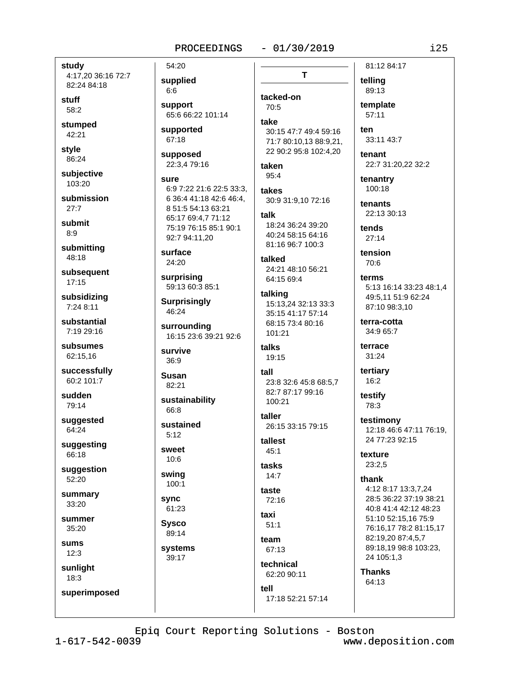#### $-01/30/2019$

study 4:17,20 36:16 72:7 82:24 84:18

stuff 58:2

stumped 42:21

style 86:24

subjective 103:20

submission  $27:7$ 

submit  $8:9$ 

submitting 48:18

subsequent  $17:15$ 

subsidizing 7:24 8:11

substantial 7:19 29:16

subsumes 62:15,16

successfully 60:2 101:7

sudden 79:14

suggested 64:24

suggesting 66:18

suggestion 52:20

summary 33:20

summer  $35:20$ 

sums  $12:3$ 

sunlight

 $18:3$ 

superimposed

supplied  $6:6$ support 65:6 66:22 101:14

supported 67:18

54:20

supposed 22:3,4 79:16

sure 6:9 7:22 21:6 22:5 33:3. 6 36:4 41:18 42:6 46:4. 8 51:5 54:13 63:21 65:17 69:4,7 71:12 75:19 76:15 85:1 90:1 92:7 94:11,20

surface 24:20

surprising 59:13 60:3 85:1

**Surprisingly** 46:24

surrounding 16:15 23:6 39:21 92:6

survive 36:9

**Susan** 82:21

sustainability 66:8

sustained  $5:12$ 

sweet  $10:6$ 

swing 100:1

**SVNC** 61:23 **Sysco** 

89:14

systems

39:17

T tacked-on 70:5

take

30:15 47:7 49:4 59:16 71:7 80:10,13 88:9,21, 22 90:2 95:8 102:4,20

taken  $95.4$ 

takes 30:9 31:9,10 72:16

talk 18:24 36:24 39:20

40:24 58:15 64:16 81:16 96:7 100:3

talked 24:21 48:10 56:21 64:15 69:4

talking 15:13,24 32:13 33:3 35:15 41:17 57:14 68:15 73:4 80:16 101:21

talks 19:15

 $tall$ 23:8 32:6 45:8 68:5.7 82:7 87:17 99:16 100:21

taller 26:15 33:15 79:15

tallest  $45:1$ 

tasks  $14:7$ 

taste  $72:16$ 

taxi  $51:1$ 

team 67:13

tell

technical 62:20 90:11

17:18 52:21 57:14

telling 89:13 template  $57:11$ ten 33:11 43:7

81:12 84:17

tenant 22:7 31:20,22 32:2

tenantry 100:18

tenants 22:13 30:13

tends  $27:14$ 

tension 70:6

terms 5:13 16:14 33:23 48:1.4 49:5.11 51:9 62:24 87:10 98:3,10

terra-cotta 34:9 65:7

terrace 31:24

tertiary 16:2

testify 78:3

testimony 12:18 46:6 47:11 76:19. 24 77:23 92:15

texture 23:2,5

thank

4:12 8:17 13:3,7,24 28:5 36:22 37:19 38:21 40:8 41:4 42:12 48:23 51:10 52:15,16 75:9 76:16,17 78:2 81:15,17 82:19,20 87:4,5,7 89:18,19 98:8 103:23, 24 105:1,3

**Thanks** 64:13

Epiq Court Reporting Solutions - Boston

 $1 - 617 - 542 - 0039$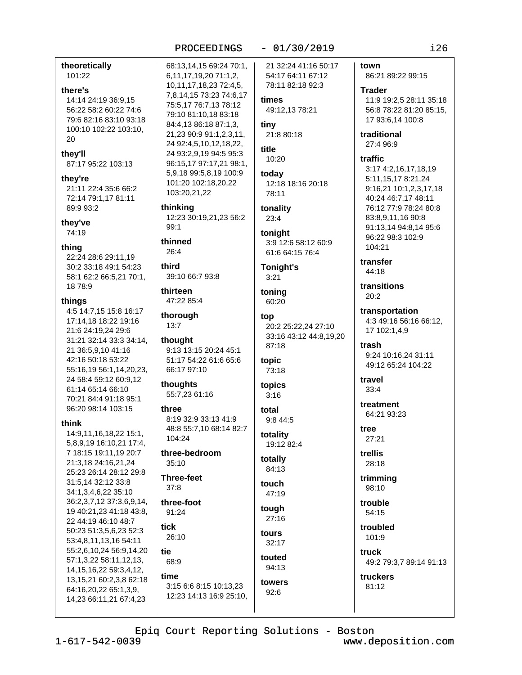theoretically 101:22

#### there's

14:14 24:19 36:9.15 56:22 58:2 60:22 74:6 79:6 82:16 83:10 93:18 100:10 102:22 103:10, 20

they'll 87:17 95:22 103:13

#### they're

21:11 22:4 35:6 66:2 72:14 79:1,17 81:11 89:9 93:2

they've

74:19

#### thing

22:24 28:6 29:11,19 30:2 33:18 49:1 54:23 58:1 62:2 66:5,21 70:1, 18 78:9

#### thinas

4:5 14:7.15 15:8 16:17 17:14,18 18:22 19:16 21:6 24:19,24 29:6 31:21 32:14 33:3 34:14, 21 36:5,9,10 41:16 42:16 50:18 53:22 55:16,19 56:1,14,20,23, 24 58:4 59:12 60:9,12 61:14 65:14 66:10 70:21 84:4 91:18 95:1 96:20 98:14 103:15

#### think

14:9,11,16,18,22 15:1, 5,8,9,19 16:10,21 17:4, 7 18:15 19:11.19 20:7 21:3,18 24:16,21,24 25:23 26:14 28:12 29:8 31:5,14 32:12 33:8 34:1,3,4,6,22 35:10 36:2,3,7,12 37:3,6,9,14, 19 40:21,23 41:18 43:8, 22 44:19 46:10 48:7 50:23 51:3,5,6,23 52:3 53:4,8,11,13,16 54:11 55:2,6,10,24 56:9,14,20 57:1,3,22 58:11,12,13, 14, 15, 16, 22 59: 3, 4, 12, 13, 15, 21 60: 2, 3, 8 62: 18 64:16,20,22 65:1,3,9, 14,23 66:11,21 67:4,23

#### PROCEEDINGS

68:13,14,15 69:24 70:1, 6, 11, 17, 19, 20 71: 1, 2, 10, 11, 17, 18, 23 72: 4, 5, 7,8,14,15 73:23 74:6,17 75:5,17 76:7,13 78:12 79:10 81:10,18 83:18 84:4,13 86:18 87:1,3, 21,23 90:9 91:1,2,3,11, 24 92:4,5,10,12,18,22, 24 93:2,9,19 94:5 95:3 96:15,17 97:17,21 98:1, 5,9,18 99:5,8,19 100:9 101:20 102:18,20,22 103:20,21,22

thinking 12:23 30:19,21,23 56:2  $99:1$ 

thinned  $26:4$ 

third 39:10 66:7 93:8

thirteen 47:22 85:4

```
thorough
13:7
```
thought 9:13 13:15 20:24 45:1 51:17 54:22 61:6 65:6 66:17 97:10

thoughts 55:7,23 61:16

#### three

8:19 32:9 33:13 41:9 48:8 55:7,10 68:14 82:7 104:24

three-bedroom  $35:10$ 

**Three-feet**  $37:8$ 

three-foot 91:24

**tick**  $26:10$ 

tie 68:9 time

3:15 6:6 8:15 10:13,23 12:23 14:13 16:9 25:10, 21 32:24 41:16 50:17 54:17 64:11 67:12

 $-01/30/2019$ 

78:11 82:18 92:3 times 49:12.13 78:21

tiny 21:8 80:18

title 10:20

today 12:18 18:16 20:18 78:11

tonality  $23:4$ 

tonight 3:9 12:6 58:12 60:9 61:6 64:15 76:4

Tonight's  $3:21$ 

toning 60:20

top 20:2 25:22.24 27:10 33:16 43:12 44:8,19,20 87:18 topic 73:18

topics  $3:16$ 

total 9:8 44:5

totality 19:12 82:4

totally 84:13

touch 47:19

touah  $27.16$ tours

 $32:17$ touted

94:13 towers  $92:6$ 

town 86:21 89:22 99:15

> **Trader** 11:9 19:2.5 28:11 35:18 56:8 78:22 81:20 85:15. 17 93:6,14 100:8

traditional 27:4 96:9

#### traffic

3:17 4:2,16,17,18,19 5:11,15,17 8:21,24 9:16,21 10:1,2,3,17,18 40:24 46:7,17 48:11 76:12 77:9 78:24 80:8 83:8.9.11.16 90:8 91:13.14 94:8.14 95:6 96:22 98:3 102:9 104:21

transfer 44:18

transitions  $20:2$ 

transportation 4:3 49:16 56:16 66:12, 17 102:1,4,9

trash 9:24 10:16,24 31:11 49:12 65:24 104:22

travel  $33:4$ 

treatment 64:21 93:23

tree 27:21

trellis 28:18

trimming 98:10

trouble 54:15

troubled 101:9

truck 49:2 79:3,7 89:14 91:13

truckers 81:12

Epiq Court Reporting Solutions - Boston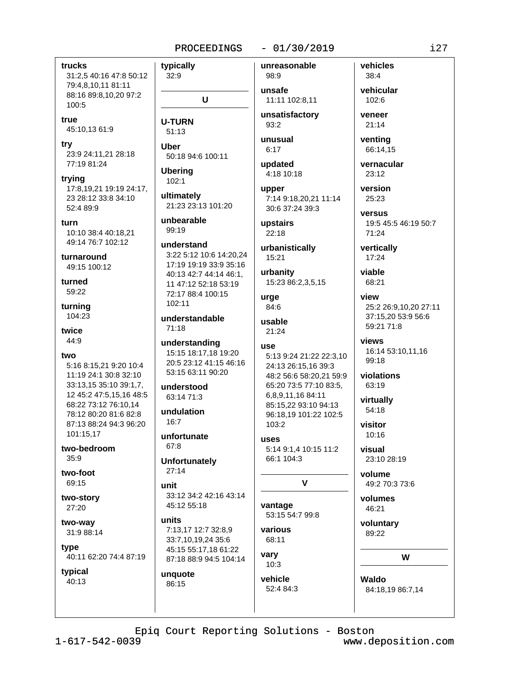#### trucks 31:2,5 40:16 47:8 50:12 79:4,8,10,11 81:11 88:16 89:8,10,20 97:2  $100:5$

true 45:10,13 61:9

try 23:9 24:11,21 28:18 77:19 81:24

- trying 17:8,19,21 19:19 24:17, 23 28:12 33:8 34:10 52:4 89:9
- turn 10:10 38:4 40:18.21 49:14 76:7 102:12

turnaround 49:15 100:12

turned 59:22

turnina 104:23

twice 44:9

#### two

5:16 8:15,21 9:20 10:4 11:19 24:1 30:8 32:10 33:13,15 35:10 39:1,7, 12 45:2 47:5,15,16 48:5 68:22 73:12 76:10,14 78:12 80:20 81:6 82:8 87:13 88:24 94:3 96:20 101:15,17

two-bedroom  $35.9$ 

two-foot 69:15

two-story 27:20

two-way 31:9 88:14

tvpe 40:11 62:20 74:4 87:19

typical 40:13

 $32:9$ U

**U-TURN**  $51:13$ 

typically

Uber 50:18 94:6 100:11

**Uberina**  $102:1$ 

ultimately 21:23 23:13 101:20

unbearable 99:19

understand 3:22 5:12 10:6 14:20.24 17:19 19:19 33:9 35:16 40:13 42:7 44:14 46:1, 11 47:12 52:18 53:19 72:17 88:4 100:15 102:11

understandable  $71:18$ 

understanding 15:15 18:17,18 19:20 20:5 23:12 41:15 46:16 53:15 63:11 90:20

understood  $63.1471.3$ 

undulation  $16:7$ 

unfortunate 67:8

**Unfortunately**  $27:14$ 

- unit 33:12 34:2 42:16 43:14 45:12 55:18
- units 7:13,17 12:7 32:8,9 33:7,10,19,24 35:6 45:15 55:17,18 61:22 87:18 88:9 94:5 104:14

unquote 86:15

unreasonable 98:9

unsafe 11:11 102:8,11

 $-01/30/2019$ 

unsatisfactory 93:2

unusual  $6:17$ 

updated 4:18 10:18

upper 7:14 9:18.20.21 11:14 30:6 37:24 39:3

upstairs 22:18

urbanistically 15:21

urbanity 15:23 86:2,3,5,15

urae 84:6

usable  $21:24$ 

#### use

5:13 9:24 21:22 22:3,10 24:13 26:15,16 39:3 48:2 56:6 58:20,21 59:9 65:20 73:5 77:10 83:5, 6,8,9,11,16 84:11 85:15.22 93:10 94:13 96:18.19 101:22 102:5  $103.2$ 

uses 5:14 9:1,4 10:15 11:2 66:1 104:3

## $\mathbf{v}$

vantage 53:15 54:7 99:8

various 68:11 vary

 $10:3$ vehicle 52:4 84:3

 $38:4$ vehicular 102:6

vehicles

veneer  $21:14$ 

> ventina 66:14,15

vernacular  $23:12$ 

version 25:23

versus 19:5 45:5 46:19 50:7 71:24

vertically 17:24

viable 68:21

> view 25:2 26:9,10,20 27:11 37:15,20 53:9 56:6 59:21 71:8

views 16:14 53:10,11,16 99:18

violations 63:19

virtually  $54:18$ 

visitor  $10:16$ 

visual 23:10 28:19

> volume 49:2 70:3 73:6

volumes 46:21

voluntary 89:22

W

Waldo 84:18,19 86:7,14

Epiq Court Reporting Solutions - Boston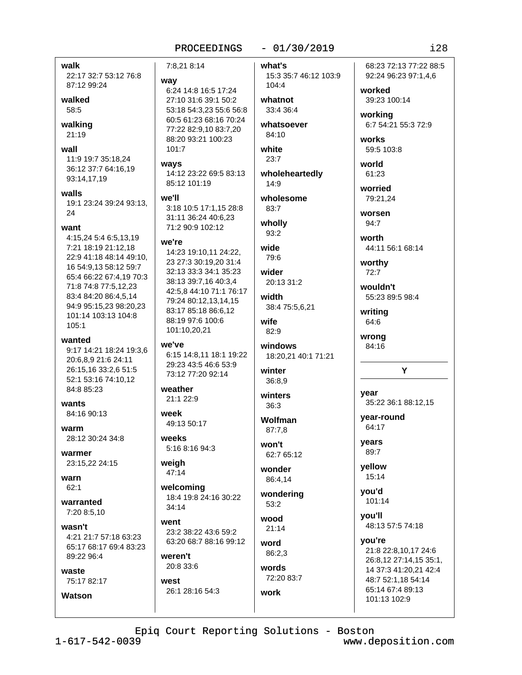6:24 14:8 16:5 17:24

27:10 31:6 39:1 50:2

53:18 54:3,23 55:6 56:8

60:5 61:23 68:16 70:24

77:22 82:9,10 83:7,20

14:12 23:22 69:5 83:13

3:18 10:5 17:1,15 28:8

14:23 19:10.11 24:22.

23 27:3 30:19,20 31:4

32:13 33:3 34:1 35:23

38:13 39:7,16 40:3,4

79:24 80:12,13,14,15

83:17 85:18 86:6,12

88:19 97:6 100:6

101:10,20,21

we've

weather

week

weeks

weigh

47:14

 $34:14$ 

weren't

west

20:8 33:6

26:1 28:16 54:3

went

welcoming

18:4 19:8 24:16 30:22

23:2 38:22 43:6 59:2

63:20 68:7 88:16 99:12

21:1 22:9

49:13 50:17

5:16 8:16 94:3

42:5,8 44:10 71:1 76:17

6:15 14:8,11 18:1 19:22

29:23 43:5 46:6 53:9

73:12 77:20 92:14

31:11 36:24 40:6.23

71:2 90:9 102:12

85:12 101:19

88:20 93:21 100:23

7:8.21 8:14

way

 $101:7$ 

ways

we'll

WA're

#### $-01/30/2019$

what's 15:3 35:7 46:12 103:9 104:4

whatnot 33:4 36:4

whatsoever 84:10

white  $23:7$ 

wholeheartedly 14:9

wholesome  $83:7$ 

wholly 93:2

wide  $79.6$ 

wider 20:13 31:2

width 38:4 75:5,6,21

wife  $82:9$ 

windows 18:20,21 40:1 71:21

winter 36:8.9

winters  $36:3$ 

**Wolfman** 87:7.8

won't 62:7 65:12

wonder 86:4,14

wondering  $53:2$ 

hoow  $21:14$ 

word 86:2,3

words 72:20 83:7

work

68:23 72:13 77:22 88:5 92:24 96:23 97:1,4,6

worked 39:23 100:14

workina 6:7 54:21 55:3 72:9

works 59:5 103:8

world 61:23 worried

79:21.24

worsen  $94:7$ 

worth 44:11 56:1 68:14

worthy  $72:7$ 

wouldn't 55:23 89:5 98:4

writing 64:6

wrong 84:16

#### Y

year 35:22 36:1 88:12,15

year-round 64:17

years 89:7

yellow 15:14

you'd 101:14

you'll 48:13 57:5 74:18

you're 21:8 22:8,10,17 24:6 26:8,12 27:14,15 35:1, 14 37:3 41:20.21 42:4 48:7 52:1,18 54:14 65:14 67:4 89:13 101:13 102:9

Epiq Court Reporting Solutions - Boston

 $1 - 617 - 542 - 0039$ 

walk

walked

58:5

walking

 $21:19$ 

wall

walls

24

want

105:1

wanted

84:8 85:23

84:16 90:13

28:12 30:24 34:8

23:15,22 24:15

wants

warm

warmer

warn

 $62:1$ 

wasn't

waste

**Watson** 

warranted

7:20 8:5.10

89:22 96:4

75:17 82:17

4:21 21:7 57:18 63:23

65:17 68:17 69:4 83:23

87:12 99:24

22:17 32:7 53:12 76:8

11:9 19:7 35:18,24

93:14,17,19

36:12 37:7 64:16,19

19:1 23:24 39:24 93:13.

4:15.24 5:4 6:5,13,19

22:9 41:18 48:14 49:10.

65:4 66:22 67:4,19 70:3

16 54:9,13 58:12 59:7

71:8 74:8 77:5,12,23

83:4 84:20 86:4,5,14

101:14 103:13 104:8

94:9 95:15,23 98:20,23

9:17 14:21 18:24 19:3,6

20:6.8.9 21:6 24:11

26:15,16 33:2,6 51:5

52:1 53:16 74:10,12

7:21 18:19 21:12.18

www.deposition.com

 $128$